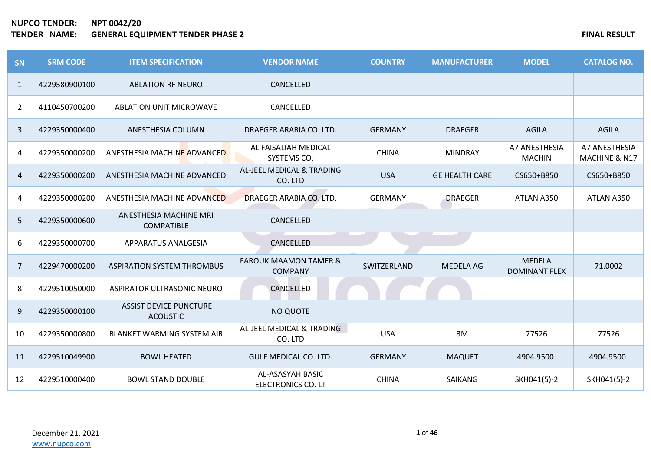| SN             | <b>SRM CODE</b> | <b>ITEM SPECIFICATION</b>                        | <b>VENDOR NAME</b>                                 | <b>COUNTRY</b> | <b>MANUFACTURER</b>   | <b>MODEL</b>                          | <b>CATALOG NO.</b>             |
|----------------|-----------------|--------------------------------------------------|----------------------------------------------------|----------------|-----------------------|---------------------------------------|--------------------------------|
| $\mathbf{1}$   | 4229580900100   | <b>ABLATION RF NEURO</b>                         | CANCELLED                                          |                |                       |                                       |                                |
| $\overline{2}$ | 4110450700200   | <b>ABLATION UNIT MICROWAVE</b>                   | CANCELLED                                          |                |                       |                                       |                                |
| 3              | 4229350000400   | ANESTHESIA COLUMN                                | DRAEGER ARABIA CO. LTD.                            | <b>GERMANY</b> | <b>DRAEGER</b>        | <b>AGILA</b>                          | <b>AGILA</b>                   |
| 4              | 4229350000200   | ANESTHESIA MACHINE ADVANCED                      | AL FAISALIAH MEDICAL<br>SYSTEMS CO.                | <b>CHINA</b>   | <b>MINDRAY</b>        | A7 ANESTHESIA<br><b>MACHIN</b>        | A7 ANESTHESIA<br>MACHINE & N17 |
| 4              | 4229350000200   | ANESTHESIA MACHINE ADVANCED                      | AL-JEEL MEDICAL & TRADING<br>CO. LTD               | <b>USA</b>     | <b>GE HEALTH CARE</b> | CS650+B850                            | CS650+B850                     |
| 4              | 4229350000200   | ANESTHESIA MACHINE ADVANCED                      | DRAEGER ARABIA CO. LTD.                            | <b>GERMANY</b> | <b>DRAEGER</b>        | ATLAN A350                            | ATLAN A350                     |
| 5              | 4229350000600   | ANESTHESIA MACHINE MRI<br><b>COMPATIBLE</b>      | CANCELLED                                          |                |                       |                                       |                                |
| 6              | 4229350000700   | APPARATUS ANALGESIA                              | CANCELLED                                          |                |                       |                                       |                                |
| $\overline{7}$ | 4229470000200   | <b>ASPIRATION SYSTEM THROMBUS</b>                | <b>FAROUK MAAMON TAMER &amp;</b><br><b>COMPANY</b> | SWITZERLAND    | <b>MEDELA AG</b>      | <b>MEDELA</b><br><b>DOMINANT FLEX</b> | 71.0002                        |
| 8              | 4229510050000   | ASPIRATOR ULTRASONIC NEURO                       | CANCELLED                                          |                |                       |                                       |                                |
| 9              | 4229350000100   | <b>ASSIST DEVICE PUNCTURE</b><br><b>ACOUSTIC</b> | <b>NO QUOTE</b>                                    |                |                       |                                       |                                |
| 10             | 4229350000800   | <b>BLANKET WARMING SYSTEM AIR</b>                | AL-JEEL MEDICAL & TRADING<br>CO. LTD               | <b>USA</b>     | 3M                    | 77526                                 | 77526                          |
| 11             | 4229510049900   | <b>BOWL HEATED</b>                               | <b>GULF MEDICAL CO. LTD.</b>                       | <b>GERMANY</b> | <b>MAQUET</b>         | 4904.9500.                            | 4904.9500.                     |
| 12             | 4229510000400   | <b>BOWL STAND DOUBLE</b>                         | AL-ASASYAH BASIC<br><b>ELECTRONICS CO. LT</b>      | <b>CHINA</b>   | SAIKANG               | SKH041(5)-2                           | SKH041(5)-2                    |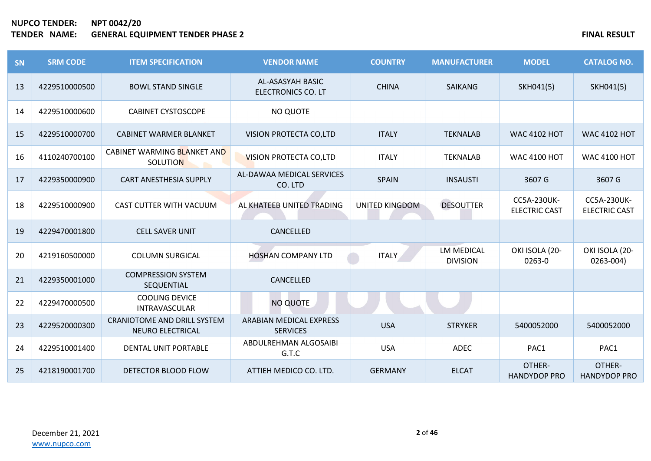| SN | <b>SRM CODE</b> | <b>ITEM SPECIFICATION</b>                                     | <b>VENDOR NAME</b>                                   | <b>COUNTRY</b>        | <b>MANUFACTURER</b>                  | <b>MODEL</b>                               | <b>CATALOG NO.</b>                         |
|----|-----------------|---------------------------------------------------------------|------------------------------------------------------|-----------------------|--------------------------------------|--------------------------------------------|--------------------------------------------|
| 13 | 4229510000500   | <b>BOWL STAND SINGLE</b>                                      | <b>AL-ASASYAH BASIC</b><br><b>ELECTRONICS CO. LT</b> | <b>CHINA</b>          | <b>SAIKANG</b>                       | SKH041(5)                                  | SKH041(5)                                  |
| 14 | 4229510000600   | <b>CABINET CYSTOSCOPE</b>                                     | NO QUOTE                                             |                       |                                      |                                            |                                            |
| 15 | 4229510000700   | <b>CABINET WARMER BLANKET</b>                                 | VISION PROTECTA CO,LTD                               | <b>ITALY</b>          | <b>TEKNALAB</b>                      | <b>WAC 4102 HOT</b>                        | <b>WAC 4102 HOT</b>                        |
| 16 | 4110240700100   | CABINET WARMING BLANKET AND<br><b>SOLUTION</b>                | <b>VISION PROTECTA CO,LTD</b>                        | <b>ITALY</b>          | <b>TEKNALAB</b>                      | <b>WAC 4100 HOT</b>                        | <b>WAC 4100 HOT</b>                        |
| 17 | 4229350000900   | <b>CART ANESTHESIA SUPPLY</b>                                 | AL-DAWAA MEDICAL SERVICES<br>CO. LTD                 | <b>SPAIN</b>          | <b>INSAUSTI</b>                      | 3607 G                                     | 3607 G                                     |
| 18 | 4229510000900   | <b>CAST CUTTER WITH VACUUM</b>                                | AL KHATEEB UNITED TRADING                            | <b>UNITED KINGDOM</b> | <b>DESOUTTER</b>                     | <b>CC5A-230UK-</b><br><b>ELECTRIC CAST</b> | <b>CC5A-230UK-</b><br><b>ELECTRIC CAST</b> |
| 19 | 4229470001800   | <b>CELL SAVER UNIT</b>                                        | CANCELLED                                            |                       |                                      |                                            |                                            |
| 20 | 4219160500000   | <b>COLUMN SURGICAL</b>                                        | <b>HOSHAN COMPANY LTD</b>                            | <b>ITALY</b>          | <b>LM MEDICAL</b><br><b>DIVISION</b> | OKI ISOLA (20-<br>0263-0                   | OKI ISOLA (20-<br>0263-004)                |
| 21 | 4229350001000   | <b>COMPRESSION SYSTEM</b><br>SEQUENTIAL                       | CANCELLED                                            |                       |                                      |                                            |                                            |
| 22 | 4229470000500   | <b>COOLING DEVICE</b><br><b>INTRAVASCULAR</b>                 | NO QUOTE                                             |                       |                                      |                                            |                                            |
| 23 | 4229520000300   | <b>CRANIOTOME AND DRILL SYSTEM</b><br><b>NEURO ELECTRICAL</b> | ARABIAN MEDICAL EXPRESS<br><b>SERVICES</b>           | <b>USA</b>            | <b>STRYKER</b>                       | 5400052000                                 | 5400052000                                 |
| 24 | 4229510001400   | <b>DENTAL UNIT PORTABLE</b>                                   | ABDULREHMAN ALGOSAIBI<br>G.T.C                       | <b>USA</b>            | <b>ADEC</b>                          | PAC1                                       | PAC1                                       |
| 25 | 4218190001700   | DETECTOR BLOOD FLOW                                           | ATTIEH MEDICO CO. LTD.                               | <b>GERMANY</b>        | <b>ELCAT</b>                         | OTHER-<br><b>HANDYDOP PRO</b>              | OTHER-<br><b>HANDYDOP PRO</b>              |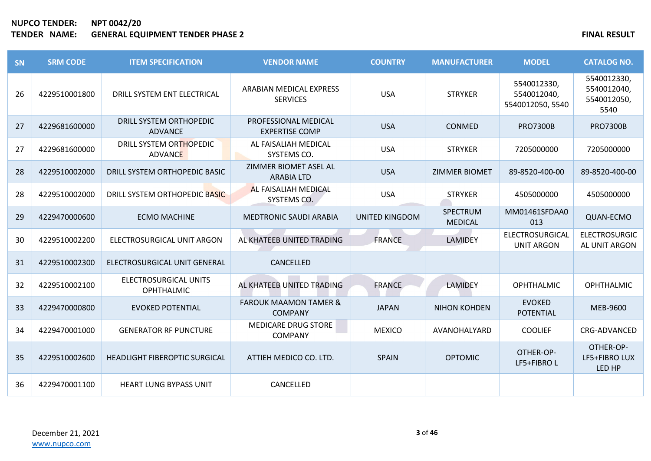| SN | <b>SRM CODE</b> | <b>ITEM SPECIFICATION</b>                  | <b>VENDOR NAME</b>                                 | <b>COUNTRY</b>        | <b>MANUFACTURER</b>        | <b>MODEL</b>                                   | <b>CATALOG NO.</b>                                |
|----|-----------------|--------------------------------------------|----------------------------------------------------|-----------------------|----------------------------|------------------------------------------------|---------------------------------------------------|
| 26 | 4229510001800   | DRILL SYSTEM ENT ELECTRICAL                | ARABIAN MEDICAL EXPRESS<br><b>SERVICES</b>         | <b>USA</b>            | <b>STRYKER</b>             | 5540012330,<br>5540012040,<br>5540012050, 5540 | 5540012330,<br>5540012040,<br>5540012050,<br>5540 |
| 27 | 4229681600000   | DRILL SYSTEM ORTHOPEDIC<br><b>ADVANCE</b>  | PROFESSIONAL MEDICAL<br><b>EXPERTISE COMP</b>      | <b>USA</b>            | <b>CONMED</b>              | <b>PRO7300B</b>                                | <b>PRO7300B</b>                                   |
| 27 | 4229681600000   | DRILL SYSTEM ORTHOPEDIC<br><b>ADVANCE</b>  | AL FAISALIAH MEDICAL<br>SYSTEMS CO.                | <b>USA</b>            | <b>STRYKER</b>             | 7205000000                                     | 7205000000                                        |
| 28 | 4229510002000   | DRILL SYSTEM ORTHOPEDIC BASIC              | ZIMMER BIOMET ASEL AL<br><b>ARABIA LTD</b>         | <b>USA</b>            | <b>ZIMMER BIOMET</b>       | 89-8520-400-00                                 | 89-8520-400-00                                    |
| 28 | 4229510002000   | DRILL SYSTEM ORTHOPEDIC BASIC              | AL FAISALIAH MEDICAL<br>SYSTEMS CO.                | <b>USA</b>            | <b>STRYKER</b>             | 4505000000                                     | 4505000000                                        |
| 29 | 4229470000600   | <b>ECMO MACHINE</b>                        | <b>MEDTRONIC SAUDI ARABIA</b>                      | <b>UNITED KINGDOM</b> | SPECTRUM<br><b>MEDICAL</b> | MM01461SFDAA0<br>013                           | QUAN-ECMO                                         |
| 30 | 4229510002200   | ELECTROSURGICAL UNIT ARGON                 | AL KHATEEB UNITED TRADING                          | <b>FRANCE</b>         | <b>LAMIDEY</b>             | <b>ELECTROSURGICAL</b><br><b>UNIT ARGON</b>    | <b>ELECTROSURGIC</b><br>AL UNIT ARGON             |
| 31 | 4229510002300   | ELECTROSURGICAL UNIT GENERAL               | CANCELLED                                          |                       |                            |                                                |                                                   |
| 32 | 4229510002100   | <b>ELECTROSURGICAL UNITS</b><br>OPHTHALMIC | AL KHATEEB UNITED TRADING                          | <b>FRANCE</b>         | LAMIDEY                    | <b>OPHTHALMIC</b>                              | <b>OPHTHALMIC</b>                                 |
| 33 | 4229470000800   | <b>EVOKED POTENTIAL</b>                    | <b>FAROUK MAAMON TAMER &amp;</b><br><b>COMPANY</b> | <b>JAPAN</b>          | <b>NIHON KOHDEN</b>        | <b>EVOKED</b><br><b>POTENTIAL</b>              | MEB-9600                                          |
| 34 | 4229470001000   | <b>GENERATOR RF PUNCTURE</b>               | <b>MEDICARE DRUG STORE</b><br><b>COMPANY</b>       | <b>MEXICO</b>         | AVANOHALYARD               | <b>COOLIEF</b>                                 | CRG-ADVANCED                                      |
| 35 | 4229510002600   | <b>HEADLIGHT FIBEROPTIC SURGICAL</b>       | ATTIEH MEDICO CO. LTD.                             | <b>SPAIN</b>          | <b>OPTOMIC</b>             | OTHER-OP-<br>LF5+FIBRO L                       | OTHER-OP-<br>LF5+FIBRO LUX<br>LED HP              |
| 36 | 4229470001100   | <b>HEART LUNG BYPASS UNIT</b>              | CANCELLED                                          |                       |                            |                                                |                                                   |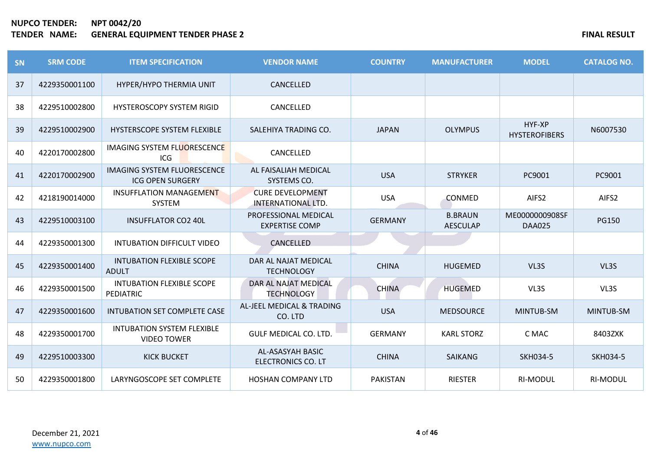| SN | <b>SRM CODE</b> | <b>ITEM SPECIFICATION</b>                                     | <b>VENDOR NAME</b>                            | <b>COUNTRY</b>  | <b>MANUFACTURER</b>               | <b>MODEL</b>                    | <b>CATALOG NO.</b> |
|----|-----------------|---------------------------------------------------------------|-----------------------------------------------|-----------------|-----------------------------------|---------------------------------|--------------------|
| 37 | 4229350001100   | HYPER/HYPO THERMIA UNIT                                       | CANCELLED                                     |                 |                                   |                                 |                    |
| 38 | 4229510002800   | <b>HYSTEROSCOPY SYSTEM RIGID</b>                              | CANCELLED                                     |                 |                                   |                                 |                    |
| 39 | 4229510002900   | HYSTERSCOPE SYSTEM FLEXIBLE                                   | SALEHIYA TRADING CO.                          | <b>JAPAN</b>    | <b>OLYMPUS</b>                    | HYF-XP<br><b>HYSTEROFIBERS</b>  | N6007530           |
| 40 | 4220170002800   | <b>IMAGING SYSTEM FLUORESCENCE</b><br><b>ICG</b>              | CANCELLED                                     |                 |                                   |                                 |                    |
| 41 | 4220170002900   | <b>IMAGING SYSTEM FLUORESCENCE</b><br><b>ICG OPEN SURGERY</b> | AL FAISALIAH MEDICAL<br>SYSTEMS CO.           | <b>USA</b>      | <b>STRYKER</b>                    | PC9001                          | PC9001             |
| 42 | 4218190014000   | <b>INSUFFLATION MANAGEMENT</b><br>SYSTEM                      | <b>CURE DEVELOPMENT</b><br>INTERNATIONAL LTD. | <b>USA</b>      | <b>CONMED</b>                     | AIFS2                           | AIFS <sub>2</sub>  |
| 43 | 4229510003100   | <b>INSUFFLATOR CO2 40L</b>                                    | PROFESSIONAL MEDICAL<br><b>EXPERTISE COMP</b> | <b>GERMANY</b>  | <b>B.BRAUN</b><br><b>AESCULAP</b> | ME0000000908SF<br><b>DAA025</b> | <b>PG150</b>       |
| 44 | 4229350001300   | <b>INTUBATION DIFFICULT VIDEO</b>                             | CANCELLED                                     |                 |                                   |                                 |                    |
| 45 | 4229350001400   | INTUBATION FLEXIBLE SCOPE<br><b>ADULT</b>                     | DAR AL NAJAT MEDICAL<br><b>TECHNOLOGY</b>     | <b>CHINA</b>    | <b>HUGEMED</b>                    | VL3S                            | VL3S               |
| 46 | 4229350001500   | INTUBATION FLEXIBLE SCOPE<br><b>PEDIATRIC</b>                 | DAR AL NAJAT MEDICAL<br><b>TECHNOLOGY</b>     | <b>CHINA</b>    | <b>HUGEMED</b>                    | VL3S                            | VL3S               |
| 47 | 4229350001600   | INTUBATION SET COMPLETE CASE                                  | AL-JEEL MEDICAL & TRADING<br>CO. LTD          | <b>USA</b>      | <b>MEDSOURCE</b>                  | MINTUB-SM                       | MINTUB-SM          |
| 48 | 4229350001700   | <b>INTUBATION SYSTEM FLEXIBLE</b><br><b>VIDEO TOWER</b>       | <b>GULF MEDICAL CO. LTD.</b>                  | <b>GERMANY</b>  | <b>KARL STORZ</b>                 | C MAC                           | 8403ZXK            |
| 49 | 4229510003300   | <b>KICK BUCKET</b>                                            | AL-ASASYAH BASIC<br><b>ELECTRONICS CO. LT</b> | <b>CHINA</b>    | <b>SAIKANG</b>                    | <b>SKH034-5</b>                 | <b>SKH034-5</b>    |
| 50 | 4229350001800   | LARYNGOSCOPE SET COMPLETE                                     | <b>HOSHAN COMPANY LTD</b>                     | <b>PAKISTAN</b> | <b>RIESTER</b>                    | <b>RI-MODUL</b>                 | <b>RI-MODUL</b>    |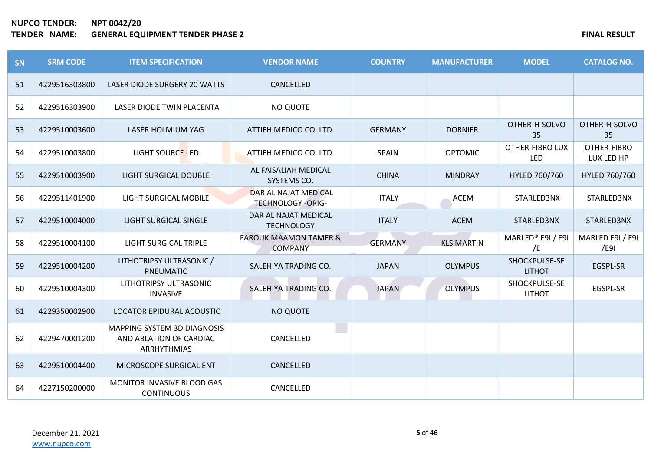| SN | <b>SRM CODE</b> | <b>ITEM SPECIFICATION</b>                                             | <b>VENDOR NAME</b>                                 | <b>COUNTRY</b> | <b>MANUFACTURER</b> | <b>MODEL</b>                   | <b>CATALOG NO.</b>        |
|----|-----------------|-----------------------------------------------------------------------|----------------------------------------------------|----------------|---------------------|--------------------------------|---------------------------|
| 51 | 4229516303800   | LASER DIODE SURGERY 20 WATTS                                          | CANCELLED                                          |                |                     |                                |                           |
| 52 | 4229516303900   | LASER DIODE TWIN PLACENTA                                             | NO QUOTE                                           |                |                     |                                |                           |
| 53 | 4229510003600   | LASER HOLMIUM YAG                                                     | ATTIEH MEDICO CO. LTD.                             | <b>GERMANY</b> | <b>DORNIER</b>      | OTHER-H-SOLVO<br>35            | OTHER-H-SOLVO<br>35       |
| 54 | 4229510003800   | <b>LIGHT SOURCE LED</b>                                               | ATTIEH MEDICO CO. LTD.                             | <b>SPAIN</b>   | <b>OPTOMIC</b>      | <b>OTHER-FIBRO LUX</b><br>LED  | OTHER-FIBRO<br>LUX LED HP |
| 55 | 4229510003900   | <b>LIGHT SURGICAL DOUBLE</b>                                          | AL FAISALIAH MEDICAL<br>SYSTEMS CO.                | <b>CHINA</b>   | <b>MINDRAY</b>      | HYLED 760/760                  | HYLED 760/760             |
| 56 | 4229511401900   | <b>LIGHT SURGICAL MOBILE</b>                                          | DAR AL NAJAT MEDICAL<br><b>TECHNOLOGY -ORIG-</b>   | <b>ITALY</b>   | <b>ACEM</b>         | STARLED3NX                     | STARLED3NX                |
| 57 | 4229510004000   | <b>LIGHT SURGICAL SINGLE</b>                                          | DAR AL NAJAT MEDICAL<br><b>TECHNOLOGY</b>          | <b>ITALY</b>   | <b>ACEM</b>         | STARLED3NX                     | STARLED3NX                |
| 58 | 4229510004100   | <b>LIGHT SURGICAL TRIPLE</b>                                          | <b>FAROUK MAAMON TAMER &amp;</b><br><b>COMPANY</b> | <b>GERMANY</b> | <b>KLS MARTIN</b>   | MARLED® E9I / E9I<br>/E        | MARLED E9I / E9I<br>/E9I  |
| 59 | 4229510004200   | LITHOTRIPSY ULTRASONIC /<br><b>PNEUMATIC</b>                          | SALEHIYA TRADING CO.                               | <b>JAPAN</b>   | <b>OLYMPUS</b>      | SHOCKPULSE-SE<br><b>LITHOT</b> | EGSPL-SR                  |
| 60 | 4229510004300   | LITHOTRIPSY ULTRASONIC<br><b>INVASIVE</b>                             | SALEHIYA TRADING CO.                               | <b>JAPAN</b>   | <b>OLYMPUS</b>      | SHOCKPULSE-SE<br><b>LITHOT</b> | EGSPL-SR                  |
| 61 | 4229350002900   | <b>LOCATOR EPIDURAL ACOUSTIC</b>                                      | NO QUOTE                                           |                |                     |                                |                           |
| 62 | 4229470001200   | MAPPING SYSTEM 3D DIAGNOSIS<br>AND ABLATION OF CARDIAC<br>ARRHYTHMIAS | CANCELLED                                          |                |                     |                                |                           |
| 63 | 4229510004400   | MICROSCOPE SURGICAL ENT                                               | CANCELLED                                          |                |                     |                                |                           |
| 64 | 4227150200000   | <b>MONITOR INVASIVE BLOOD GAS</b><br><b>CONTINUOUS</b>                | CANCELLED                                          |                |                     |                                |                           |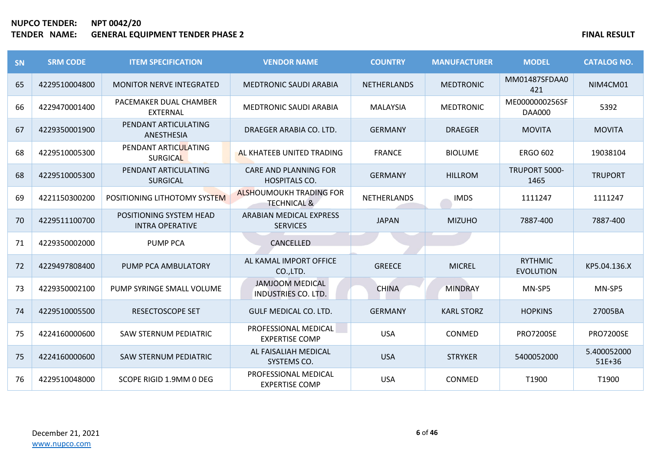| <b>SN</b> | <b>SRM CODE</b> | <b>ITEM SPECIFICATION</b>                         | <b>VENDOR NAME</b>                                       | <b>COUNTRY</b>     | <b>MANUFACTURER</b> | <b>MODEL</b>                       | <b>CATALOG NO.</b>    |
|-----------|-----------------|---------------------------------------------------|----------------------------------------------------------|--------------------|---------------------|------------------------------------|-----------------------|
| 65        | 4229510004800   | <b>MONITOR NERVE INTEGRATED</b>                   | <b>MEDTRONIC SAUDI ARABIA</b>                            | <b>NETHERLANDS</b> | <b>MEDTRONIC</b>    | MM01487SFDAA0<br>421               | NIM4CM01              |
| 66        | 4229470001400   | PACEMAKER DUAL CHAMBER<br><b>EXTERNAL</b>         | <b>MEDTRONIC SAUDI ARABIA</b>                            | <b>MALAYSIA</b>    | <b>MEDTRONIC</b>    | ME0000000256SF<br><b>DAA000</b>    | 5392                  |
| 67        | 4229350001900   | PENDANT ARTICULATING<br><b>ANESTHESIA</b>         | DRAEGER ARABIA CO. LTD.                                  | <b>GERMANY</b>     | <b>DRAEGER</b>      | <b>MOVITA</b>                      | <b>MOVITA</b>         |
| 68        | 4229510005300   | PENDANT ARTICULATING<br><b>SURGICAL</b>           | AL KHATEEB UNITED TRADING                                | <b>FRANCE</b>      | <b>BIOLUME</b>      | <b>ERGO 602</b>                    | 19038104              |
| 68        | 4229510005300   | PENDANT ARTICULATING<br><b>SURGICAL</b>           | <b>CARE AND PLANNING FOR</b><br><b>HOSPITALS CO.</b>     | <b>GERMANY</b>     | <b>HILLROM</b>      | TRUPORT 5000-<br>1465              | <b>TRUPORT</b>        |
| 69        | 4221150300200   | POSITIONING LITHOTOMY SYSTEM                      | <b>ALSHOUMOUKH TRADING FOR</b><br><b>TECHNICAL &amp;</b> | <b>NETHERLANDS</b> | <b>IMDS</b>         | 1111247                            | 1111247               |
| 70        | 4229511100700   | POSITIONING SYSTEM HEAD<br><b>INTRA OPERATIVE</b> | ARABIAN MEDICAL EXPRESS<br><b>SERVICES</b>               | <b>JAPAN</b>       | <b>MIZUHO</b>       | 7887-400                           | 7887-400              |
| 71        | 4229350002000   | <b>PUMP PCA</b>                                   | CANCELLED                                                |                    |                     |                                    |                       |
| 72        | 4229497808400   | PUMP PCA AMBULATORY                               | AL KAMAL IMPORT OFFICE<br>CO.,LTD.                       | <b>GREECE</b>      | <b>MICREL</b>       | <b>RYTHMIC</b><br><b>EVOLUTION</b> | KP5.04.136.X          |
| 73        | 4229350002100   | PUMP SYRINGE SMALL VOLUME                         | <b>JAMJOOM MEDICAL</b><br>INDUSTRIES CO. LTD.            | <b>CHINA</b>       | <b>MINDRAY</b>      | MN-SP5                             | MN-SP5                |
| 74        | 4229510005500   | RESECTOSCOPE SET                                  | GULF MEDICAL CO. LTD.                                    | <b>GERMANY</b>     | <b>KARL STORZ</b>   | <b>HOPKINS</b>                     | 27005BA               |
| 75        | 4224160000600   | <b>SAW STERNUM PEDIATRIC</b>                      | PROFESSIONAL MEDICAL<br><b>EXPERTISE COMP</b>            | <b>USA</b>         | CONMED              | <b>PRO7200SE</b>                   | <b>PRO7200SE</b>      |
| 75        | 4224160000600   | <b>SAW STERNUM PEDIATRIC</b>                      | AL FAISALIAH MEDICAL<br>SYSTEMS CO.                      | <b>USA</b>         | <b>STRYKER</b>      | 5400052000                         | 5.400052000<br>51E+36 |
| 76        | 4229510048000   | SCOPE RIGID 1.9MM 0 DEG                           | PROFESSIONAL MEDICAL<br><b>EXPERTISE COMP</b>            | <b>USA</b>         | CONMED              | T1900                              | T1900                 |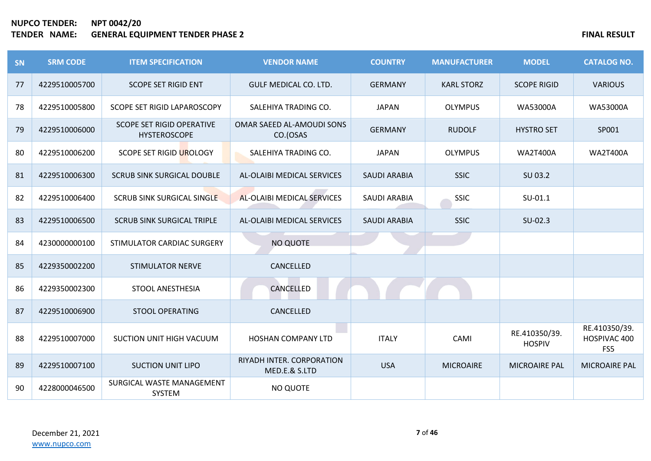| SN | <b>SRM CODE</b> | <b>ITEM SPECIFICATION</b>                               | <b>VENDOR NAME</b>                         | <b>COUNTRY</b>      | <b>MANUFACTURER</b> | <b>MODEL</b>                   | <b>CATALOG NO.</b>                   |
|----|-----------------|---------------------------------------------------------|--------------------------------------------|---------------------|---------------------|--------------------------------|--------------------------------------|
| 77 | 4229510005700   | <b>SCOPE SET RIGID ENT</b>                              | GULF MEDICAL CO. LTD.                      | <b>GERMANY</b>      | <b>KARL STORZ</b>   | <b>SCOPE RIGID</b>             | <b>VARIOUS</b>                       |
| 78 | 4229510005800   | SCOPE SET RIGID LAPAROSCOPY                             | SALEHIYA TRADING CO.                       | <b>JAPAN</b>        | <b>OLYMPUS</b>      | WA53000A                       | <b>WA53000A</b>                      |
| 79 | 4229510006000   | <b>SCOPE SET RIGID OPERATIVE</b><br><b>HYSTEROSCOPE</b> | OMAR SAEED AL-AMOUDI SONS<br>CO.(OSAS      | <b>GERMANY</b>      | <b>RUDOLF</b>       | <b>HYSTRO SET</b>              | SP001                                |
| 80 | 4229510006200   | <b>SCOPE SET RIGID UROLOGY</b>                          | SALEHIYA TRADING CO.                       | <b>JAPAN</b>        | <b>OLYMPUS</b>      | <b>WA2T400A</b>                | <b>WA2T400A</b>                      |
| 81 | 4229510006300   | <b>SCRUB SINK SURGICAL DOUBLE</b>                       | AL-OLAIBI MEDICAL SERVICES                 | <b>SAUDI ARABIA</b> | <b>SSIC</b>         | SU 03.2                        |                                      |
| 82 | 4229510006400   | <b>SCRUB SINK SURGICAL SINGLE</b>                       | AL-OLAIBI MEDICAL SERVICES                 | <b>SAUDI ARABIA</b> | <b>SSIC</b>         | $SU-01.1$                      |                                      |
| 83 | 4229510006500   | <b>SCRUB SINK SURGICAL TRIPLE</b>                       | AL-OLAIBI MEDICAL SERVICES                 | <b>SAUDI ARABIA</b> | <b>SSIC</b>         | $SU-02.3$                      |                                      |
| 84 | 4230000000100   | STIMULATOR CARDIAC SURGERY                              | NO QUOTE                                   |                     |                     |                                |                                      |
| 85 | 4229350002200   | <b>STIMULATOR NERVE</b>                                 | CANCELLED                                  |                     |                     |                                |                                      |
| 86 | 4229350002300   | <b>STOOL ANESTHESIA</b>                                 | CANCELLED                                  |                     |                     |                                |                                      |
| 87 | 4229510006900   | <b>STOOL OPERATING</b>                                  | CANCELLED                                  |                     |                     |                                |                                      |
| 88 | 4229510007000   | SUCTION UNIT HIGH VACUUM                                | <b>HOSHAN COMPANY LTD</b>                  | <b>ITALY</b>        | CAMI                | RE.410350/39.<br><b>HOSPIV</b> | RE.410350/39.<br>HOSPIVAC 400<br>FS5 |
| 89 | 4229510007100   | <b>SUCTION UNIT LIPO</b>                                | RIYADH INTER. CORPORATION<br>MED.E.& S.LTD | <b>USA</b>          | <b>MICROAIRE</b>    | <b>MICROAIRE PAL</b>           | <b>MICROAIRE PAL</b>                 |
| 90 | 4228000046500   | SURGICAL WASTE MANAGEMENT<br>SYSTEM                     | NO QUOTE                                   |                     |                     |                                |                                      |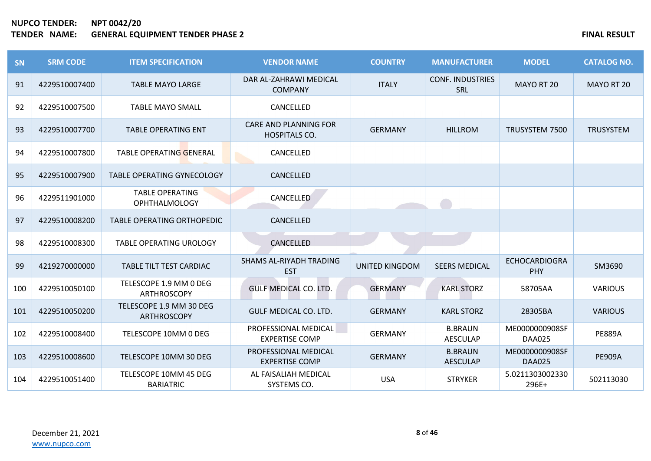| <b>SN</b> | <b>SRM CODE</b> | <b>ITEM SPECIFICATION</b>                      | <b>VENDOR NAME</b>                                   | <b>COUNTRY</b>        | <b>MANUFACTURER</b>               | <b>MODEL</b>                       | <b>CATALOG NO.</b> |
|-----------|-----------------|------------------------------------------------|------------------------------------------------------|-----------------------|-----------------------------------|------------------------------------|--------------------|
| 91        | 4229510007400   | <b>TABLE MAYO LARGE</b>                        | DAR AL-ZAHRAWI MEDICAL<br><b>COMPANY</b>             | <b>ITALY</b>          | <b>CONF. INDUSTRIES</b><br>SRL    | MAYO RT 20                         | MAYO RT 20         |
| 92        | 4229510007500   | <b>TABLE MAYO SMALL</b>                        | CANCELLED                                            |                       |                                   |                                    |                    |
| 93        | 4229510007700   | <b>TABLE OPERATING ENT</b>                     | <b>CARE AND PLANNING FOR</b><br><b>HOSPITALS CO.</b> | <b>GERMANY</b>        | <b>HILLROM</b>                    | TRUSYSTEM 7500                     | <b>TRUSYSTEM</b>   |
| 94        | 4229510007800   | <b>TABLE OPERATING GENERAL</b>                 | CANCELLED                                            |                       |                                   |                                    |                    |
| 95        | 4229510007900   | TABLE OPERATING GYNECOLOGY                     | CANCELLED                                            |                       |                                   |                                    |                    |
| 96        | 4229511901000   | <b>TABLE OPERATING</b><br><b>OPHTHALMOLOGY</b> | CANCELLED                                            |                       |                                   |                                    |                    |
| 97        | 4229510008200   | <b>TABLE OPERATING ORTHOPEDIC</b>              | CANCELLED                                            |                       |                                   |                                    |                    |
| 98        | 4229510008300   | <b>TABLE OPERATING UROLOGY</b>                 | CANCELLED                                            |                       |                                   |                                    |                    |
| 99        | 4219270000000   | TABLE TILT TEST CARDIAC                        | SHAMS AL-RIYADH TRADING<br><b>EST</b>                | <b>UNITED KINGDOM</b> | <b>SEERS MEDICAL</b>              | <b>ECHOCARDIOGRA</b><br><b>PHY</b> | SM3690             |
| 100       | 4229510050100   | TELESCOPE 1.9 MM 0 DEG<br>ARTHROSCOPY          | <b>GULF MEDICAL CO. LTD.</b>                         | <b>GERMANY</b>        | <b>KARL STORZ</b>                 | 58705AA                            | <b>VARIOUS</b>     |
| 101       | 4229510050200   | TELESCOPE 1.9 MM 30 DEG<br><b>ARTHROSCOPY</b>  | GULF MEDICAL CO. LTD.                                | <b>GERMANY</b>        | <b>KARL STORZ</b>                 | 28305BA                            | <b>VARIOUS</b>     |
| 102       | 4229510008400   | TELESCOPE 10MM 0 DEG                           | PROFESSIONAL MEDICAL<br><b>EXPERTISE COMP</b>        | <b>GERMANY</b>        | <b>B.BRAUN</b><br><b>AESCULAP</b> | ME0000000908SF<br><b>DAA025</b>    | <b>PE889A</b>      |
| 103       | 4229510008600   | TELESCOPE 10MM 30 DEG                          | PROFESSIONAL MEDICAL<br><b>EXPERTISE COMP</b>        | <b>GERMANY</b>        | <b>B.BRAUN</b><br><b>AESCULAP</b> | ME0000000908SF<br><b>DAA025</b>    | <b>PE909A</b>      |
| 104       | 4229510051400   | TELESCOPE 10MM 45 DEG<br><b>BARIATRIC</b>      | AL FAISALIAH MEDICAL<br>SYSTEMS CO.                  | <b>USA</b>            | <b>STRYKER</b>                    | 5.0211303002330<br>296E+           | 502113030          |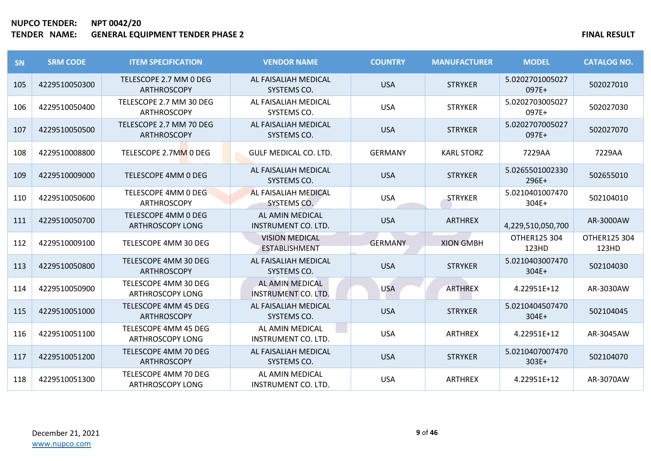| SN  | <b>SRM CODE</b> | <b>ITEM SPECIFICATION</b>                       | <b>VENDOR NAME</b>                            | <b>COUNTRY</b> | <b>MANUFACTURER</b> | <b>MODEL</b>             | <b>CATALOG NO.</b>    |
|-----|-----------------|-------------------------------------------------|-----------------------------------------------|----------------|---------------------|--------------------------|-----------------------|
| 105 | 4229510050300   | TELESCOPE 2.7 MM 0 DEG<br><b>ARTHROSCOPY</b>    | AL FAISALIAH MEDICAL<br>SYSTEMS CO.           | <b>USA</b>     | <b>STRYKER</b>      | 5.0202701005027<br>097E+ | 502027010             |
| 106 | 4229510050400   | TELESCOPE 2.7 MM 30 DEG<br>ARTHROSCOPY          | AL FAISALIAH MEDICAL<br>SYSTEMS CO.           | <b>USA</b>     | <b>STRYKER</b>      | 5.0202703005027<br>097E+ | 502027030             |
| 107 | 4229510050500   | TELESCOPE 2.7 MM 70 DEG<br>ARTHROSCOPY          | AL FAISALIAH MEDICAL<br>SYSTEMS CO.           | <b>USA</b>     | <b>STRYKER</b>      | 5.0202707005027<br>097E+ | 502027070             |
| 108 | 4229510008800   | TELESCOPE 2.7MM 0 DEG                           | GULF MEDICAL CO. LTD.                         | <b>GERMANY</b> | <b>KARL STORZ</b>   | 7229AA                   | 7229AA                |
| 109 | 4229510009000   | TELESCOPE 4MM 0 DEG                             | AL FAISALIAH MEDICAL<br>SYSTEMS CO.           | <b>USA</b>     | <b>STRYKER</b>      | 5.0265501002330<br>296E+ | 502655010             |
| 110 | 4229510050600   | TELESCOPE 4MM 0 DEG<br>ARTHROSCOPY              | AL FAISALIAH MEDICAL<br>SYSTEMS CO.           | <b>USA</b>     | <b>STRYKER</b>      | 5.0210401007470<br>304E+ | 502104010             |
| 111 | 4229510050700   | TELESCOPE 4MM 0 DEG<br><b>ARTHROSCOPY LONG</b>  | AL AMIN MEDICAL<br>INSTRUMENT CO. LTD.        | <b>USA</b>     | <b>ARTHREX</b>      | 4,229,510,050,700        | AR-3000AW             |
| 112 | 4229510009100   | TELESCOPE 4MM 30 DEG                            | <b>VISION MEDICAL</b><br><b>ESTABLISHMENT</b> | <b>GERMANY</b> | <b>XION GMBH</b>    | OTHER125 304<br>123HD    | OTHER125 304<br>123HD |
| 113 | 4229510050800   | TELESCOPE 4MM 30 DEG<br><b>ARTHROSCOPY</b>      | AL FAISALIAH MEDICAL<br>SYSTEMS CO.           | <b>USA</b>     | <b>STRYKER</b>      | 5.0210403007470<br>304E+ | 502104030             |
| 114 | 4229510050900   | TELESCOPE 4MM 30 DEG<br><b>ARTHROSCOPY LONG</b> | AL AMIN MEDICAL<br>INSTRUMENT CO. LTD.        | <b>USA</b>     | <b>ARTHREX</b>      | 4.22951E+12              | AR-3030AW             |
| 115 | 4229510051000   | TELESCOPE 4MM 45 DEG<br>ARTHROSCOPY             | AL FAISALIAH MEDICAL<br>SYSTEMS CO.           | <b>USA</b>     | <b>STRYKER</b>      | 5.0210404507470<br>304E+ | 502104045             |
| 116 | 4229510051100   | TELESCOPE 4MM 45 DEG<br><b>ARTHROSCOPY LONG</b> | AL AMIN MEDICAL<br><b>INSTRUMENT CO. LTD.</b> | <b>USA</b>     | <b>ARTHREX</b>      | 4.22951E+12              | AR-3045AW             |
| 117 | 4229510051200   | TELESCOPE 4MM 70 DEG<br>ARTHROSCOPY             | AL FAISALIAH MEDICAL<br>SYSTEMS CO.           | <b>USA</b>     | <b>STRYKER</b>      | 5.0210407007470<br>303E+ | 502104070             |
| 118 | 4229510051300   | TELESCOPE 4MM 70 DEG<br><b>ARTHROSCOPY LONG</b> | AL AMIN MEDICAL<br><b>INSTRUMENT CO. LTD.</b> | <b>USA</b>     | ARTHREX             | 4.22951E+12              | AR-3070AW             |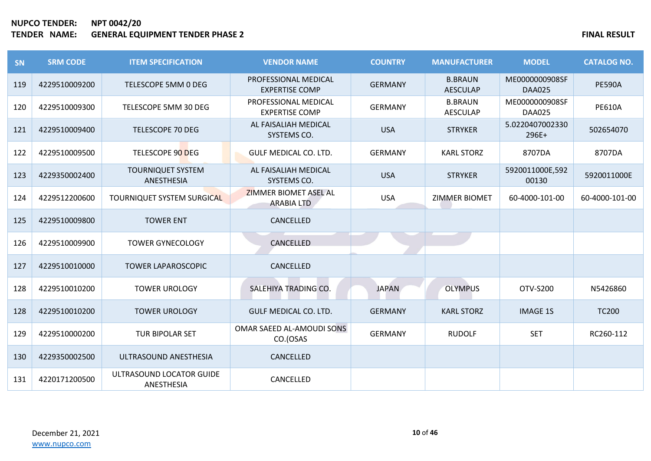| SN  | <b>SRM CODE</b> | <b>ITEM SPECIFICATION</b>              | <b>VENDOR NAME</b>                                | <b>COUNTRY</b> | <b>MANUFACTURER</b>               | <b>MODEL</b>                    | <b>CATALOG NO.</b> |
|-----|-----------------|----------------------------------------|---------------------------------------------------|----------------|-----------------------------------|---------------------------------|--------------------|
| 119 | 4229510009200   | TELESCOPE 5MM 0 DEG                    | PROFESSIONAL MEDICAL<br><b>EXPERTISE COMP</b>     | <b>GERMANY</b> | <b>B.BRAUN</b><br><b>AESCULAP</b> | ME0000000908SF<br><b>DAA025</b> | <b>PE590A</b>      |
| 120 | 4229510009300   | TELESCOPE 5MM 30 DEG                   | PROFESSIONAL MEDICAL<br><b>EXPERTISE COMP</b>     | <b>GERMANY</b> | <b>B.BRAUN</b><br><b>AESCULAP</b> | ME0000000908SF<br><b>DAA025</b> | <b>PE610A</b>      |
| 121 | 4229510009400   | <b>TELESCOPE 70 DEG</b>                | AL FAISALIAH MEDICAL<br>SYSTEMS CO.               | <b>USA</b>     | <b>STRYKER</b>                    | 5.0220407002330<br>296E+        | 502654070          |
| 122 | 4229510009500   | TELESCOPE 90 DEG                       | GULF MEDICAL CO. LTD.                             | <b>GERMANY</b> | <b>KARL STORZ</b>                 | 8707DA                          | 8707DA             |
| 123 | 4229350002400   | <b>TOURNIQUET SYSTEM</b><br>ANESTHESIA | AL FAISALIAH MEDICAL<br>SYSTEMS CO.               | <b>USA</b>     | <b>STRYKER</b>                    | 5920011000E,592<br>00130        | 5920011000E        |
| 124 | 4229512200600   | TOURNIQUET SYSTEM SURGICAL             | <b>ZIMMER BIOMET ASEL AL</b><br><b>ARABIA LTD</b> | <b>USA</b>     | ZIMMER BIOMET                     | 60-4000-101-00                  | 60-4000-101-00     |
| 125 | 4229510009800   | <b>TOWER ENT</b>                       | CANCELLED                                         |                |                                   |                                 |                    |
| 126 | 4229510009900   | <b>TOWER GYNECOLOGY</b>                | CANCELLED                                         |                |                                   |                                 |                    |
| 127 | 4229510010000   | <b>TOWER LAPAROSCOPIC</b>              | CANCELLED                                         |                |                                   |                                 |                    |
| 128 | 4229510010200   | <b>TOWER UROLOGY</b>                   | SALEHIYA TRADING CO.                              | <b>JAPAN</b>   | <b>OLYMPUS</b>                    | OTV-S200                        | N5426860           |
| 128 | 4229510010200   | <b>TOWER UROLOGY</b>                   | GULF MEDICAL CO. LTD.                             | <b>GERMANY</b> | <b>KARL STORZ</b>                 | <b>IMAGE 1S</b>                 | <b>TC200</b>       |
| 129 | 4229510000200   | TUR BIPOLAR SET                        | OMAR SAEED AL-AMOUDI SONS<br>CO.(OSAS             | <b>GERMANY</b> | <b>RUDOLF</b>                     | <b>SET</b>                      | RC260-112          |
| 130 | 4229350002500   | ULTRASOUND ANESTHESIA                  | CANCELLED                                         |                |                                   |                                 |                    |
| 131 | 4220171200500   | ULTRASOUND LOCATOR GUIDE<br>ANESTHESIA | CANCELLED                                         |                |                                   |                                 |                    |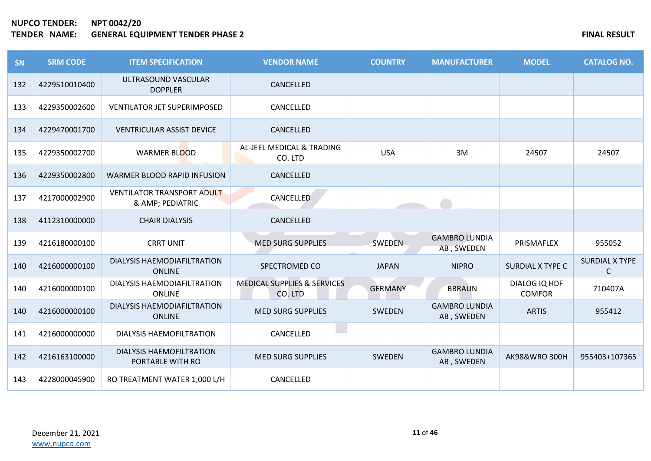| SN  | <b>SRM CODE</b> | <b>ITEM SPECIFICATION</b>                             | <b>VENDOR NAME</b>                                | <b>COUNTRY</b> | <b>MANUFACTURER</b>                | <b>MODEL</b>                   | <b>CATALOG NO.</b>         |
|-----|-----------------|-------------------------------------------------------|---------------------------------------------------|----------------|------------------------------------|--------------------------------|----------------------------|
| 132 | 4229510010400   | ULTRASOUND VASCULAR<br><b>DOPPLER</b>                 | CANCELLED                                         |                |                                    |                                |                            |
| 133 | 4229350002600   | <b>VENTILATOR JET SUPERIMPOSED</b>                    | CANCELLED                                         |                |                                    |                                |                            |
| 134 | 4229470001700   | <b>VENTRICULAR ASSIST DEVICE</b>                      | CANCELLED                                         |                |                                    |                                |                            |
| 135 | 4229350002700   | WARMER BLOOD                                          | AL-JEEL MEDICAL & TRADING<br>CO. LTD              | <b>USA</b>     | 3M                                 | 24507                          | 24507                      |
| 136 | 4229350002800   | WARMER BLOOD RAPID INFUSION                           | CANCELLED                                         |                |                                    |                                |                            |
| 137 | 4217000002900   | <b>VENTILATOR TRANSPORT ADULT</b><br>& AMP; PEDIATRIC | CANCELLED                                         |                |                                    |                                |                            |
| 138 | 4112310000000   | <b>CHAIR DIALYSIS</b>                                 | CANCELLED                                         |                |                                    |                                |                            |
| 139 | 4216180000100   | <b>CRRT UNIT</b>                                      | <b>MED SURG SUPPLIES</b>                          | SWEDEN         | <b>GAMBRO LUNDIA</b><br>AB, SWEDEN | PRISMAFLEX                     | 955052                     |
| 140 | 4216000000100   | DIALYSIS HAEMODIAFILTRATION<br><b>ONLINE</b>          | SPECTROMED CO                                     | <b>JAPAN</b>   | <b>NIPRO</b>                       | <b>SURDIAL X TYPE C</b>        | <b>SURDIAL X TYPE</b><br>C |
| 140 | 4216000000100   | DIALYSIS HAEMODIAFILTRATION<br><b>ONLINE</b>          | <b>MEDICAL SUPPLIES &amp; SERVICES</b><br>CO. LTD | <b>GERMANY</b> | <b>BBRAUN</b>                      | DIALOG IQ HDF<br><b>COMFOR</b> | 710407A                    |
| 140 | 4216000000100   | DIALYSIS HAEMODIAFILTRATION<br><b>ONLINE</b>          | <b>MED SURG SUPPLIES</b>                          | <b>SWEDEN</b>  | <b>GAMBRO LUNDIA</b><br>AB, SWEDEN | <b>ARTIS</b>                   | 955412                     |
| 141 | 4216000000000   | DIALYSIS HAEMOFILTRATION                              | CANCELLED                                         |                |                                    |                                |                            |
| 142 | 4216163100000   | <b>DIALYSIS HAEMOFILTRATION</b><br>PORTABLE WITH RO   | <b>MED SURG SUPPLIES</b>                          | SWEDEN         | <b>GAMBRO LUNDIA</b><br>AB, SWEDEN | <b>AK98&amp;WRO 300H</b>       | 955403+107365              |
| 143 | 4228000045900   | RO TREATMENT WATER 1,000 L/H                          | CANCELLED                                         |                |                                    |                                |                            |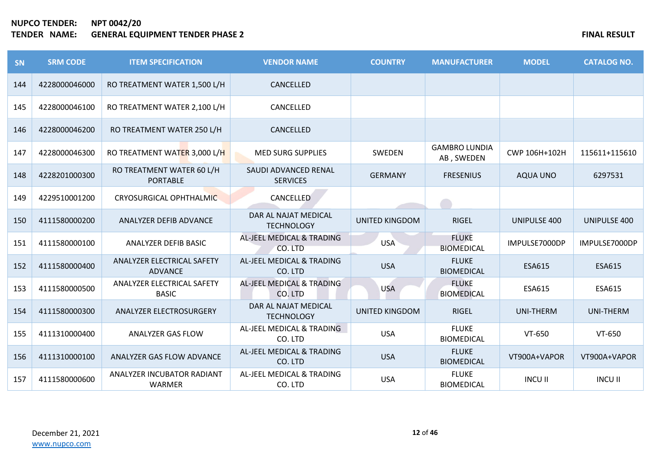| SN  | <b>SRM CODE</b> | <b>ITEM SPECIFICATION</b>                    | <b>VENDOR NAME</b>                        | <b>COUNTRY</b>        | <b>MANUFACTURER</b>                | <b>MODEL</b>     | <b>CATALOG NO.</b> |
|-----|-----------------|----------------------------------------------|-------------------------------------------|-----------------------|------------------------------------|------------------|--------------------|
| 144 | 4228000046000   | RO TREATMENT WATER 1,500 L/H                 | CANCELLED                                 |                       |                                    |                  |                    |
| 145 | 4228000046100   | RO TREATMENT WATER 2,100 L/H                 | CANCELLED                                 |                       |                                    |                  |                    |
| 146 | 4228000046200   | RO TREATMENT WATER 250 L/H                   | CANCELLED                                 |                       |                                    |                  |                    |
| 147 | 4228000046300   | RO TREATMENT WATER 3,000 L/H                 | <b>MED SURG SUPPLIES</b>                  | SWEDEN                | <b>GAMBRO LUNDIA</b><br>AB, SWEDEN | CWP 106H+102H    | 115611+115610      |
| 148 | 4228201000300   | RO TREATMENT WATER 60 L/H<br><b>PORTABLE</b> | SAUDI ADVANCED RENAL<br><b>SERVICES</b>   | <b>GERMANY</b>        | <b>FRESENIUS</b>                   | <b>AQUA UNO</b>  | 6297531            |
| 149 | 4229510001200   | <b>CRYOSURGICAL OPHTHALMIC</b>               | CANCELLED                                 |                       |                                    |                  |                    |
| 150 | 4111580000200   | ANALYZER DEFIB ADVANCE                       | DAR AL NAJAT MEDICAL<br><b>TECHNOLOGY</b> | <b>UNITED KINGDOM</b> | <b>RIGEL</b>                       | UNIPULSE 400     | UNIPULSE 400       |
| 151 | 4111580000100   | ANALYZER DEFIB BASIC                         | AL-JEEL MEDICAL & TRADING<br>CO. LTD      | <b>USA</b>            | <b>FLUKE</b><br><b>BIOMEDICAL</b>  | IMPULSE7000DP    | IMPULSE7000DP      |
| 152 | 4111580000400   | ANALYZER ELECTRICAL SAFETY<br><b>ADVANCE</b> | AL-JEEL MEDICAL & TRADING<br>CO. LTD      | <b>USA</b>            | <b>FLUKE</b><br><b>BIOMEDICAL</b>  | ESA615           | ESA615             |
| 153 | 4111580000500   | ANALYZER ELECTRICAL SAFETY<br><b>BASIC</b>   | AL-JEEL MEDICAL & TRADING<br>CO. LTD      | <b>USA</b>            | <b>FLUKE</b><br><b>BIOMEDICAL</b>  | <b>ESA615</b>    | ESA615             |
| 154 | 4111580000300   | ANALYZER ELECTROSURGERY                      | DAR AL NAJAT MEDICAL<br><b>TECHNOLOGY</b> | <b>UNITED KINGDOM</b> | <b>RIGEL</b>                       | <b>UNI-THERM</b> | UNI-THERM          |
| 155 | 4111310000400   | <b>ANALYZER GAS FLOW</b>                     | AL-JEEL MEDICAL & TRADING<br>CO. LTD      | <b>USA</b>            | <b>FLUKE</b><br><b>BIOMEDICAL</b>  | VT-650           | VT-650             |
| 156 | 4111310000100   | ANALYZER GAS FLOW ADVANCE                    | AL-JEEL MEDICAL & TRADING<br>CO. LTD      | <b>USA</b>            | <b>FLUKE</b><br><b>BIOMEDICAL</b>  | VT900A+VAPOR     | VT900A+VAPOR       |
| 157 | 4111580000600   | ANALYZER INCUBATOR RADIANT<br><b>WARMER</b>  | AL-JEEL MEDICAL & TRADING<br>CO. LTD      | <b>USA</b>            | <b>FLUKE</b><br><b>BIOMEDICAL</b>  | <b>INCU II</b>   | <b>INCU II</b>     |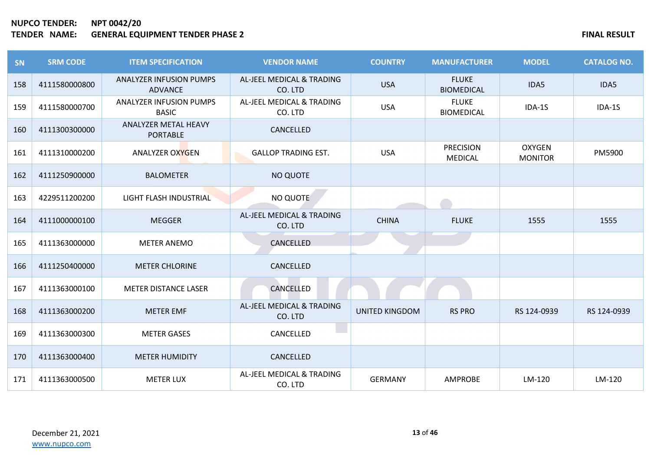| SN  | <b>SRM CODE</b> | <b>ITEM SPECIFICATION</b>                      | <b>VENDOR NAME</b>                   | <b>COUNTRY</b>        | <b>MANUFACTURER</b>                | <b>MODEL</b>                    | <b>CATALOG NO.</b> |
|-----|-----------------|------------------------------------------------|--------------------------------------|-----------------------|------------------------------------|---------------------------------|--------------------|
| 158 | 4111580000800   | ANALYZER INFUSION PUMPS<br>ADVANCE             | AL-JEEL MEDICAL & TRADING<br>CO. LTD | <b>USA</b>            | <b>FLUKE</b><br><b>BIOMEDICAL</b>  | IDA5                            | IDA5               |
| 159 | 4111580000700   | <b>ANALYZER INFUSION PUMPS</b><br><b>BASIC</b> | AL-JEEL MEDICAL & TRADING<br>CO. LTD | <b>USA</b>            | <b>FLUKE</b><br><b>BIOMEDICAL</b>  | IDA-1S                          | IDA-1S             |
| 160 | 4111300300000   | <b>ANALYZER METAL HEAVY</b><br><b>PORTABLE</b> | CANCELLED                            |                       |                                    |                                 |                    |
| 161 | 4111310000200   | <b>ANALYZER OXYGEN</b>                         | <b>GALLOP TRADING EST.</b>           | <b>USA</b>            | <b>PRECISION</b><br><b>MEDICAL</b> | <b>OXYGEN</b><br><b>MONITOR</b> | PM5900             |
| 162 | 4111250900000   | <b>BALOMETER</b>                               | NO QUOTE                             |                       |                                    |                                 |                    |
| 163 | 4229511200200   | LIGHT FLASH INDUSTRIAL                         | NO QUOTE                             |                       |                                    |                                 |                    |
| 164 | 4111000000100   | <b>MEGGER</b>                                  | AL-JEEL MEDICAL & TRADING<br>CO. LTD | <b>CHINA</b>          | <b>FLUKE</b>                       | 1555                            | 1555               |
| 165 | 4111363000000   | <b>METER ANEMO</b>                             | CANCELLED                            |                       |                                    |                                 |                    |
| 166 | 4111250400000   | <b>METER CHLORINE</b>                          | CANCELLED                            |                       |                                    |                                 |                    |
| 167 | 4111363000100   | <b>METER DISTANCE LASER</b>                    | CANCELLED                            |                       |                                    |                                 |                    |
| 168 | 4111363000200   | <b>METER EMF</b>                               | AL-JEEL MEDICAL & TRADING<br>CO. LTD | <b>UNITED KINGDOM</b> | <b>RS PRO</b>                      | RS 124-0939                     | RS 124-0939        |
| 169 | 4111363000300   | <b>METER GASES</b>                             | CANCELLED                            |                       |                                    |                                 |                    |
| 170 | 4111363000400   | <b>METER HUMIDITY</b>                          | CANCELLED                            |                       |                                    |                                 |                    |
| 171 | 4111363000500   | <b>METER LUX</b>                               | AL-JEEL MEDICAL & TRADING<br>CO. LTD | <b>GERMANY</b>        | <b>AMPROBE</b>                     | LM-120                          | LM-120             |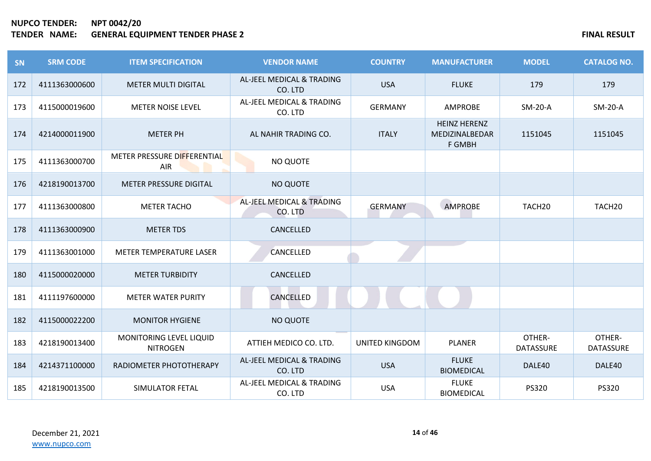| SN  | <b>SRM CODE</b> | <b>ITEM SPECIFICATION</b>                  | <b>VENDOR NAME</b>                   | <b>COUNTRY</b> | <b>MANUFACTURER</b>                             | <b>MODEL</b>               | <b>CATALOG NO.</b>         |
|-----|-----------------|--------------------------------------------|--------------------------------------|----------------|-------------------------------------------------|----------------------------|----------------------------|
| 172 | 4111363000600   | METER MULTI DIGITAL                        | AL-JEEL MEDICAL & TRADING<br>CO. LTD | <b>USA</b>     | <b>FLUKE</b>                                    | 179                        | 179                        |
| 173 | 4115000019600   | <b>METER NOISE LEVEL</b>                   | AL-JEEL MEDICAL & TRADING<br>CO. LTD | <b>GERMANY</b> | AMPROBE                                         | <b>SM-20-A</b>             | SM-20-A                    |
| 174 | 4214000011900   | <b>METER PH</b>                            | AL NAHIR TRADING CO.                 | <b>ITALY</b>   | <b>HEINZ HERENZ</b><br>MEDIZINALBEDAR<br>F GMBH | 1151045                    | 1151045                    |
| 175 | 4111363000700   | METER PRESSURE DIFFERENTIAL<br>AIR         | NO QUOTE                             |                |                                                 |                            |                            |
| 176 | 4218190013700   | METER PRESSURE DIGITAL                     | <b>NO QUOTE</b>                      |                |                                                 |                            |                            |
| 177 | 4111363000800   | <b>METER TACHO</b>                         | AL-JEEL MEDICAL & TRADING<br>CO. LTD | <b>GERMANY</b> | AMPROBE                                         | TACH <sub>20</sub>         | TACH <sub>20</sub>         |
| 178 | 4111363000900   | <b>METER TDS</b>                           | CANCELLED                            |                |                                                 |                            |                            |
| 179 | 4111363001000   | <b>METER TEMPERATURE LASER</b>             | CANCELLED                            |                |                                                 |                            |                            |
| 180 | 4115000020000   | <b>METER TURBIDITY</b>                     | CANCELLED                            |                |                                                 |                            |                            |
| 181 | 4111197600000   | <b>METER WATER PURITY</b>                  | CANCELLED                            |                |                                                 |                            |                            |
| 182 | 4115000022200   | <b>MONITOR HYGIENE</b>                     | NO QUOTE                             |                |                                                 |                            |                            |
| 183 | 4218190013400   | MONITORING LEVEL LIQUID<br><b>NITROGEN</b> | ATTIEH MEDICO CO. LTD.               | UNITED KINGDOM | <b>PLANER</b>                                   | OTHER-<br><b>DATASSURE</b> | OTHER-<br><b>DATASSURE</b> |
| 184 | 4214371100000   | RADIOMETER PHOTOTHERAPY                    | AL-JEEL MEDICAL & TRADING<br>CO. LTD | <b>USA</b>     | <b>FLUKE</b><br><b>BIOMEDICAL</b>               | DALE40                     | DALE40                     |
| 185 | 4218190013500   | SIMULATOR FETAL                            | AL-JEEL MEDICAL & TRADING<br>CO. LTD | <b>USA</b>     | <b>FLUKE</b><br><b>BIOMEDICAL</b>               | <b>PS320</b>               | <b>PS320</b>               |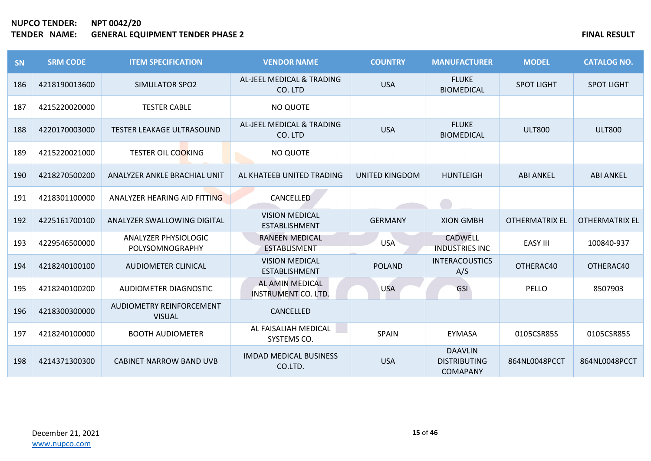| SN  | <b>SRM CODE</b> | <b>ITEM SPECIFICATION</b>                 | <b>VENDOR NAME</b>                            | <b>COUNTRY</b>        | <b>MANUFACTURER</b>                                      | <b>MODEL</b>          | <b>CATALOG NO.</b>    |
|-----|-----------------|-------------------------------------------|-----------------------------------------------|-----------------------|----------------------------------------------------------|-----------------------|-----------------------|
| 186 | 4218190013600   | SIMULATOR SPO2                            | AL-JEEL MEDICAL & TRADING<br>CO. LTD          | <b>USA</b>            | <b>FLUKE</b><br><b>BIOMEDICAL</b>                        | <b>SPOT LIGHT</b>     | <b>SPOT LIGHT</b>     |
| 187 | 4215220020000   | <b>TESTER CABLE</b>                       | <b>NO QUOTE</b>                               |                       |                                                          |                       |                       |
| 188 | 4220170003000   | <b>TESTER LEAKAGE ULTRASOUND</b>          | AL-JEEL MEDICAL & TRADING<br>CO. LTD          | <b>USA</b>            | <b>FLUKE</b><br><b>BIOMEDICAL</b>                        | <b>ULT800</b>         | <b>ULT800</b>         |
| 189 | 4215220021000   | <b>TESTER OIL COOKING</b>                 | NO QUOTE                                      |                       |                                                          |                       |                       |
| 190 | 4218270500200   | ANALYZER ANKLE BRACHIAL UNIT              | AL KHATEEB UNITED TRADING                     | <b>UNITED KINGDOM</b> | <b>HUNTLEIGH</b>                                         | <b>ABI ANKEL</b>      | <b>ABI ANKEL</b>      |
| 191 | 4218301100000   | ANALYZER HEARING AID FITTING              | CANCELLED                                     |                       |                                                          |                       |                       |
| 192 | 4225161700100   | ANALYZER SWALLOWING DIGITAL               | <b>VISION MEDICAL</b><br><b>ESTABLISHMENT</b> | <b>GERMANY</b>        | <b>XION GMBH</b>                                         | <b>OTHERMATRIX EL</b> | <b>OTHERMATRIX EL</b> |
| 193 | 4229546500000   | ANALYZER PHYSIOLOGIC<br>POLYSOMNOGRAPHY   | <b>RANEEN MEDICAL</b><br><b>ESTABLISMENT</b>  | <b>USA</b>            | CADWELL<br><b>INDUSTRIES INC</b>                         | <b>EASY III</b>       | 100840-937            |
| 194 | 4218240100100   | <b>AUDIOMETER CLINICAL</b>                | <b>VISION MEDICAL</b><br><b>ESTABLISHMENT</b> | <b>POLAND</b>         | <b>INTERACOUSTICS</b><br>A/S                             | OTHERAC40             | OTHERAC40             |
| 195 | 4218240100200   | AUDIOMETER DIAGNOSTIC                     | AL AMIN MEDICAL<br>INSTRUMENT CO. LTD.        | <b>USA</b>            | <b>GSI</b>                                               | PELLO                 | 8507903               |
| 196 | 4218300300000   | AUDIOMETRY REINFORCEMENT<br><b>VISUAL</b> | CANCELLED                                     |                       |                                                          |                       |                       |
| 197 | 4218240100000   | <b>BOOTH AUDIOMETER</b>                   | AL FAISALIAH MEDICAL<br>SYSTEMS CO.           | <b>SPAIN</b>          | EYMASA                                                   | 0105CSR85S            | 0105CSR85S            |
| 198 | 4214371300300   | <b>CABINET NARROW BAND UVB</b>            | <b>IMDAD MEDICAL BUSINESS</b><br>CO.LTD.      | <b>USA</b>            | <b>DAAVLIN</b><br><b>DISTRIBUTING</b><br><b>COMAPANY</b> | 864NL0048PCCT         | 864NL0048PCCT         |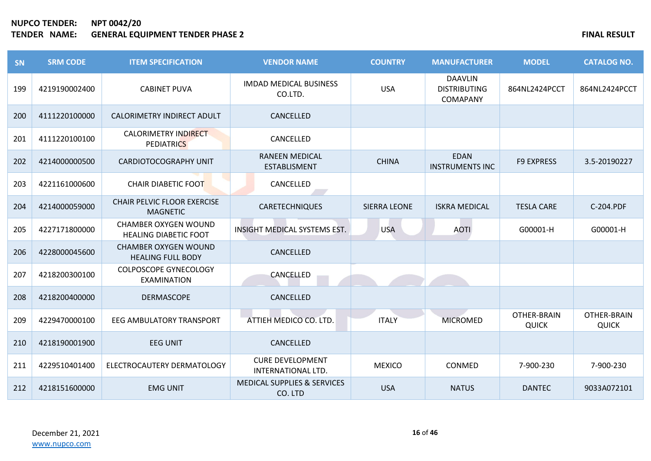| SN  | <b>SRM CODE</b> | <b>ITEM SPECIFICATION</b>                                   | <b>VENDOR NAME</b>                                | <b>COUNTRY</b>      | <b>MANUFACTURER</b>                               | <b>MODEL</b>                | <b>CATALOG NO.</b>          |
|-----|-----------------|-------------------------------------------------------------|---------------------------------------------------|---------------------|---------------------------------------------------|-----------------------------|-----------------------------|
| 199 | 4219190002400   | <b>CABINET PUVA</b>                                         | <b>IMDAD MEDICAL BUSINESS</b><br>CO.LTD.          | <b>USA</b>          | <b>DAAVLIN</b><br><b>DISTRIBUTING</b><br>COMAPANY | 864NL2424PCCT               | 864NL2424PCCT               |
| 200 | 4111220100000   | CALORIMETRY INDIRECT ADULT                                  | CANCELLED                                         |                     |                                                   |                             |                             |
| 201 | 4111220100100   | <b>CALORIMETRY INDIRECT</b><br><b>PEDIATRICS</b>            | CANCELLED                                         |                     |                                                   |                             |                             |
| 202 | 4214000000500   | <b>CARDIOTOCOGRAPHY UNIT</b>                                | <b>RANEEN MEDICAL</b><br><b>ESTABLISMENT</b>      | <b>CHINA</b>        | <b>EDAN</b><br><b>INSTRUMENTS INC</b>             | <b>F9 EXPRESS</b>           | 3.5-20190227                |
| 203 | 4221161000600   | <b>CHAIR DIABETIC FOOT</b>                                  | CANCELLED                                         |                     |                                                   |                             |                             |
| 204 | 4214000059000   | <b>CHAIR PELVIC FLOOR EXERCISE</b><br><b>MAGNETIC</b>       | <b>CARETECHNIQUES</b>                             | <b>SIERRA LEONE</b> | <b>ISKRA MEDICAL</b>                              | <b>TESLA CARE</b>           | C-204.PDF                   |
| 205 | 4227171800000   | <b>CHAMBER OXYGEN WOUND</b><br><b>HEALING DIABETIC FOOT</b> | INSIGHT MEDICAL SYSTEMS EST.                      | <b>USA</b>          | <b>AOTI</b>                                       | G00001-H                    | G00001-H                    |
| 206 | 4228000045600   | <b>CHAMBER OXYGEN WOUND</b><br><b>HEALING FULL BODY</b>     | CANCELLED                                         |                     |                                                   |                             |                             |
| 207 | 4218200300100   | COLPOSCOPE GYNECOLOGY<br><b>EXAMINATION</b>                 | CANCELLED                                         |                     |                                                   |                             |                             |
| 208 | 4218200400000   | <b>DERMASCOPE</b>                                           | CANCELLED                                         |                     |                                                   |                             |                             |
| 209 | 4229470000100   | <b>EEG AMBULATORY TRANSPORT</b>                             | ATTIEH MEDICO CO. LTD.                            | <b>ITALY</b>        | <b>MICROMED</b>                                   | OTHER-BRAIN<br><b>QUICK</b> | OTHER-BRAIN<br><b>QUICK</b> |
| 210 | 4218190001900   | <b>EEG UNIT</b>                                             | CANCELLED                                         |                     |                                                   |                             |                             |
| 211 | 4229510401400   | ELECTROCAUTERY DERMATOLOGY                                  | <b>CURE DEVELOPMENT</b><br>INTERNATIONAL LTD.     | <b>MEXICO</b>       | CONMED                                            | 7-900-230                   | 7-900-230                   |
| 212 | 4218151600000   | <b>EMG UNIT</b>                                             | <b>MEDICAL SUPPLIES &amp; SERVICES</b><br>CO. LTD | <b>USA</b>          | <b>NATUS</b>                                      | <b>DANTEC</b>               | 9033A072101                 |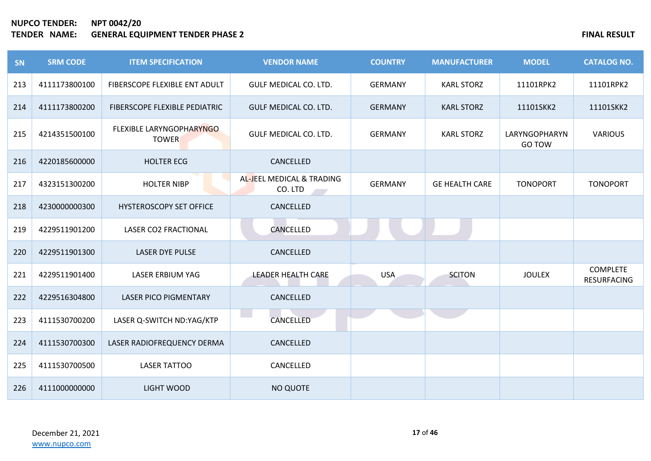| SN  | <b>SRM CODE</b> | <b>ITEM SPECIFICATION</b>                | <b>VENDOR NAME</b>                   | <b>COUNTRY</b> | <b>MANUFACTURER</b>   | <b>MODEL</b>                   | <b>CATALOG NO.</b>                    |
|-----|-----------------|------------------------------------------|--------------------------------------|----------------|-----------------------|--------------------------------|---------------------------------------|
| 213 | 4111173800100   | FIBERSCOPE FLEXIBLE ENT ADULT            | GULF MEDICAL CO. LTD.                | <b>GERMANY</b> | <b>KARL STORZ</b>     | 11101RPK2                      | 11101RPK2                             |
| 214 | 4111173800200   | FIBERSCOPE FLEXIBLE PEDIATRIC            | <b>GULF MEDICAL CO. LTD.</b>         | <b>GERMANY</b> | <b>KARL STORZ</b>     | 11101SKK2                      | 11101SKK2                             |
| 215 | 4214351500100   | FLEXIBLE LARYNGOPHARYNGO<br><b>TOWER</b> | GULF MEDICAL CO. LTD.                | <b>GERMANY</b> | <b>KARL STORZ</b>     | LARYNGOPHARYN<br><b>GO TOW</b> | <b>VARIOUS</b>                        |
| 216 | 4220185600000   | <b>HOLTER ECG</b>                        | CANCELLED                            |                |                       |                                |                                       |
| 217 | 4323151300200   | <b>HOLTER NIBP</b>                       | AL-JEEL MEDICAL & TRADING<br>CO. LTD | <b>GERMANY</b> | <b>GE HEALTH CARE</b> | <b>TONOPORT</b>                | <b>TONOPORT</b>                       |
| 218 | 4230000000300   | <b>HYSTEROSCOPY SET OFFICE</b>           | CANCELLED                            |                |                       |                                |                                       |
| 219 | 4229511901200   | <b>LASER CO2 FRACTIONAL</b>              | CANCELLED                            |                |                       |                                |                                       |
| 220 | 4229511901300   | <b>LASER DYE PULSE</b>                   | CANCELLED                            |                |                       |                                |                                       |
| 221 | 4229511901400   | <b>LASER ERBIUM YAG</b>                  | <b>LEADER HEALTH CARE</b>            | <b>USA</b>     | <b>SCITON</b>         | <b>JOULEX</b>                  | <b>COMPLETE</b><br><b>RESURFACING</b> |
| 222 | 4229516304800   | <b>LASER PICO PIGMENTARY</b>             | CANCELLED                            |                |                       |                                |                                       |
| 223 | 4111530700200   | LASER Q-SWITCH ND:YAG/KTP                | CANCELLED                            |                |                       |                                |                                       |
| 224 | 4111530700300   | LASER RADIOFREQUENCY DERMA               | CANCELLED                            |                |                       |                                |                                       |
| 225 | 4111530700500   | <b>LASER TATTOO</b>                      | CANCELLED                            |                |                       |                                |                                       |
| 226 | 4111000000000   | <b>LIGHT WOOD</b>                        | NO QUOTE                             |                |                       |                                |                                       |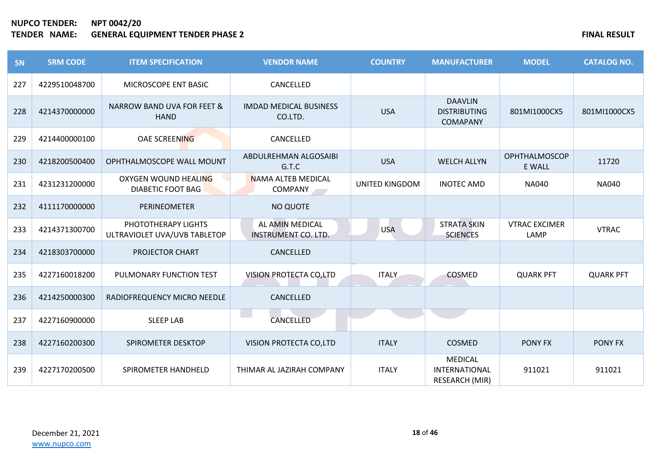### **NUPCO TENDER: NPT 0042/20 TENDER NAMES ARE SUIT ASSESSED ASSESSED ASSESSED ASSESSED ASSESSED FINAL RESULT**

| <b>SN</b> | <b>SRM CODE</b> | <b>ITEM SPECIFICATION</b>                            | <b>VENDOR NAME</b>                       | <b>COUNTRY</b>        | <b>MANUFACTURER</b>                                             | <b>MODEL</b>                 | <b>CATALOG NO.</b> |
|-----------|-----------------|------------------------------------------------------|------------------------------------------|-----------------------|-----------------------------------------------------------------|------------------------------|--------------------|
| 227       | 4229510048700   | MICROSCOPE ENT BASIC                                 | CANCELLED                                |                       |                                                                 |                              |                    |
| 228       | 4214370000000   | <b>NARROW BAND UVA FOR FEET &amp;</b><br><b>HAND</b> | <b>IMDAD MEDICAL BUSINESS</b><br>CO.LTD. | <b>USA</b>            | <b>DAAVLIN</b><br><b>DISTRIBUTING</b><br><b>COMAPANY</b>        | 801MI1000CX5                 | 801MI1000CX5       |
| 229       | 4214400000100   | <b>OAE SCREENING</b>                                 | CANCELLED                                |                       |                                                                 |                              |                    |
| 230       | 4218200500400   | OPHTHALMOSCOPE WALL MOUNT                            | ABDULREHMAN ALGOSAIBI<br>G.T.C           | <b>USA</b>            | <b>WELCH ALLYN</b>                                              | OPHTHALMOSCOP<br>E WALL      | 11720              |
| 231       | 4231231200000   | OXYGEN WOUND HEALING<br><b>DIABETIC FOOT BAG</b>     | <b>NAMA ALTEB MEDICAL</b><br>COMPANY     | <b>UNITED KINGDOM</b> | <b>INOTEC AMD</b>                                               | <b>NA040</b>                 | <b>NA040</b>       |
| 232       | 4111170000000   | PERINEOMETER                                         | NO QUOTE                                 |                       |                                                                 |                              |                    |
| 233       | 4214371300700   | PHOTOTHERAPY LIGHTS<br>ULTRAVIOLET UVA/UVB TABLETOP  | AL AMIN MEDICAL<br>INSTRUMENT CO. LTD.   | <b>USA</b>            | <b>STRATA SKIN</b><br><b>SCIENCES</b>                           | <b>VTRAC EXCIMER</b><br>LAMP | <b>VTRAC</b>       |
| 234       | 4218303700000   | PROJECTOR CHART                                      | CANCELLED                                |                       |                                                                 |                              |                    |
| 235       | 4227160018200   | PULMONARY FUNCTION TEST                              | VISION PROTECTA CO,LTD                   | <b>ITALY</b>          | COSMED                                                          | <b>QUARK PFT</b>             | <b>QUARK PFT</b>   |
| 236       | 4214250000300   | RADIOFREQUENCY MICRO NEEDLE                          | CANCELLED                                |                       |                                                                 |                              |                    |
| 237       | 4227160900000   | <b>SLEEP LAB</b>                                     | <b>CANCELLED</b>                         |                       |                                                                 |                              |                    |
| 238       | 4227160200300   | SPIROMETER DESKTOP                                   | VISION PROTECTA CO,LTD                   | <b>ITALY</b>          | COSMED                                                          | <b>PONY FX</b>               | <b>PONY FX</b>     |
| 239       | 4227170200500   | SPIROMETER HANDHELD                                  | THIMAR AL JAZIRAH COMPANY                | <b>ITALY</b>          | <b>MEDICAL</b><br><b>INTERNATIONAL</b><br><b>RESEARCH (MIR)</b> | 911021                       | 911021             |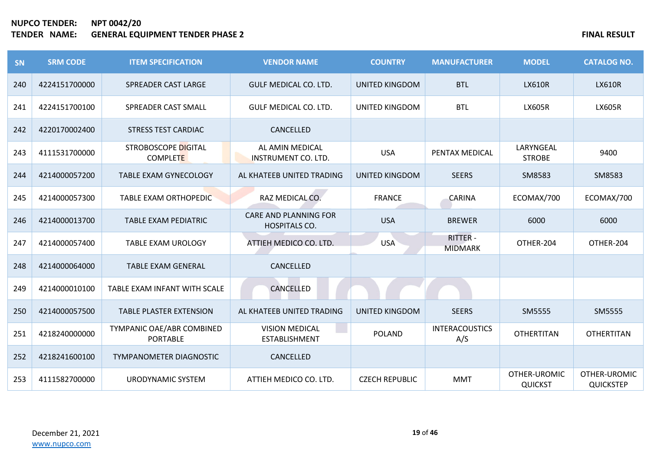| SN  | <b>SRM CODE</b> | <b>ITEM SPECIFICATION</b>                     | <b>VENDOR NAME</b>                                   | <b>COUNTRY</b>        | <b>MANUFACTURER</b>          | <b>MODEL</b>                   | <b>CATALOG NO.</b>               |
|-----|-----------------|-----------------------------------------------|------------------------------------------------------|-----------------------|------------------------------|--------------------------------|----------------------------------|
| 240 | 4224151700000   | SPREADER CAST LARGE                           | GULF MEDICAL CO. LTD.                                | UNITED KINGDOM        | <b>BTL</b>                   | <b>LX610R</b>                  | <b>LX610R</b>                    |
| 241 | 4224151700100   | SPREADER CAST SMALL                           | GULF MEDICAL CO. LTD.                                | UNITED KINGDOM        | <b>BTL</b>                   | <b>LX605R</b>                  | <b>LX605R</b>                    |
| 242 | 4220170002400   | <b>STRESS TEST CARDIAC</b>                    | CANCELLED                                            |                       |                              |                                |                                  |
| 243 | 4111531700000   | <b>STROBOSCOPE DIGITAL</b><br><b>COMPLETE</b> | AL AMIN MEDICAL<br><b>INSTRUMENT CO. LTD.</b>        | <b>USA</b>            | PENTAX MEDICAL               | LARYNGEAL<br><b>STROBE</b>     | 9400                             |
| 244 | 4214000057200   | TABLE EXAM GYNECOLOGY                         | AL KHATEEB UNITED TRADING                            | <b>UNITED KINGDOM</b> | <b>SEERS</b>                 | SM8583                         | SM8583                           |
| 245 | 4214000057300   | <b>TABLE EXAM ORTHOPEDIC</b>                  | RAZ MEDICAL CO.                                      | <b>FRANCE</b>         | <b>CARINA</b>                | ECOMAX/700                     | ECOMAX/700                       |
| 246 | 4214000013700   | <b>TABLE EXAM PEDIATRIC</b>                   | <b>CARE AND PLANNING FOR</b><br><b>HOSPITALS CO.</b> | <b>USA</b>            | <b>BREWER</b>                | 6000                           | 6000                             |
| 247 | 4214000057400   | <b>TABLE EXAM UROLOGY</b>                     | ATTIEH MEDICO CO. LTD.                               | <b>USA</b>            | RITTER -<br><b>MIDMARK</b>   | OTHER-204                      | OTHER-204                        |
| 248 | 4214000064000   | <b>TABLE EXAM GENERAL</b>                     | CANCELLED                                            |                       |                              |                                |                                  |
| 249 | 4214000010100   | TABLE EXAM INFANT WITH SCALE                  | CANCELLED                                            |                       |                              |                                |                                  |
| 250 | 4214000057500   | <b>TABLE PLASTER EXTENSION</b>                | AL KHATEEB UNITED TRADING                            | <b>UNITED KINGDOM</b> | <b>SEERS</b>                 | SM5555                         | SM5555                           |
| 251 | 4218240000000   | TYMPANIC OAE/ABR COMBINED<br><b>PORTABLE</b>  | <b>VISION MEDICAL</b><br>ESTABLISHMENT               | <b>POLAND</b>         | <b>INTERACOUSTICS</b><br>A/S | <b>OTHERTITAN</b>              | <b>OTHERTITAN</b>                |
| 252 | 4218241600100   | <b>TYMPANOMETER DIAGNOSTIC</b>                | CANCELLED                                            |                       |                              |                                |                                  |
| 253 | 4111582700000   | URODYNAMIC SYSTEM                             | ATTIEH MEDICO CO. LTD.                               | <b>CZECH REPUBLIC</b> | <b>MMT</b>                   | OTHER-UROMIC<br><b>QUICKST</b> | OTHER-UROMIC<br><b>QUICKSTEP</b> |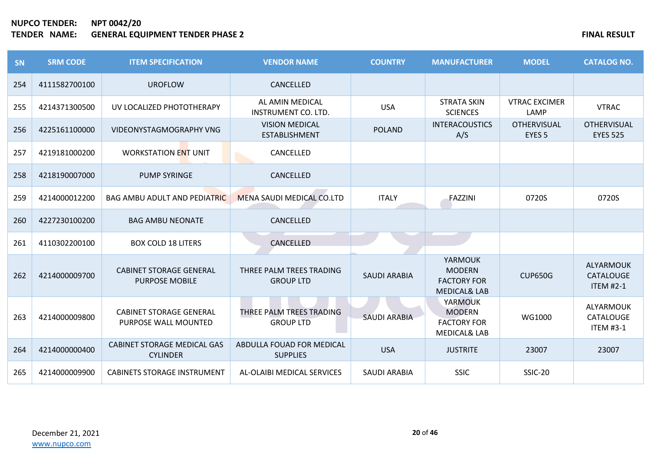| <b>SN</b> | <b>SRM CODE</b> | <b>ITEM SPECIFICATION</b>                               | <b>VENDOR NAME</b>                            | <b>COUNTRY</b>      | <b>MANUFACTURER</b>                                                              | <b>MODEL</b>                            | <b>CATALOG NO.</b>                                |
|-----------|-----------------|---------------------------------------------------------|-----------------------------------------------|---------------------|----------------------------------------------------------------------------------|-----------------------------------------|---------------------------------------------------|
| 254       | 4111582700100   | <b>UROFLOW</b>                                          | CANCELLED                                     |                     |                                                                                  |                                         |                                                   |
| 255       | 4214371300500   | UV LOCALIZED PHOTOTHERAPY                               | AL AMIN MEDICAL<br><b>INSTRUMENT CO. LTD.</b> | <b>USA</b>          | <b>STRATA SKIN</b><br><b>SCIENCES</b>                                            | <b>VTRAC EXCIMER</b><br>LAMP            | <b>VTRAC</b>                                      |
| 256       | 4225161100000   | VIDEONYSTAGMOGRAPHY VNG                                 | <b>VISION MEDICAL</b><br><b>ESTABLISHMENT</b> | <b>POLAND</b>       | <b>INTERACOUSTICS</b><br>A/S                                                     | <b>OTHERVISUAL</b><br>EYES <sub>5</sub> | <b>OTHERVISUAL</b><br><b>EYES 525</b>             |
| 257       | 4219181000200   | <b>WORKSTATION ENT UNIT</b>                             | CANCELLED                                     |                     |                                                                                  |                                         |                                                   |
| 258       | 4218190007000   | <b>PUMP SYRINGE</b>                                     | CANCELLED                                     |                     |                                                                                  |                                         |                                                   |
| 259       | 4214000012200   | <b>BAG AMBU ADULT AND PEDIATRIC</b>                     | MENA SAUDI MEDICAL CO.LTD                     | <b>ITALY</b>        | FAZZINI                                                                          | 0720S                                   | 0720S                                             |
| 260       | 4227230100200   | <b>BAG AMBU NEONATE</b>                                 | CANCELLED                                     |                     |                                                                                  |                                         |                                                   |
| 261       | 4110302200100   | <b>BOX COLD 18 LITERS</b>                               | <b>CANCELLED</b>                              |                     |                                                                                  |                                         |                                                   |
| 262       | 4214000009700   | <b>CABINET STORAGE GENERAL</b><br><b>PURPOSE MOBILE</b> | THREE PALM TREES TRADING<br><b>GROUP LTD</b>  | <b>SAUDI ARABIA</b> | <b>YARMOUK</b><br><b>MODERN</b><br><b>FACTORY FOR</b><br><b>MEDICAL&amp; LAB</b> | <b>CUP650G</b>                          | ALYARMOUK<br><b>CATALOUGE</b><br><b>ITEM #2-1</b> |
| 263       | 4214000009800   | <b>CABINET STORAGE GENERAL</b><br>PURPOSE WALL MOUNTED  | THREE PALM TREES TRADING<br><b>GROUP LTD</b>  | <b>SAUDI ARABIA</b> | YARMOUK<br><b>MODERN</b><br><b>FACTORY FOR</b><br><b>MEDICAL&amp; LAB</b>        | WG1000                                  | ALYARMOUK<br>CATALOUGE<br><b>ITEM #3-1</b>        |
| 264       | 4214000000400   | <b>CABINET STORAGE MEDICAL GAS</b><br><b>CYLINDER</b>   | ABDULLA FOUAD FOR MEDICAL<br><b>SUPPLIES</b>  | <b>USA</b>          | <b>JUSTRITE</b>                                                                  | 23007                                   | 23007                                             |
| 265       | 4214000009900   | <b>CABINETS STORAGE INSTRUMENT</b>                      | AL-OLAIBI MEDICAL SERVICES                    | <b>SAUDI ARABIA</b> | <b>SSIC</b>                                                                      | <b>SSIC-20</b>                          |                                                   |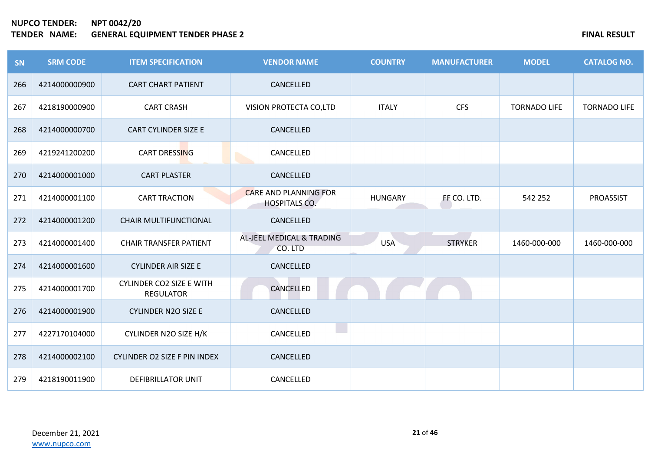| SN  | <b>SRM CODE</b> | <b>ITEM SPECIFICATION</b>                           | <b>VENDOR NAME</b>                                   | <b>COUNTRY</b> | <b>MANUFACTURER</b> | <b>MODEL</b>        | <b>CATALOG NO.</b>  |
|-----|-----------------|-----------------------------------------------------|------------------------------------------------------|----------------|---------------------|---------------------|---------------------|
| 266 | 4214000000900   | <b>CART CHART PATIENT</b>                           | CANCELLED                                            |                |                     |                     |                     |
| 267 | 4218190000900   | <b>CART CRASH</b>                                   | VISION PROTECTA CO,LTD                               | <b>ITALY</b>   | <b>CFS</b>          | <b>TORNADO LIFE</b> | <b>TORNADO LIFE</b> |
| 268 | 4214000000700   | <b>CART CYLINDER SIZE E</b>                         | CANCELLED                                            |                |                     |                     |                     |
| 269 | 4219241200200   | <b>CART DRESSING</b>                                | CANCELLED                                            |                |                     |                     |                     |
| 270 | 4214000001000   | <b>CART PLASTER</b>                                 | CANCELLED                                            |                |                     |                     |                     |
| 271 | 4214000001100   | <b>CART TRACTION</b>                                | <b>CARE AND PLANNING FOR</b><br><b>HOSPITALS CO.</b> | <b>HUNGARY</b> | FF CO. LTD.         | 542 252             | <b>PROASSIST</b>    |
| 272 | 4214000001200   | <b>CHAIR MULTIFUNCTIONAL</b>                        | CANCELLED                                            |                |                     |                     |                     |
| 273 | 4214000001400   | <b>CHAIR TRANSFER PATIENT</b>                       | AL-JEEL MEDICAL & TRADING<br>CO. LTD                 | <b>USA</b>     | <b>STRYKER</b>      | 1460-000-000        | 1460-000-000        |
| 274 | 4214000001600   | <b>CYLINDER AIR SIZE E</b>                          | CANCELLED                                            |                |                     |                     |                     |
| 275 | 4214000001700   | <b>CYLINDER CO2 SIZE E WITH</b><br><b>REGULATOR</b> | CANCELLED                                            |                |                     |                     |                     |
| 276 | 4214000001900   | <b>CYLINDER N2O SIZE E</b>                          | CANCELLED                                            |                |                     |                     |                     |
| 277 | 4227170104000   | CYLINDER N2O SIZE H/K                               | CANCELLED                                            |                |                     |                     |                     |
| 278 | 4214000002100   | <b>CYLINDER O2 SIZE F PIN INDEX</b>                 | CANCELLED                                            |                |                     |                     |                     |
| 279 | 4218190011900   | <b>DEFIBRILLATOR UNIT</b>                           | CANCELLED                                            |                |                     |                     |                     |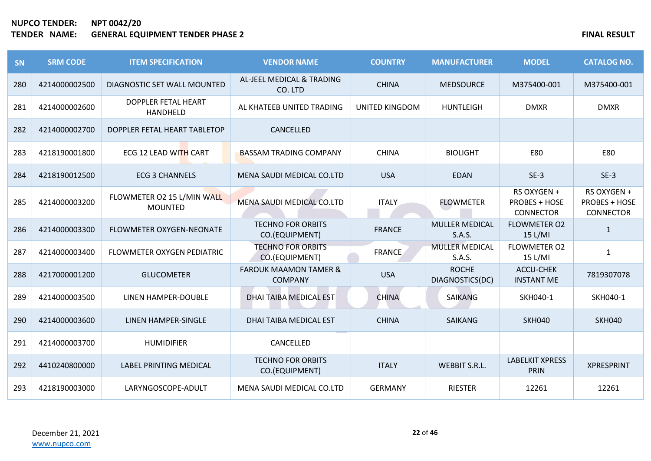| SN  | <b>SRM CODE</b> | <b>ITEM SPECIFICATION</b>                    | <b>VENDOR NAME</b>                                 | <b>COUNTRY</b>        | <b>MANUFACTURER</b>             | <b>MODEL</b>                                            | <b>CATALOG NO.</b>                                      |
|-----|-----------------|----------------------------------------------|----------------------------------------------------|-----------------------|---------------------------------|---------------------------------------------------------|---------------------------------------------------------|
| 280 | 4214000002500   | DIAGNOSTIC SET WALL MOUNTED                  | AL-JEEL MEDICAL & TRADING<br>CO. LTD               | <b>CHINA</b>          | <b>MEDSOURCE</b>                | M375400-001                                             | M375400-001                                             |
| 281 | 4214000002600   | DOPPLER FETAL HEART<br>HANDHELD              | AL KHATEEB UNITED TRADING                          | <b>UNITED KINGDOM</b> | <b>HUNTLEIGH</b>                | <b>DMXR</b>                                             | <b>DMXR</b>                                             |
| 282 | 4214000002700   | DOPPLER FETAL HEART TABLETOP                 | CANCELLED                                          |                       |                                 |                                                         |                                                         |
| 283 | 4218190001800   | ECG 12 LEAD WITH CART                        | <b>BASSAM TRADING COMPANY</b>                      | <b>CHINA</b>          | <b>BIOLIGHT</b>                 | E80                                                     | E80                                                     |
| 284 | 4218190012500   | <b>ECG 3 CHANNELS</b>                        | MENA SAUDI MEDICAL CO.LTD                          | <b>USA</b>            | <b>EDAN</b>                     | $SE-3$                                                  | $SE-3$                                                  |
| 285 | 4214000003200   | FLOWMETER O2 15 L/MIN WALL<br><b>MOUNTED</b> | MENA SAUDI MEDICAL CO.LTD                          | <b>ITALY</b>          | <b>FLOWMETER</b>                | RS OXYGEN +<br><b>PROBES + HOSE</b><br><b>CONNECTOR</b> | RS OXYGEN +<br><b>PROBES + HOSE</b><br><b>CONNECTOR</b> |
| 286 | 4214000003300   | <b>FLOWMETER OXYGEN-NEONATE</b>              | <b>TECHNO FOR ORBITS</b><br>CO.(EQUIPMENT)         | <b>FRANCE</b>         | <b>MULLER MEDICAL</b><br>S.A.S. | <b>FLOWMETER O2</b><br>15 L/MI                          | $\mathbf{1}$                                            |
| 287 | 4214000003400   | FLOWMETER OXYGEN PEDIATRIC                   | <b>TECHNO FOR ORBITS</b><br>CO.(EQUIPMENT)         | <b>FRANCE</b>         | <b>MULLER MEDICAL</b><br>S.A.S. | <b>FLOWMETER O2</b><br>15 L/MI                          | $\mathbf{1}$                                            |
| 288 | 4217000001200   | <b>GLUCOMETER</b>                            | <b>FAROUK MAAMON TAMER &amp;</b><br><b>COMPANY</b> | <b>USA</b>            | <b>ROCHE</b><br>DIAGNOSTICS(DC) | ACCU-CHEK<br><b>INSTANT ME</b>                          | 7819307078                                              |
| 289 | 4214000003500   | LINEN HAMPER-DOUBLE                          | DHAI TAIBA MEDICAL EST                             | <b>CHINA</b>          | SAIKANG                         | SKH040-1                                                | SKH040-1                                                |
| 290 | 4214000003600   | LINEN HAMPER-SINGLE                          | DHAI TAIBA MEDICAL EST                             | <b>CHINA</b>          | <b>SAIKANG</b>                  | <b>SKH040</b>                                           | <b>SKH040</b>                                           |
| 291 | 4214000003700   | <b>HUMIDIFIER</b>                            | CANCELLED                                          |                       |                                 |                                                         |                                                         |
| 292 | 4410240800000   | <b>LABEL PRINTING MEDICAL</b>                | <b>TECHNO FOR ORBITS</b><br>CO.(EQUIPMENT)         | <b>ITALY</b>          | <b>WEBBIT S.R.L.</b>            | <b>LABELKIT XPRESS</b><br><b>PRIN</b>                   | <b>XPRESPRINT</b>                                       |
| 293 | 4218190003000   | LARYNGOSCOPE-ADULT                           | MENA SAUDI MEDICAL CO.LTD                          | <b>GERMANY</b>        | <b>RIESTER</b>                  | 12261                                                   | 12261                                                   |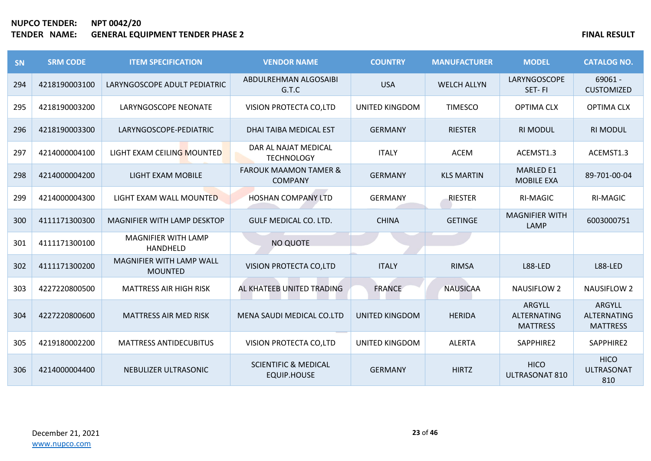| SN  | <b>SRM CODE</b> | <b>ITEM SPECIFICATION</b>                  | <b>VENDOR NAME</b>                                    | <b>COUNTRY</b>        | <b>MANUFACTURER</b> | <b>MODEL</b>                                    | <b>CATALOG NO.</b>                              |
|-----|-----------------|--------------------------------------------|-------------------------------------------------------|-----------------------|---------------------|-------------------------------------------------|-------------------------------------------------|
| 294 | 4218190003100   | LARYNGOSCOPE ADULT PEDIATRIC               | ABDULREHMAN ALGOSAIBI<br>G.T.C                        | <b>USA</b>            | <b>WELCH ALLYN</b>  | LARYNGOSCOPE<br>SET-FI                          | $69061 -$<br><b>CUSTOMIZED</b>                  |
| 295 | 4218190003200   | <b>LARYNGOSCOPE NEONATE</b>                | VISION PROTECTA CO,LTD                                | <b>UNITED KINGDOM</b> | <b>TIMESCO</b>      | <b>OPTIMA CLX</b>                               | <b>OPTIMA CLX</b>                               |
| 296 | 4218190003300   | LARYNGOSCOPE-PEDIATRIC                     | DHAI TAIBA MEDICAL EST                                | <b>GERMANY</b>        | <b>RIESTER</b>      | <b>RI MODUL</b>                                 | <b>RI MODUL</b>                                 |
| 297 | 4214000004100   | LIGHT EXAM CEILING MOUNTED                 | DAR AL NAJAT MEDICAL<br><b>TECHNOLOGY</b>             | <b>ITALY</b>          | <b>ACEM</b>         | ACEMST1.3                                       | ACEMST1.3                                       |
| 298 | 4214000004200   | LIGHT EXAM MOBILE                          | <b>FAROUK MAAMON TAMER &amp;</b><br><b>COMPANY</b>    | <b>GERMANY</b>        | <b>KLS MARTIN</b>   | <b>MARLED E1</b><br><b>MOBILE EXA</b>           | 89-701-00-04                                    |
| 299 | 4214000004300   | LIGHT EXAM WALL MOUNTED                    | <b>HOSHAN COMPANY LTD</b>                             | <b>GERMANY</b>        | <b>RIESTER</b>      | <b>RI-MAGIC</b>                                 | <b>RI-MAGIC</b>                                 |
| 300 | 4111171300300   | MAGNIFIER WITH LAMP DESKTOP                | <b>GULF MEDICAL CO. LTD.</b>                          | <b>CHINA</b>          | <b>GETINGE</b>      | <b>MAGNIFIER WITH</b><br>LAMP                   | 6003000751                                      |
| 301 | 4111171300100   | <b>MAGNIFIER WITH LAMP</b><br>HANDHELD     | NO QUOTE                                              |                       |                     |                                                 |                                                 |
| 302 | 4111171300200   | MAGNIFIER WITH LAMP WALL<br><b>MOUNTED</b> | VISION PROTECTA CO,LTD                                | <b>ITALY</b>          | <b>RIMSA</b>        | L88-LED                                         | L88-LED                                         |
| 303 | 4227220800500   | <b>MATTRESS AIR HIGH RISK</b>              | AL KHATEEB UNITED TRADING                             | <b>FRANCE</b>         | <b>NAUSICAA</b>     | NAUSIFLOW 2                                     | <b>NAUSIFLOW 2</b>                              |
| 304 | 4227220800600   | <b>MATTRESS AIR MED RISK</b>               | MENA SAUDI MEDICAL CO.LTD                             | UNITED KINGDOM        | <b>HERIDA</b>       | ARGYLL<br><b>ALTERNATING</b><br><b>MATTRESS</b> | ARGYLL<br><b>ALTERNATING</b><br><b>MATTRESS</b> |
| 305 | 4219180002200   | <b>MATTRESS ANTIDECUBITUS</b>              | VISION PROTECTA CO,LTD                                | UNITED KINGDOM        | <b>ALERTA</b>       | SAPPHIRE2                                       | SAPPHIRE2                                       |
| 306 | 4214000004400   | NEBULIZER ULTRASONIC                       | <b>SCIENTIFIC &amp; MEDICAL</b><br><b>EQUIP.HOUSE</b> | <b>GERMANY</b>        | <b>HIRTZ</b>        | <b>HICO</b><br>ULTRASONAT 810                   | <b>HICO</b><br><b>ULTRASONAT</b><br>810         |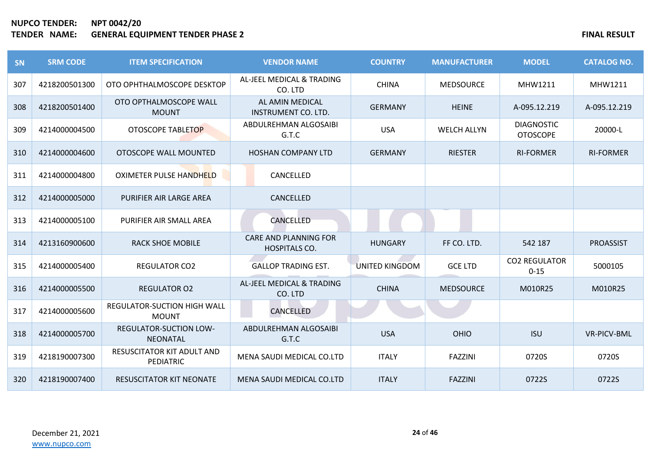| SN  | <b>SRM CODE</b> | <b>ITEM SPECIFICATION</b>                          | <b>VENDOR NAME</b>                            | <b>COUNTRY</b> | <b>MANUFACTURER</b> | <b>MODEL</b>                         | <b>CATALOG NO.</b> |
|-----|-----------------|----------------------------------------------------|-----------------------------------------------|----------------|---------------------|--------------------------------------|--------------------|
| 307 | 4218200501300   | OTO OPHTHALMOSCOPE DESKTOP                         | AL-JEEL MEDICAL & TRADING<br>CO. LTD          | <b>CHINA</b>   | <b>MEDSOURCE</b>    | MHW1211                              | MHW1211            |
| 308 | 4218200501400   | OTO OPTHALMOSCOPE WALL<br><b>MOUNT</b>             | AL AMIN MEDICAL<br>INSTRUMENT CO. LTD.        | <b>GERMANY</b> | <b>HEINE</b>        | A-095.12.219                         | A-095.12.219       |
| 309 | 4214000004500   | OTOSCOPE TABLETOP                                  | ABDULREHMAN ALGOSAIBI<br>G.T.C                | <b>USA</b>     | <b>WELCH ALLYN</b>  | <b>DIAGNOSTIC</b><br><b>OTOSCOPE</b> | 20000-L            |
| 310 | 4214000004600   | OTOSCOPE WALL MOUNTED                              | <b>HOSHAN COMPANY LTD</b>                     | <b>GERMANY</b> | <b>RIESTER</b>      | <b>RI-FORMER</b>                     | <b>RI-FORMER</b>   |
| 311 | 4214000004800   | <b>OXIMETER PULSE HANDHELD</b>                     | CANCELLED                                     |                |                     |                                      |                    |
| 312 | 4214000005000   | PURIFIER AIR LARGE AREA                            | CANCELLED                                     |                |                     |                                      |                    |
| 313 | 4214000005100   | PURIFIER AIR SMALL AREA                            | CANCELLED                                     |                |                     |                                      |                    |
| 314 | 4213160900600   | <b>RACK SHOE MOBILE</b>                            | CARE AND PLANNING FOR<br><b>HOSPITALS CO.</b> | <b>HUNGARY</b> | FF CO. LTD.         | 542 187                              | <b>PROASSIST</b>   |
| 315 | 4214000005400   | <b>REGULATOR CO2</b>                               | <b>GALLOP TRADING EST.</b>                    | UNITED KINGDOM | <b>GCE LTD</b>      | <b>CO2 REGULATOR</b><br>$0 - 15$     | 5000105            |
| 316 | 4214000005500   | <b>REGULATOR O2</b>                                | AL-JEEL MEDICAL & TRADING<br>CO. LTD          | <b>CHINA</b>   | <b>MEDSOURCE</b>    | M010R25                              | M010R25            |
| 317 | 4214000005600   | <b>REGULATOR-SUCTION HIGH WALL</b><br><b>MOUNT</b> | CANCELLED                                     |                |                     |                                      |                    |
| 318 | 4214000005700   | <b>REGULATOR-SUCTION LOW-</b><br><b>NEONATAL</b>   | ABDULREHMAN ALGOSAIBI<br>G.T.C                | <b>USA</b>     | <b>OHIO</b>         | <b>ISU</b>                           | <b>VR-PICV-BML</b> |
| 319 | 4218190007300   | RESUSCITATOR KIT ADULT AND<br><b>PEDIATRIC</b>     | MENA SAUDI MEDICAL CO.LTD                     | <b>ITALY</b>   | <b>FAZZINI</b>      | 0720S                                | 0720S              |
| 320 | 4218190007400   | <b>RESUSCITATOR KIT NEONATE</b>                    | MENA SAUDI MEDICAL CO.LTD                     | <b>ITALY</b>   | <b>FAZZINI</b>      | 0722S                                | 0722S              |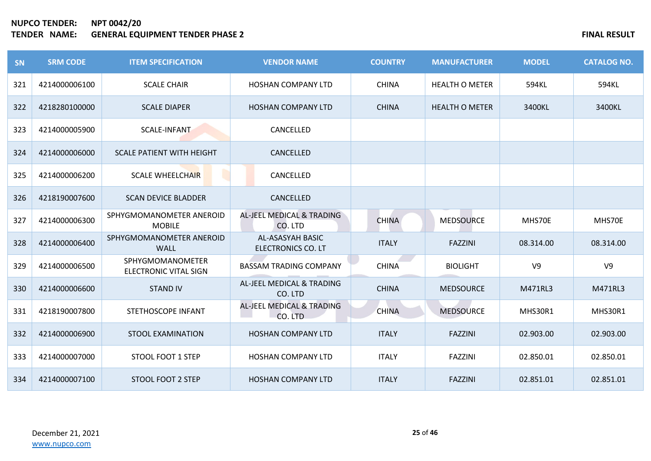| SN  | <b>SRM CODE</b> | <b>ITEM SPECIFICATION</b>                        | <b>VENDOR NAME</b>                            | <b>COUNTRY</b> | <b>MANUFACTURER</b>   | <b>MODEL</b>   | <b>CATALOG NO.</b> |
|-----|-----------------|--------------------------------------------------|-----------------------------------------------|----------------|-----------------------|----------------|--------------------|
| 321 | 4214000006100   | <b>SCALE CHAIR</b>                               | <b>HOSHAN COMPANY LTD</b>                     | <b>CHINA</b>   | <b>HEALTH O METER</b> | 594KL          | 594KL              |
| 322 | 4218280100000   | <b>SCALE DIAPER</b>                              | <b>HOSHAN COMPANY LTD</b>                     | <b>CHINA</b>   | <b>HEALTH O METER</b> | 3400KL         | 3400KL             |
| 323 | 4214000005900   | SCALE-INFANT                                     | CANCELLED                                     |                |                       |                |                    |
| 324 | 4214000006000   | <b>SCALE PATIENT WITH HEIGHT</b>                 | CANCELLED                                     |                |                       |                |                    |
| 325 | 4214000006200   | <b>SCALE WHEELCHAIR</b>                          | CANCELLED                                     |                |                       |                |                    |
| 326 | 4218190007600   | <b>SCAN DEVICE BLADDER</b>                       | CANCELLED                                     |                |                       |                |                    |
| 327 | 4214000006300   | SPHYGMOMANOMETER ANEROID<br><b>MOBILE</b>        | AL-JEEL MEDICAL & TRADING<br>CO. LTD          | <b>CHINA</b>   | <b>MEDSOURCE</b>      | MHS70E         | MHS70E             |
| 328 | 4214000006400   | SPHYGMOMANOMETER ANEROID<br><b>WALL</b>          | AL-ASASYAH BASIC<br><b>ELECTRONICS CO. LT</b> | <b>ITALY</b>   | <b>FAZZINI</b>        | 08.314.00      | 08.314.00          |
| 329 | 4214000006500   | SPHYGMOMANOMETER<br><b>ELECTRONIC VITAL SIGN</b> | <b>BASSAM TRADING COMPANY</b>                 | <b>CHINA</b>   | <b>BIOLIGHT</b>       | V <sub>9</sub> | V <sub>9</sub>     |
| 330 | 4214000006600   | <b>STAND IV</b>                                  | AL-JEEL MEDICAL & TRADING<br>CO. LTD          | <b>CHINA</b>   | <b>MEDSOURCE</b>      | M471RL3        | M471RL3            |
| 331 | 4218190007800   | STETHOSCOPE INFANT                               | AL-JEEL MEDICAL & TRADING<br>CO. LTD          | <b>CHINA</b>   | <b>MEDSOURCE</b>      | MHS30R1        | MHS30R1            |
| 332 | 4214000006900   | <b>STOOL EXAMINATION</b>                         | <b>HOSHAN COMPANY LTD</b>                     | <b>ITALY</b>   | <b>FAZZINI</b>        | 02.903.00      | 02.903.00          |
| 333 | 4214000007000   | STOOL FOOT 1 STEP                                | <b>HOSHAN COMPANY LTD</b>                     | <b>ITALY</b>   | <b>FAZZINI</b>        | 02.850.01      | 02.850.01          |
| 334 | 4214000007100   | STOOL FOOT 2 STEP                                | <b>HOSHAN COMPANY LTD</b>                     | <b>ITALY</b>   | <b>FAZZINI</b>        | 02.851.01      | 02.851.01          |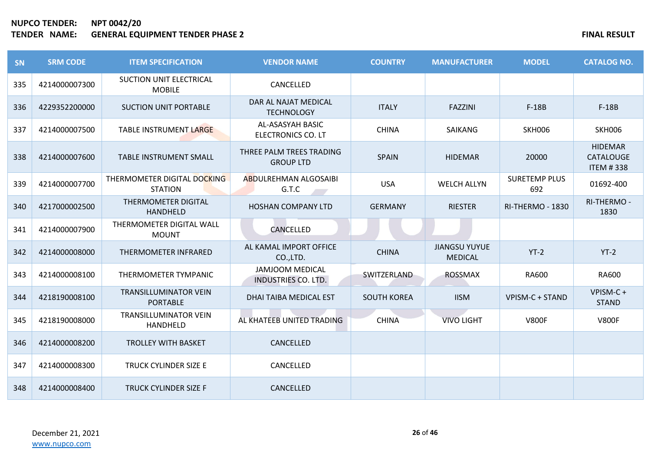| SN  | <b>SRM CODE</b> | <b>ITEM SPECIFICATION</b>                       | <b>VENDOR NAME</b>                            | <b>COUNTRY</b>     | <b>MANUFACTURER</b>                    | <b>MODEL</b>                | <b>CATALOG NO.</b>                              |
|-----|-----------------|-------------------------------------------------|-----------------------------------------------|--------------------|----------------------------------------|-----------------------------|-------------------------------------------------|
| 335 | 4214000007300   | <b>SUCTION UNIT ELECTRICAL</b><br><b>MOBILE</b> | CANCELLED                                     |                    |                                        |                             |                                                 |
| 336 | 4229352200000   | <b>SUCTION UNIT PORTABLE</b>                    | DAR AL NAJAT MEDICAL<br><b>TECHNOLOGY</b>     | <b>ITALY</b>       | <b>FAZZINI</b>                         | $F-18B$                     | $F-18B$                                         |
| 337 | 4214000007500   | <b>TABLE INSTRUMENT LARGE</b>                   | AL-ASASYAH BASIC<br><b>ELECTRONICS CO. LT</b> | <b>CHINA</b>       | <b>SAIKANG</b>                         | <b>SKH006</b>               | <b>SKH006</b>                                   |
| 338 | 4214000007600   | <b>TABLE INSTRUMENT SMALL</b>                   | THREE PALM TREES TRADING<br><b>GROUP LTD</b>  | <b>SPAIN</b>       | <b>HIDEMAR</b>                         | 20000                       | <b>HIDEMAR</b><br>CATALOUGE<br><b>ITEM #338</b> |
| 339 | 4214000007700   | THERMOMETER DIGITAL DOCKING<br><b>STATION</b>   | <b>ABDULREHMAN ALGOSAIBI</b><br>G.T.C         | <b>USA</b>         | <b>WELCH ALLYN</b>                     | <b>SURETEMP PLUS</b><br>692 | 01692-400                                       |
| 340 | 4217000002500   | THERMOMETER DIGITAL<br><b>HANDHELD</b>          | <b>HOSHAN COMPANY LTD</b>                     | <b>GERMANY</b>     | <b>RIESTER</b>                         | RI-THERMO - 1830            | RI-THERMO -<br>1830                             |
| 341 | 4214000007900   | THERMOMETER DIGITAL WALL<br><b>MOUNT</b>        | CANCELLED                                     |                    |                                        |                             |                                                 |
| 342 | 4214000008000   | THERMOMETER INFRARED                            | AL KAMAL IMPORT OFFICE<br>CO.,LTD.            | <b>CHINA</b>       | <b>JIANGSU YUYUE</b><br><b>MEDICAL</b> | $YT-2$                      | $YT-2$                                          |
| 343 | 4214000008100   | THERMOMETER TYMPANIC                            | <b>JAMJOOM MEDICAL</b><br>INDUSTRIES CO. LTD. | SWITZERLAND        | ROSSMAX                                | RA600                       | RA600                                           |
| 344 | 4218190008100   | <b>TRANSILLUMINATOR VEIN</b><br><b>PORTABLE</b> | DHAI TAIBA MEDICAL EST                        | <b>SOUTH KOREA</b> | <b>IISM</b>                            | VPISM-C + STAND             | VPISM-C+<br><b>STAND</b>                        |
| 345 | 4218190008000   | <b>TRANSILLUMINATOR VEIN</b><br><b>HANDHELD</b> | AL KHATEEB UNITED TRADING                     | <b>CHINA</b>       | <b>VIVO LIGHT</b>                      | <b>V800F</b>                | <b>V800F</b>                                    |
| 346 | 4214000008200   | <b>TROLLEY WITH BASKET</b>                      | CANCELLED                                     |                    |                                        |                             |                                                 |
| 347 | 4214000008300   | TRUCK CYLINDER SIZE E                           | CANCELLED                                     |                    |                                        |                             |                                                 |
| 348 | 4214000008400   | <b>TRUCK CYLINDER SIZE F</b>                    | CANCELLED                                     |                    |                                        |                             |                                                 |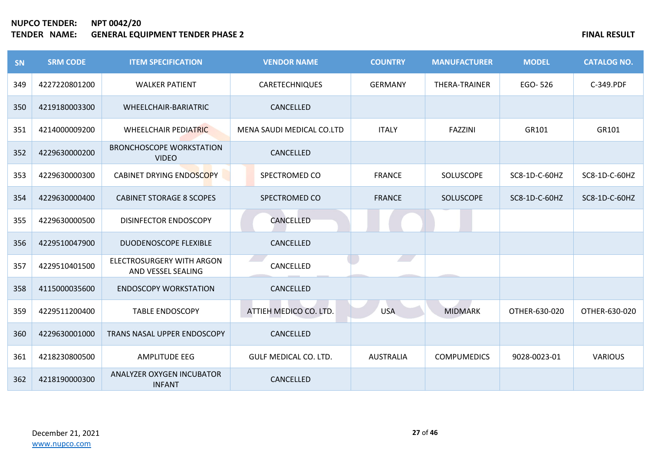| SN  | <b>SRM CODE</b> | <b>ITEM SPECIFICATION</b>                       | <b>VENDOR NAME</b>           | <b>COUNTRY</b>   | <b>MANUFACTURER</b> | <b>MODEL</b>  | <b>CATALOG NO.</b> |
|-----|-----------------|-------------------------------------------------|------------------------------|------------------|---------------------|---------------|--------------------|
| 349 | 4227220801200   | <b>WALKER PATIENT</b>                           | <b>CARETECHNIQUES</b>        | <b>GERMANY</b>   | THERA-TRAINER       | EGO-526       | C-349.PDF          |
| 350 | 4219180003300   | WHEELCHAIR-BARIATRIC                            | CANCELLED                    |                  |                     |               |                    |
| 351 | 4214000009200   | <b>WHEELCHAIR PEDIATRIC</b>                     | MENA SAUDI MEDICAL CO.LTD    | <b>ITALY</b>     | <b>FAZZINI</b>      | GR101         | GR101              |
| 352 | 4229630000200   | <b>BRONCHOSCOPE WORKSTATION</b><br><b>VIDEO</b> | CANCELLED                    |                  |                     |               |                    |
| 353 | 4229630000300   | <b>CABINET DRYING ENDOSCOPY</b>                 | SPECTROMED CO                | <b>FRANCE</b>    | SOLUSCOPE           | SC8-1D-C-60HZ | SC8-1D-C-60HZ      |
| 354 | 4229630000400   | <b>CABINET STORAGE 8 SCOPES</b>                 | SPECTROMED CO                | <b>FRANCE</b>    | SOLUSCOPE           | SC8-1D-C-60HZ | SC8-1D-C-60HZ      |
| 355 | 4229630000500   | <b>DISINFECTOR ENDOSCOPY</b>                    | CANCELLED                    |                  |                     |               |                    |
| 356 | 4229510047900   | <b>DUODENOSCOPE FLEXIBLE</b>                    | CANCELLED                    |                  |                     |               |                    |
| 357 | 4229510401500   | ELECTROSURGERY WITH ARGON<br>AND VESSEL SEALING | CANCELLED                    |                  |                     |               |                    |
| 358 | 4115000035600   | <b>ENDOSCOPY WORKSTATION</b>                    | CANCELLED                    |                  |                     |               |                    |
| 359 | 4229511200400   | <b>TABLE ENDOSCOPY</b>                          | ATTIEH MEDICO CO. LTD.       | <b>USA</b>       | <b>MIDMARK</b>      | OTHER-630-020 | OTHER-630-020      |
| 360 | 4229630001000   | TRANS NASAL UPPER ENDOSCOPY                     | CANCELLED                    |                  |                     |               |                    |
| 361 | 4218230800500   | AMPLITUDE EEG                                   | <b>GULF MEDICAL CO. LTD.</b> | <b>AUSTRALIA</b> | <b>COMPUMEDICS</b>  | 9028-0023-01  | <b>VARIOUS</b>     |
| 362 | 4218190000300   | ANALYZER OXYGEN INCUBATOR<br><b>INFANT</b>      | CANCELLED                    |                  |                     |               |                    |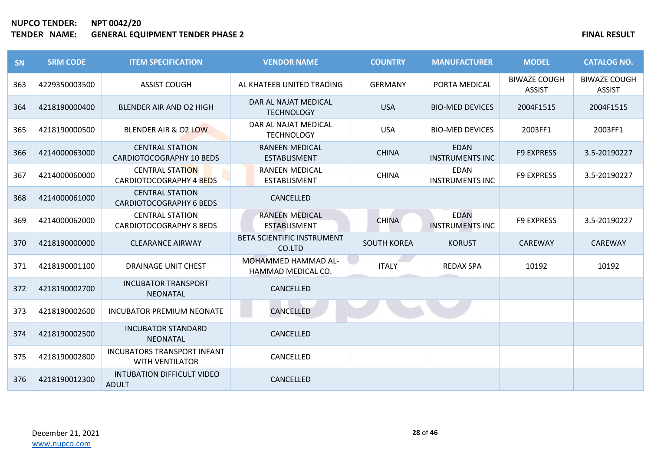| <b>SN</b> | <b>SRM CODE</b> | <b>ITEM SPECIFICATION</b>                                    | <b>VENDOR NAME</b>                           | <b>COUNTRY</b>     | <b>MANUFACTURER</b>                   | <b>MODEL</b>                         | <b>CATALOG NO.</b>                   |
|-----------|-----------------|--------------------------------------------------------------|----------------------------------------------|--------------------|---------------------------------------|--------------------------------------|--------------------------------------|
| 363       | 4229350003500   | <b>ASSIST COUGH</b>                                          | AL KHATEEB UNITED TRADING                    | <b>GERMANY</b>     | PORTA MEDICAL                         | <b>BIWAZE COUGH</b><br><b>ASSIST</b> | <b>BIWAZE COUGH</b><br><b>ASSIST</b> |
| 364       | 4218190000400   | BLENDER AIR AND O2 HIGH                                      | DAR AL NAJAT MEDICAL<br><b>TECHNOLOGY</b>    | <b>USA</b>         | <b>BIO-MED DEVICES</b>                | 2004F1515                            | 2004F1515                            |
| 365       | 4218190000500   | BLENDER AIR & O2 LOW                                         | DAR AL NAJAT MEDICAL<br><b>TECHNOLOGY</b>    | <b>USA</b>         | <b>BIO-MED DEVICES</b>                | 2003FF1                              | 2003FF1                              |
| 366       | 4214000063000   | <b>CENTRAL STATION</b><br><b>CARDIOTOCOGRAPHY 10 BEDS</b>    | <b>RANEEN MEDICAL</b><br><b>ESTABLISMENT</b> | <b>CHINA</b>       | <b>EDAN</b><br><b>INSTRUMENTS INC</b> | <b>F9 EXPRESS</b>                    | 3.5-20190227                         |
| 367       | 4214000060000   | <b>CENTRAL STATION</b><br>CARDIOTOCOGRAPHY 4 BEDS            | RANEEN MEDICAL<br><b>ESTABLISMENT</b>        | <b>CHINA</b>       | <b>EDAN</b><br><b>INSTRUMENTS INC</b> | <b>F9 EXPRESS</b>                    | 3.5-20190227                         |
| 368       | 4214000061000   | <b>CENTRAL STATION</b><br><b>CARDIOTOCOGRAPHY 6 BEDS</b>     | <b>CANCELLED</b>                             |                    |                                       |                                      |                                      |
| 369       | 4214000062000   | <b>CENTRAL STATION</b><br><b>CARDIOTOCOGRAPHY 8 BEDS</b>     | <b>RANEEN MEDICAL</b><br><b>ESTABLISMENT</b> | <b>CHINA</b>       | <b>EDAN</b><br><b>INSTRUMENTS INC</b> | <b>F9 EXPRESS</b>                    | 3.5-20190227                         |
| 370       | 4218190000000   | <b>CLEARANCE AIRWAY</b>                                      | <b>BETA SCIENTIFIC INSTRUMENT</b><br>CO.LTD  | <b>SOUTH KOREA</b> | <b>KORUST</b>                         | CAREWAY                              | <b>CAREWAY</b>                       |
| 371       | 4218190001100   | DRAINAGE UNIT CHEST                                          | MOHAMMED HAMMAD AL-<br>HAMMAD MEDICAL CO.    | <b>ITALY</b>       | <b>REDAX SPA</b>                      | 10192                                | 10192                                |
| 372       | 4218190002700   | <b>INCUBATOR TRANSPORT</b><br><b>NEONATAL</b>                | CANCELLED                                    |                    |                                       |                                      |                                      |
| 373       | 4218190002600   | <b>INCUBATOR PREMIUM NEONATE</b>                             | CANCELLED                                    |                    |                                       |                                      |                                      |
| 374       | 4218190002500   | <b>INCUBATOR STANDARD</b><br><b>NEONATAL</b>                 | <b>CANCELLED</b>                             |                    |                                       |                                      |                                      |
| 375       | 4218190002800   | <b>INCUBATORS TRANSPORT INFANT</b><br><b>WITH VENTILATOR</b> | CANCELLED                                    |                    |                                       |                                      |                                      |
| 376       | 4218190012300   | <b>INTUBATION DIFFICULT VIDEO</b><br><b>ADULT</b>            | CANCELLED                                    |                    |                                       |                                      |                                      |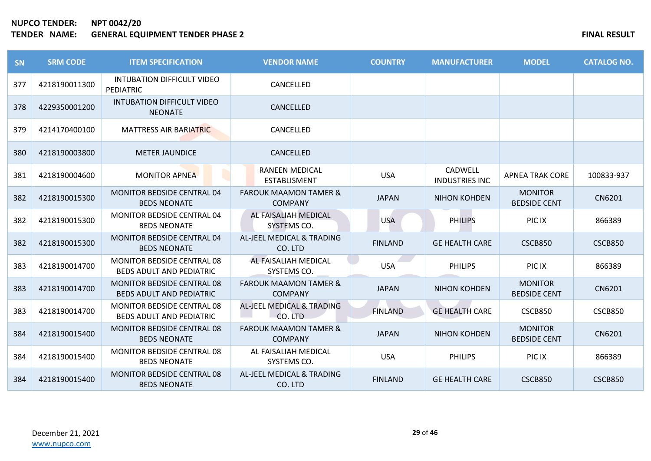| <b>SN</b> | <b>SRM CODE</b> | <b>ITEM SPECIFICATION</b>                                            | <b>VENDOR NAME</b>                                 | <b>COUNTRY</b> | <b>MANUFACTURER</b>              | <b>MODEL</b>                          | <b>CATALOG NO.</b> |
|-----------|-----------------|----------------------------------------------------------------------|----------------------------------------------------|----------------|----------------------------------|---------------------------------------|--------------------|
| 377       | 4218190011300   | INTUBATION DIFFICULT VIDEO<br>PEDIATRIC                              | CANCELLED                                          |                |                                  |                                       |                    |
| 378       | 4229350001200   | <b>INTUBATION DIFFICULT VIDEO</b><br><b>NEONATE</b>                  | <b>CANCELLED</b>                                   |                |                                  |                                       |                    |
| 379       | 4214170400100   | <b>MATTRESS AIR BARIATRIC</b>                                        | CANCELLED                                          |                |                                  |                                       |                    |
| 380       | 4218190003800   | <b>METER JAUNDICE</b>                                                | CANCELLED                                          |                |                                  |                                       |                    |
| 381       | 4218190004600   | <b>MONITOR APNEA</b>                                                 | <b>RANEEN MEDICAL</b><br><b>ESTABLISMENT</b>       | <b>USA</b>     | CADWELL<br><b>INDUSTRIES INC</b> | <b>APNEA TRAK CORE</b>                | 100833-937         |
| 382       | 4218190015300   | <b>MONITOR BEDSIDE CENTRAL 04</b><br><b>BEDS NEONATE</b>             | <b>FAROUK MAAMON TAMER &amp;</b><br><b>COMPANY</b> | <b>JAPAN</b>   | <b>NIHON KOHDEN</b>              | <b>MONITOR</b><br><b>BEDSIDE CENT</b> | CN6201             |
| 382       | 4218190015300   | <b>MONITOR BEDSIDE CENTRAL 04</b><br><b>BEDS NEONATE</b>             | AL FAISALIAH MEDICAL<br>SYSTEMS CO.                | <b>USA</b>     | <b>PHILIPS</b>                   | PIC IX                                | 866389             |
| 382       | 4218190015300   | <b>MONITOR BEDSIDE CENTRAL 04</b><br><b>BEDS NEONATE</b>             | AL-JEEL MEDICAL & TRADING<br>CO. LTD               | <b>FINLAND</b> | <b>GE HEALTH CARE</b>            | <b>CSCB850</b>                        | <b>CSCB850</b>     |
| 383       | 4218190014700   | <b>MONITOR BEDSIDE CENTRAL 08</b><br><b>BEDS ADULT AND PEDIATRIC</b> | AL FAISALIAH MEDICAL<br>SYSTEMS CO.                | <b>USA</b>     | <b>PHILIPS</b>                   | PIC IX                                | 866389             |
| 383       | 4218190014700   | <b>MONITOR BEDSIDE CENTRAL 08</b><br><b>BEDS ADULT AND PEDIATRIC</b> | <b>FAROUK MAAMON TAMER &amp;</b><br><b>COMPANY</b> | <b>JAPAN</b>   | <b>NIHON KOHDEN</b>              | <b>MONITOR</b><br><b>BEDSIDE CENT</b> | CN6201             |
| 383       | 4218190014700   | MONITOR BEDSIDE CENTRAL 08<br><b>BEDS ADULT AND PEDIATRIC</b>        | AL-JEEL MEDICAL & TRADING<br>CO. LTD               | <b>FINLAND</b> | <b>GE HEALTH CARE</b>            | CSCB850                               | CSCB850            |
| 384       | 4218190015400   | <b>MONITOR BEDSIDE CENTRAL 08</b><br><b>BEDS NEONATE</b>             | <b>FAROUK MAAMON TAMER &amp;</b><br><b>COMPANY</b> | <b>JAPAN</b>   | <b>NIHON KOHDEN</b>              | <b>MONITOR</b><br><b>BEDSIDE CENT</b> | CN6201             |
| 384       | 4218190015400   | MONITOR BEDSIDE CENTRAL 08<br><b>BEDS NEONATE</b>                    | AL FAISALIAH MEDICAL<br>SYSTEMS CO.                | <b>USA</b>     | <b>PHILIPS</b>                   | PIC IX                                | 866389             |
| 384       | 4218190015400   | <b>MONITOR BEDSIDE CENTRAL 08</b><br><b>BEDS NEONATE</b>             | AL-JEEL MEDICAL & TRADING<br>CO. LTD               | <b>FINLAND</b> | <b>GE HEALTH CARE</b>            | <b>CSCB850</b>                        | <b>CSCB850</b>     |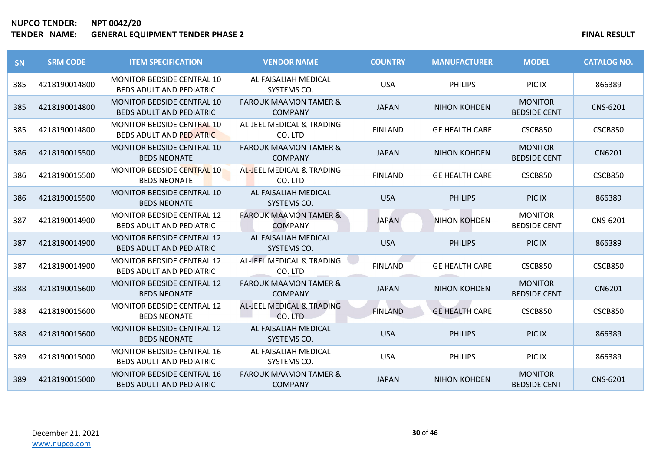| SN  | <b>SRM CODE</b> | <b>ITEM SPECIFICATION</b>                                            | <b>VENDOR NAME</b>                                 | <b>COUNTRY</b> | <b>MANUFACTURER</b>   | <b>MODEL</b>                          | <b>CATALOG NO.</b> |
|-----|-----------------|----------------------------------------------------------------------|----------------------------------------------------|----------------|-----------------------|---------------------------------------|--------------------|
| 385 | 4218190014800   | MONITOR BEDSIDE CENTRAL 10<br><b>BEDS ADULT AND PEDIATRIC</b>        | AL FAISALIAH MEDICAL<br>SYSTEMS CO.                | <b>USA</b>     | <b>PHILIPS</b>        | PIC IX                                | 866389             |
| 385 | 4218190014800   | <b>MONITOR BEDSIDE CENTRAL 10</b><br><b>BEDS ADULT AND PEDIATRIC</b> | <b>FAROUK MAAMON TAMER &amp;</b><br><b>COMPANY</b> | <b>JAPAN</b>   | <b>NIHON KOHDEN</b>   | <b>MONITOR</b><br><b>BEDSIDE CENT</b> | CNS-6201           |
| 385 | 4218190014800   | <b>MONITOR BEDSIDE CENTRAL 10</b><br><b>BEDS ADULT AND PEDIATRIC</b> | AL-JEEL MEDICAL & TRADING<br>CO. LTD               | <b>FINLAND</b> | <b>GE HEALTH CARE</b> | CSCB850                               | CSCB850            |
| 386 | 4218190015500   | <b>MONITOR BEDSIDE CENTRAL 10</b><br><b>BEDS NEONATE</b>             | <b>FAROUK MAAMON TAMER &amp;</b><br><b>COMPANY</b> | <b>JAPAN</b>   | <b>NIHON KOHDEN</b>   | <b>MONITOR</b><br><b>BEDSIDE CENT</b> | CN6201             |
| 386 | 4218190015500   | MONITOR BEDSIDE CENTRAL 10<br><b>BEDS NEONATE</b>                    | AL-JEEL MEDICAL & TRADING<br>CO. LTD               | <b>FINLAND</b> | <b>GE HEALTH CARE</b> | CSCB850                               | CSCB850            |
| 386 | 4218190015500   | MONITOR BEDSIDE CENTRAL 10<br><b>BEDS NEONATE</b>                    | AL FAISALIAH MEDICAL<br>SYSTEMS CO.                | <b>USA</b>     | <b>PHILIPS</b>        | PIC IX                                | 866389             |
| 387 | 4218190014900   | <b>MONITOR BEDSIDE CENTRAL 12</b><br><b>BEDS ADULT AND PEDIATRIC</b> | <b>FAROUK MAAMON TAMER &amp;</b><br><b>COMPANY</b> | <b>JAPAN</b>   | <b>NIHON KOHDEN</b>   | <b>MONITOR</b><br><b>BEDSIDE CENT</b> | CNS-6201           |
| 387 | 4218190014900   | <b>MONITOR BEDSIDE CENTRAL 12</b><br><b>BEDS ADULT AND PEDIATRIC</b> | AL FAISALIAH MEDICAL<br>SYSTEMS CO.                | <b>USA</b>     | <b>PHILIPS</b>        | PIC IX                                | 866389             |
| 387 | 4218190014900   | <b>MONITOR BEDSIDE CENTRAL 12</b><br><b>BEDS ADULT AND PEDIATRIC</b> | AL-JEEL MEDICAL & TRADING<br>CO. LTD               | <b>FINLAND</b> | <b>GE HEALTH CARE</b> | CSCB850                               | <b>CSCB850</b>     |
| 388 | 4218190015600   | <b>MONITOR BEDSIDE CENTRAL 12</b><br><b>BEDS NEONATE</b>             | <b>FAROUK MAAMON TAMER &amp;</b><br><b>COMPANY</b> | <b>JAPAN</b>   | <b>NIHON KOHDEN</b>   | <b>MONITOR</b><br><b>BEDSIDE CENT</b> | CN6201             |
| 388 | 4218190015600   | <b>MONITOR BEDSIDE CENTRAL 12</b><br><b>BEDS NEONATE</b>             | AL-JEEL MEDICAL & TRADING<br>CO. LTD               | <b>FINLAND</b> | <b>GE HEALTH CARE</b> | CSCB850                               | <b>CSCB850</b>     |
| 388 | 4218190015600   | <b>MONITOR BEDSIDE CENTRAL 12</b><br><b>BEDS NEONATE</b>             | AL FAISALIAH MEDICAL<br>SYSTEMS CO.                | <b>USA</b>     | <b>PHILIPS</b>        | PIC IX                                | 866389             |
| 389 | 4218190015000   | <b>MONITOR BEDSIDE CENTRAL 16</b><br><b>BEDS ADULT AND PEDIATRIC</b> | AL FAISALIAH MEDICAL<br>SYSTEMS CO.                | <b>USA</b>     | <b>PHILIPS</b>        | PIC IX                                | 866389             |
| 389 | 4218190015000   | <b>MONITOR BEDSIDE CENTRAL 16</b><br>BEDS ADULT AND PEDIATRIC        | <b>FAROUK MAAMON TAMER &amp;</b><br><b>COMPANY</b> | <b>JAPAN</b>   | <b>NIHON KOHDEN</b>   | <b>MONITOR</b><br><b>BEDSIDE CENT</b> | CNS-6201           |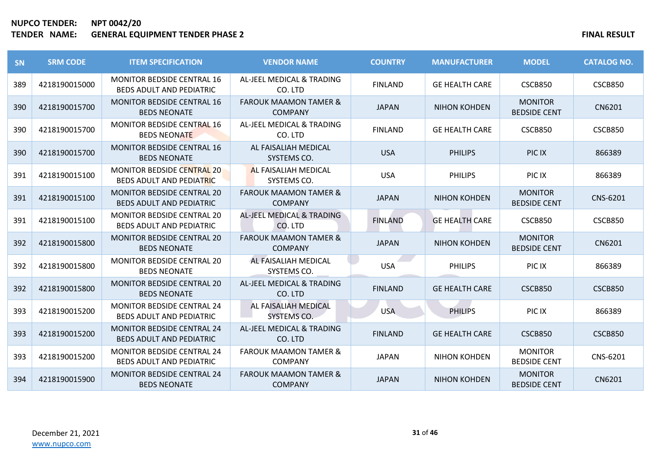| SN  | <b>SRM CODE</b> | <b>ITEM SPECIFICATION</b>                                            | <b>VENDOR NAME</b>                                 | <b>COUNTRY</b> | <b>MANUFACTURER</b>   | <b>MODEL</b>                          | <b>CATALOG NO.</b> |
|-----|-----------------|----------------------------------------------------------------------|----------------------------------------------------|----------------|-----------------------|---------------------------------------|--------------------|
| 389 | 4218190015000   | <b>MONITOR BEDSIDE CENTRAL 16</b><br><b>BEDS ADULT AND PEDIATRIC</b> | AL-JEEL MEDICAL & TRADING<br>CO. LTD               | <b>FINLAND</b> | <b>GE HEALTH CARE</b> | CSCB850                               | <b>CSCB850</b>     |
| 390 | 4218190015700   | <b>MONITOR BEDSIDE CENTRAL 16</b><br><b>BEDS NEONATE</b>             | <b>FAROUK MAAMON TAMER &amp;</b><br><b>COMPANY</b> | <b>JAPAN</b>   | <b>NIHON KOHDEN</b>   | <b>MONITOR</b><br><b>BEDSIDE CENT</b> | CN6201             |
| 390 | 4218190015700   | <b>MONITOR BEDSIDE CENTRAL 16</b><br><b>BEDS NEONATE</b>             | AL-JEEL MEDICAL & TRADING<br>CO. LTD               | <b>FINLAND</b> | <b>GE HEALTH CARE</b> | <b>CSCB850</b>                        | <b>CSCB850</b>     |
| 390 | 4218190015700   | <b>MONITOR BEDSIDE CENTRAL 16</b><br><b>BEDS NEONATE</b>             | AL FAISALIAH MEDICAL<br>SYSTEMS CO.                | <b>USA</b>     | <b>PHILIPS</b>        | PIC IX                                | 866389             |
| 391 | 4218190015100   | <b>MONITOR BEDSIDE CENTRAL 20</b><br><b>BEDS ADULT AND PEDIATRIC</b> | AL FAISALIAH MEDICAL<br>SYSTEMS CO.                | <b>USA</b>     | <b>PHILIPS</b>        | PIC IX                                | 866389             |
| 391 | 4218190015100   | <b>MONITOR BEDSIDE CENTRAL 20</b><br><b>BEDS ADULT AND PEDIATRIC</b> | <b>FAROUK MAAMON TAMER &amp;</b><br><b>COMPANY</b> | <b>JAPAN</b>   | <b>NIHON KOHDEN</b>   | <b>MONITOR</b><br><b>BEDSIDE CENT</b> | CNS-6201           |
| 391 | 4218190015100   | <b>MONITOR BEDSIDE CENTRAL 20</b><br><b>BEDS ADULT AND PEDIATRIC</b> | AL-JEEL MEDICAL & TRADING<br>CO. LTD               | <b>FINLAND</b> | <b>GE HEALTH CARE</b> | <b>CSCB850</b>                        | <b>CSCB850</b>     |
| 392 | 4218190015800   | <b>MONITOR BEDSIDE CENTRAL 20</b><br><b>BEDS NEONATE</b>             | <b>FAROUK MAAMON TAMER &amp;</b><br><b>COMPANY</b> | <b>JAPAN</b>   | <b>NIHON KOHDEN</b>   | <b>MONITOR</b><br><b>BEDSIDE CENT</b> | CN6201             |
| 392 | 4218190015800   | <b>MONITOR BEDSIDE CENTRAL 20</b><br><b>BEDS NEONATE</b>             | AL FAISALIAH MEDICAL<br>SYSTEMS CO.                | <b>USA</b>     | <b>PHILIPS</b>        | PIC IX                                | 866389             |
| 392 | 4218190015800   | <b>MONITOR BEDSIDE CENTRAL 20</b><br><b>BEDS NEONATE</b>             | AL-JEEL MEDICAL & TRADING<br>CO. LTD               | <b>FINLAND</b> | <b>GE HEALTH CARE</b> | <b>CSCB850</b>                        | <b>CSCB850</b>     |
| 393 | 4218190015200   | <b>MONITOR BEDSIDE CENTRAL 24</b><br><b>BEDS ADULT AND PEDIATRIC</b> | AL FAISALIAH MEDICAL<br>SYSTEMS CO.                | <b>USA</b>     | <b>PHILIPS</b>        | PIC <sub>IX</sub>                     | 866389             |
| 393 | 4218190015200   | <b>MONITOR BEDSIDE CENTRAL 24</b><br><b>BEDS ADULT AND PEDIATRIC</b> | AL-JEEL MEDICAL & TRADING<br>CO. LTD               | <b>FINLAND</b> | <b>GE HEALTH CARE</b> | <b>CSCB850</b>                        | CSCB850            |
| 393 | 4218190015200   | <b>MONITOR BEDSIDE CENTRAL 24</b><br><b>BEDS ADULT AND PEDIATRIC</b> | <b>FAROUK MAAMON TAMER &amp;</b><br><b>COMPANY</b> | <b>JAPAN</b>   | NIHON KOHDEN          | <b>MONITOR</b><br><b>BEDSIDE CENT</b> | CNS-6201           |
| 394 | 4218190015900   | <b>MONITOR BEDSIDE CENTRAL 24</b><br><b>BEDS NEONATE</b>             | <b>FAROUK MAAMON TAMER &amp;</b><br><b>COMPANY</b> | <b>JAPAN</b>   | <b>NIHON KOHDEN</b>   | <b>MONITOR</b><br><b>BEDSIDE CENT</b> | CN6201             |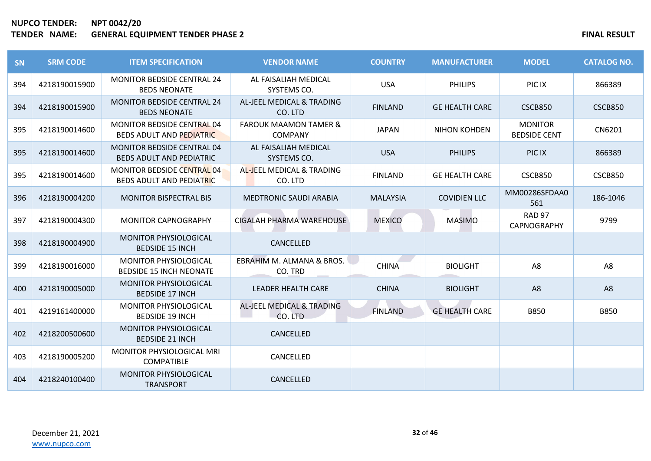| <b>SN</b> | <b>SRM CODE</b> | <b>ITEM SPECIFICATION</b>                                            | <b>VENDOR NAME</b>                                 | <b>COUNTRY</b>  | <b>MANUFACTURER</b>   | <b>MODEL</b>                          | <b>CATALOG NO.</b> |
|-----------|-----------------|----------------------------------------------------------------------|----------------------------------------------------|-----------------|-----------------------|---------------------------------------|--------------------|
| 394       | 4218190015900   | <b>MONITOR BEDSIDE CENTRAL 24</b><br><b>BEDS NEONATE</b>             | AL FAISALIAH MEDICAL<br>SYSTEMS CO.                | <b>USA</b>      | <b>PHILIPS</b>        | PIC IX                                | 866389             |
| 394       | 4218190015900   | <b>MONITOR BEDSIDE CENTRAL 24</b><br><b>BEDS NEONATE</b>             | AL-JEEL MEDICAL & TRADING<br>CO. LTD               | <b>FINLAND</b>  | <b>GE HEALTH CARE</b> | <b>CSCB850</b>                        | <b>CSCB850</b>     |
| 395       | 4218190014600   | <b>MONITOR BEDSIDE CENTRAL 04</b><br><b>BEDS ADULT AND PEDIATRIC</b> | <b>FAROUK MAAMON TAMER &amp;</b><br><b>COMPANY</b> | <b>JAPAN</b>    | <b>NIHON KOHDEN</b>   | <b>MONITOR</b><br><b>BEDSIDE CENT</b> | CN6201             |
| 395       | 4218190014600   | <b>MONITOR BEDSIDE CENTRAL 04</b><br><b>BEDS ADULT AND PEDIATRIC</b> | AL FAISALIAH MEDICAL<br>SYSTEMS CO.                | <b>USA</b>      | <b>PHILIPS</b>        | PIC IX                                | 866389             |
| 395       | 4218190014600   | <b>MONITOR BEDSIDE CENTRAL 04</b><br>BEDS ADULT AND PEDIATRIC        | AL-JEEL MEDICAL & TRADING<br>CO. LTD               | <b>FINLAND</b>  | <b>GE HEALTH CARE</b> | <b>CSCB850</b>                        | CSCB850            |
| 396       | 4218190004200   | <b>MONITOR BISPECTRAL BIS</b>                                        | <b>MEDTRONIC SAUDI ARABIA</b>                      | <b>MALAYSIA</b> | <b>COVIDIEN LLC</b>   | MM00286SFDAA0<br>561                  | 186-1046           |
| 397       | 4218190004300   | <b>MONITOR CAPNOGRAPHY</b>                                           | CIGALAH PHARMA WAREHOUSE                           | <b>MEXICO</b>   | <b>MASIMO</b>         | <b>RAD 97</b><br><b>CAPNOGRAPHY</b>   | 9799               |
| 398       | 4218190004900   | <b>MONITOR PHYSIOLOGICAL</b><br><b>BEDSIDE 15 INCH</b>               | CANCELLED                                          |                 |                       |                                       |                    |
| 399       | 4218190016000   | <b>MONITOR PHYSIOLOGICAL</b><br><b>BEDSIDE 15 INCH NEONATE</b>       | EBRAHIM M. ALMANA & BROS.<br>CO. TRD               | <b>CHINA</b>    | <b>BIOLIGHT</b>       | A <sub>8</sub>                        | A <sub>8</sub>     |
| 400       | 4218190005000   | <b>MONITOR PHYSIOLOGICAL</b><br><b>BEDSIDE 17 INCH</b>               | <b>LEADER HEALTH CARE</b>                          | <b>CHINA</b>    | <b>BIOLIGHT</b>       | A <sub>8</sub>                        | A <sub>8</sub>     |
| 401       | 4219161400000   | <b>MONITOR PHYSIOLOGICAL</b><br><b>BEDSIDE 19 INCH</b>               | AL-JEEL MEDICAL & TRADING<br>CO. LTD               | <b>FINLAND</b>  | <b>GE HEALTH CARE</b> | <b>B850</b>                           | <b>B850</b>        |
| 402       | 4218200500600   | <b>MONITOR PHYSIOLOGICAL</b><br><b>BEDSIDE 21 INCH</b>               | CANCELLED                                          |                 |                       |                                       |                    |
| 403       | 4218190005200   | MONITOR PHYSIOLOGICAL MRI<br>COMPATIBLE                              | CANCELLED                                          |                 |                       |                                       |                    |
| 404       | 4218240100400   | <b>MONITOR PHYSIOLOGICAL</b><br><b>TRANSPORT</b>                     | CANCELLED                                          |                 |                       |                                       |                    |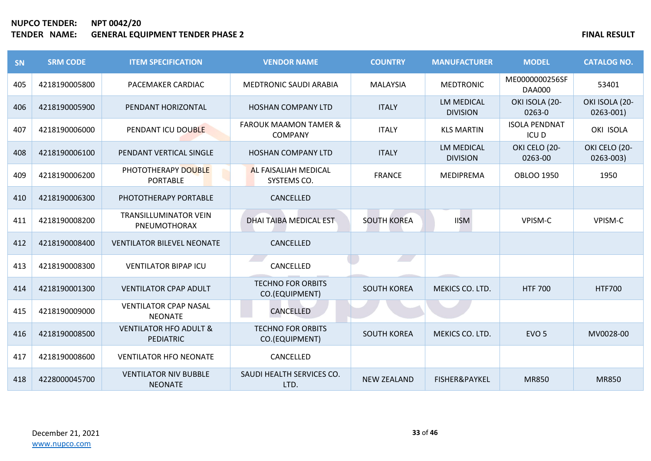| SN  | <b>SRM CODE</b> | <b>ITEM SPECIFICATION</b>                             | <b>VENDOR NAME</b>                                 | <b>COUNTRY</b>     | <b>MANUFACTURER</b>                  | <b>MODEL</b>                    | <b>CATALOG NO.</b>             |
|-----|-----------------|-------------------------------------------------------|----------------------------------------------------|--------------------|--------------------------------------|---------------------------------|--------------------------------|
| 405 | 4218190005800   | PACEMAKER CARDIAC                                     | <b>MEDTRONIC SAUDI ARABIA</b>                      | MALAYSIA           | <b>MEDTRONIC</b>                     | ME0000000256SF<br><b>DAA000</b> | 53401                          |
| 406 | 4218190005900   | PENDANT HORIZONTAL                                    | <b>HOSHAN COMPANY LTD</b>                          | <b>ITALY</b>       | <b>LM MEDICAL</b><br><b>DIVISION</b> | OKI ISOLA (20-<br>0263-0        | OKI ISOLA (20-<br>$0263 - 001$ |
| 407 | 4218190006000   | PENDANT ICU DOUBLE                                    | <b>FAROUK MAAMON TAMER &amp;</b><br><b>COMPANY</b> | <b>ITALY</b>       | <b>KLS MARTIN</b>                    | <b>ISOLA PENDNAT</b><br>ICU D   | OKI ISOLA                      |
| 408 | 4218190006100   | PENDANT VERTICAL SINGLE                               | <b>HOSHAN COMPANY LTD</b>                          | <b>ITALY</b>       | <b>LM MEDICAL</b><br><b>DIVISION</b> | OKI CELO (20-<br>0263-00        | OKI CELO (20-<br>$0263 - 003$  |
| 409 | 4218190006200   | PHOTOTHERAPY DOUBLE<br><b>PORTABLE</b>                | <b>AL FAISALIAH MEDICAL</b><br>SYSTEMS CO.         | <b>FRANCE</b>      | <b>MEDIPREMA</b>                     | <b>OBLOO 1950</b>               | 1950                           |
| 410 | 4218190006300   | PHOTOTHERAPY PORTABLE                                 | CANCELLED                                          |                    |                                      |                                 |                                |
| 411 | 4218190008200   | <b>TRANSILLUMINATOR VEIN</b><br>PNEUMOTHORAX          | DHAI TAIBA MEDICAL EST                             | <b>SOUTH KOREA</b> | <b>IISM</b>                          | VPISM-C                         | VPISM-C                        |
| 412 | 4218190008400   | <b>VENTILATOR BILEVEL NEONATE</b>                     | CANCELLED                                          |                    |                                      |                                 |                                |
| 413 | 4218190008300   | <b>VENTILATOR BIPAP ICU</b>                           | CANCELLED                                          | A V                |                                      |                                 |                                |
| 414 | 4218190001300   | <b>VENTILATOR CPAP ADULT</b>                          | <b>TECHNO FOR ORBITS</b><br>CO.(EQUIPMENT)         | <b>SOUTH KOREA</b> | MEKICS CO. LTD.                      | <b>HTF 700</b>                  | <b>HTF700</b>                  |
| 415 | 4218190009000   | <b>VENTILATOR CPAP NASAL</b><br><b>NEONATE</b>        | CANCELLED                                          |                    |                                      |                                 |                                |
| 416 | 4218190008500   | <b>VENTILATOR HFO ADULT &amp;</b><br><b>PEDIATRIC</b> | <b>TECHNO FOR ORBITS</b><br>CO.(EQUIPMENT)         | <b>SOUTH KOREA</b> | MEKICS CO. LTD.                      | EVO <sub>5</sub>                | MV0028-00                      |
| 417 | 4218190008600   | <b>VENTILATOR HFO NEONATE</b>                         | CANCELLED                                          |                    |                                      |                                 |                                |
| 418 | 4228000045700   | <b>VENTILATOR NIV BUBBLE</b><br><b>NEONATE</b>        | SAUDI HEALTH SERVICES CO.<br>LTD.                  | <b>NEW ZEALAND</b> | <b>FISHER&amp;PAYKEL</b>             | <b>MR850</b>                    | <b>MR850</b>                   |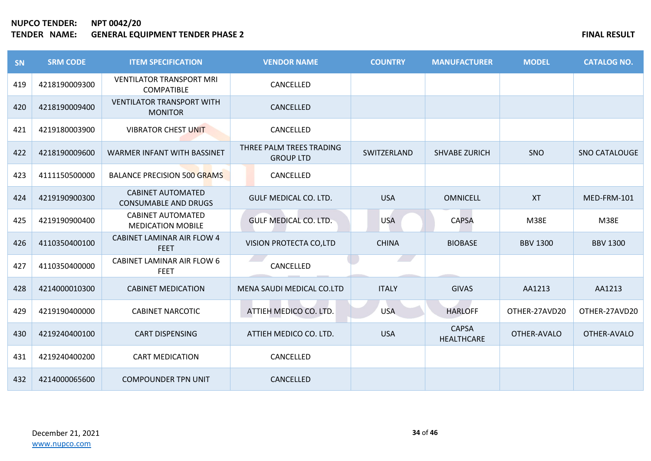| SN  | <b>SRM CODE</b> | <b>ITEM SPECIFICATION</b>                               | <b>VENDOR NAME</b>                           | <b>COUNTRY</b> | <b>MANUFACTURER</b>        | <b>MODEL</b>    | <b>CATALOG NO.</b>   |
|-----|-----------------|---------------------------------------------------------|----------------------------------------------|----------------|----------------------------|-----------------|----------------------|
| 419 | 4218190009300   | <b>VENTILATOR TRANSPORT MRI</b><br><b>COMPATIBLE</b>    | CANCELLED                                    |                |                            |                 |                      |
| 420 | 4218190009400   | <b>VENTILATOR TRANSPORT WITH</b><br><b>MONITOR</b>      | CANCELLED                                    |                |                            |                 |                      |
| 421 | 4219180003900   | <b>VIBRATOR CHEST UNIT</b>                              | CANCELLED                                    |                |                            |                 |                      |
| 422 | 4218190009600   | <b>WARMER INFANT WITH BASSINET</b>                      | THREE PALM TREES TRADING<br><b>GROUP LTD</b> | SWITZERLAND    | <b>SHVABE ZURICH</b>       | SNO             | <b>SNO CATALOUGE</b> |
| 423 | 4111150500000   | <b>BALANCE PRECISION 500 GRAMS</b>                      | CANCELLED                                    |                |                            |                 |                      |
| 424 | 4219190900300   | <b>CABINET AUTOMATED</b><br><b>CONSUMABLE AND DRUGS</b> | GULF MEDICAL CO. LTD.                        | <b>USA</b>     | <b>OMNICELL</b>            | <b>XT</b>       | MED-FRM-101          |
| 425 | 4219190900400   | <b>CABINET AUTOMATED</b><br><b>MEDICATION MOBILE</b>    | <b>GULF MEDICAL CO. LTD.</b>                 | <b>USA</b>     | <b>CAPSA</b>               | <b>M38E</b>     | <b>M38E</b>          |
| 426 | 4110350400100   | <b>CABINET LAMINAR AIR FLOW 4</b><br><b>FEET</b>        | VISION PROTECTA CO,LTD                       | <b>CHINA</b>   | <b>BIOBASE</b>             | <b>BBV 1300</b> | <b>BBV 1300</b>      |
| 427 | 4110350400000   | <b>CABINET LAMINAR AIR FLOW 6</b><br>FEET               | CANCELLED                                    |                |                            |                 |                      |
| 428 | 4214000010300   | <b>CABINET MEDICATION</b>                               | MENA SAUDI MEDICAL CO.LTD                    | <b>ITALY</b>   | <b>GIVAS</b>               | AA1213          | AA1213               |
| 429 | 4219190400000   | <b>CABINET NARCOTIC</b>                                 | ATTIEH MEDICO CO. LTD.                       | <b>USA</b>     | <b>HARLOFF</b>             | OTHER-27AVD20   | OTHER-27AVD20        |
| 430 | 4219240400100   | <b>CART DISPENSING</b>                                  | ATTIEH MEDICO CO. LTD.                       | <b>USA</b>     | <b>CAPSA</b><br>HEALTHCARE | OTHER-AVALO     | OTHER-AVALO          |
| 431 | 4219240400200   | <b>CART MEDICATION</b>                                  | CANCELLED                                    |                |                            |                 |                      |
| 432 | 4214000065600   | <b>COMPOUNDER TPN UNIT</b>                              | CANCELLED                                    |                |                            |                 |                      |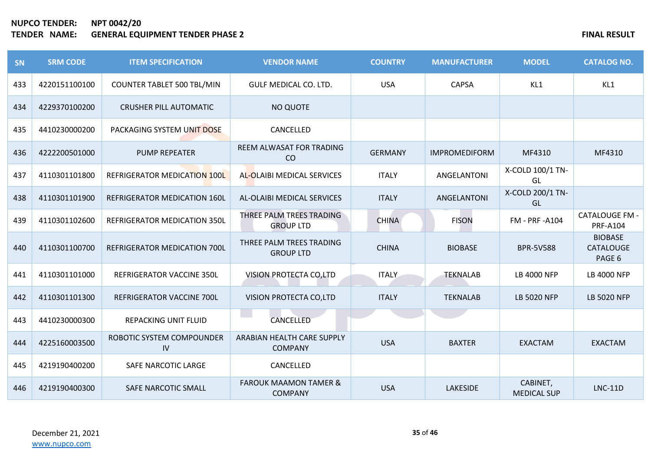| SN  | <b>SRM CODE</b> | <b>ITEM SPECIFICATION</b>           | <b>VENDOR NAME</b>                                 | <b>COUNTRY</b> | <b>MANUFACTURER</b>  | <b>MODEL</b>                   | <b>CATALOG NO.</b>                       |
|-----|-----------------|-------------------------------------|----------------------------------------------------|----------------|----------------------|--------------------------------|------------------------------------------|
| 433 | 4220151100100   | COUNTER TABLET 500 TBL/MIN          | GULF MEDICAL CO. LTD.                              | <b>USA</b>     | <b>CAPSA</b>         | KL1                            | KL1                                      |
| 434 | 4229370100200   | <b>CRUSHER PILL AUTOMATIC</b>       | <b>NO QUOTE</b>                                    |                |                      |                                |                                          |
| 435 | 4410230000200   | PACKAGING SYSTEM UNIT DOSE          | CANCELLED                                          |                |                      |                                |                                          |
| 436 | 4222200501000   | <b>PUMP REPEATER</b>                | REEM ALWASAT FOR TRADING<br>CO                     | <b>GERMANY</b> | <b>IMPROMEDIFORM</b> | MF4310                         | MF4310                                   |
| 437 | 4110301101800   | REFRIGERATOR MEDICATION 100L        | AL-OLAIBI MEDICAL SERVICES                         | <b>ITALY</b>   | ANGELANTONI          | X-COLD 100/1 TN-<br>GL         |                                          |
| 438 | 4110301101900   | <b>REFRIGERATOR MEDICATION 160L</b> | AL-OLAIBI MEDICAL SERVICES                         | <b>ITALY</b>   | <b>ANGELANTONI</b>   | X-COLD 200/1 TN-<br>GL         |                                          |
| 439 | 4110301102600   | <b>REFRIGERATOR MEDICATION 350L</b> | THREE PALM TREES TRADING<br><b>GROUP LTD</b>       | <b>CHINA</b>   | <b>FISON</b>         | FM - PRF -A104                 | <b>CATALOUGE FM -</b><br><b>PRF-A104</b> |
| 440 | 4110301100700   | REFRIGERATOR MEDICATION 700L        | THREE PALM TREES TRADING<br><b>GROUP LTD</b>       | <b>CHINA</b>   | <b>BIOBASE</b>       | <b>BPR-5V588</b>               | <b>BIOBASE</b><br>CATALOUGE<br>PAGE 6    |
| 441 | 4110301101000   | REFRIGERATOR VACCINE 350L           | VISION PROTECTA CO,LTD                             | <b>ITALY</b>   | <b>TEKNALAB</b>      | <b>LB 4000 NFP</b>             | <b>LB 4000 NFP</b>                       |
| 442 | 4110301101300   | REFRIGERATOR VACCINE 700L           | VISION PROTECTA CO,LTD                             | <b>ITALY</b>   | <b>TEKNALAB</b>      | <b>LB 5020 NFP</b>             | <b>LB 5020 NFP</b>                       |
| 443 | 4410230000300   | REPACKING UNIT FLUID                | CANCELLED                                          |                |                      |                                |                                          |
| 444 | 4225160003500   | ROBOTIC SYSTEM COMPOUNDER<br>IV     | ARABIAN HEALTH CARE SUPPLY<br><b>COMPANY</b>       | <b>USA</b>     | <b>BAXTER</b>        | <b>EXACTAM</b>                 | <b>EXACTAM</b>                           |
| 445 | 4219190400200   | SAFE NARCOTIC LARGE                 | CANCELLED                                          |                |                      |                                |                                          |
| 446 | 4219190400300   | SAFE NARCOTIC SMALL                 | <b>FAROUK MAAMON TAMER &amp;</b><br><b>COMPANY</b> | <b>USA</b>     | <b>LAKESIDE</b>      | CABINET,<br><b>MEDICAL SUP</b> | <b>LNC-11D</b>                           |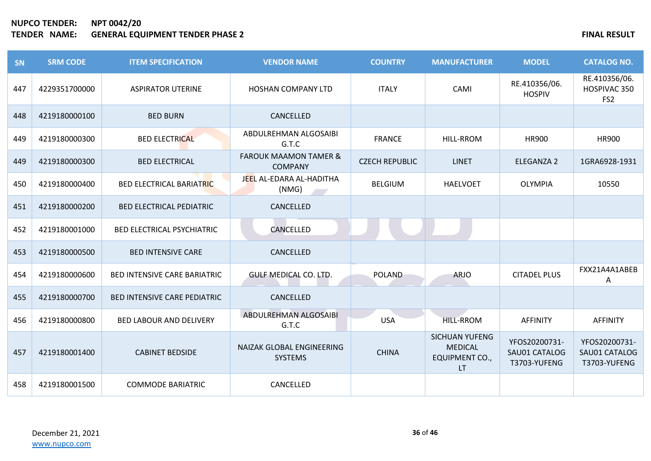| SN  | <b>SRM CODE</b> | <b>ITEM SPECIFICATION</b>           | <b>VENDOR NAME</b>                                 | <b>COUNTRY</b>        | <b>MANUFACTURER</b>                                                    | <b>MODEL</b>                                   | <b>CATALOG NO.</b>                               |
|-----|-----------------|-------------------------------------|----------------------------------------------------|-----------------------|------------------------------------------------------------------------|------------------------------------------------|--------------------------------------------------|
| 447 | 4229351700000   | <b>ASPIRATOR UTERINE</b>            | <b>HOSHAN COMPANY LTD</b>                          | <b>ITALY</b>          | CAMI                                                                   | RE.410356/06.<br><b>HOSPIV</b>                 | RE.410356/06.<br>HOSPIVAC 350<br>FS <sub>2</sub> |
| 448 | 4219180000100   | <b>BED BURN</b>                     | CANCELLED                                          |                       |                                                                        |                                                |                                                  |
| 449 | 4219180000300   | <b>BED ELECTRICAL</b>               | ABDULREHMAN ALGOSAIBI<br>G.T.C                     | <b>FRANCE</b>         | <b>HILL-RROM</b>                                                       | <b>HR900</b>                                   | HR900                                            |
| 449 | 4219180000300   | <b>BED ELECTRICAL</b>               | <b>FAROUK MAAMON TAMER &amp;</b><br><b>COMPANY</b> | <b>CZECH REPUBLIC</b> | <b>LINET</b>                                                           | ELEGANZA 2                                     | 1GRA6928-1931                                    |
| 450 | 4219180000400   | <b>BED ELECTRICAL BARIATRIC</b>     | <b>JEEL AL-EDARA AL-HADITHA</b><br>(NMG)           | <b>BELGIUM</b>        | <b>HAELVOET</b>                                                        | <b>OLYMPIA</b>                                 | 10550                                            |
| 451 | 4219180000200   | <b>BED ELECTRICAL PEDIATRIC</b>     | CANCELLED                                          |                       |                                                                        |                                                |                                                  |
| 452 | 4219180001000   | <b>BED ELECTRICAL PSYCHIATRIC</b>   | CANCELLED                                          |                       |                                                                        |                                                |                                                  |
| 453 | 4219180000500   | <b>BED INTENSIVE CARE</b>           | CANCELLED                                          |                       |                                                                        |                                                |                                                  |
| 454 | 4219180000600   | <b>BED INTENSIVE CARE BARIATRIC</b> | GULF MEDICAL CO. LTD.                              | <b>POLAND</b>         | <b>ARJO</b>                                                            | <b>CITADEL PLUS</b>                            | FXX21A4A1ABEB<br>Α                               |
| 455 | 4219180000700   | <b>BED INTENSIVE CARE PEDIATRIC</b> | CANCELLED                                          |                       |                                                                        |                                                |                                                  |
| 456 | 4219180000800   | <b>BED LABOUR AND DELIVERY</b>      | ABDULREHMAN ALGOSAIBI<br>G.T.C                     | <b>USA</b>            | <b>HILL-RROM</b>                                                       | <b>AFFINITY</b>                                | <b>AFFINITY</b>                                  |
| 457 | 4219180001400   | <b>CABINET BEDSIDE</b>              | NAIZAK GLOBAL ENGINEERING<br><b>SYSTEMS</b>        | <b>CHINA</b>          | <b>SICHUAN YUFENG</b><br><b>MEDICAL</b><br>EQUIPMENT CO.,<br><b>LT</b> | YFOS20200731-<br>SAU01 CATALOG<br>T3703-YUFENG | YFOS20200731-<br>SAU01 CATALOG<br>T3703-YUFENG   |
| 458 | 4219180001500   | <b>COMMODE BARIATRIC</b>            | CANCELLED                                          |                       |                                                                        |                                                |                                                  |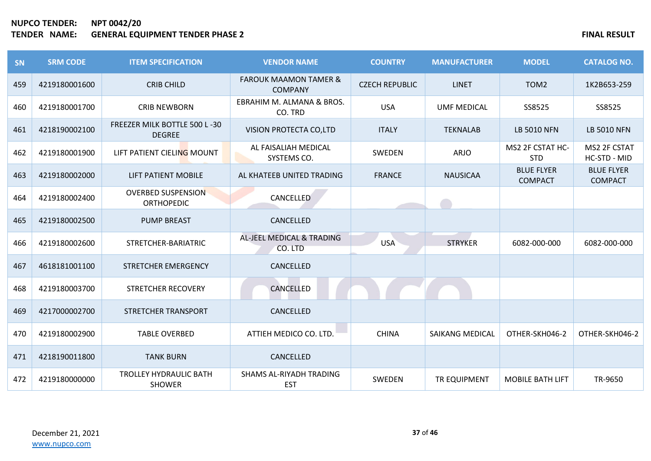| SN  | <b>SRM CODE</b> | <b>ITEM SPECIFICATION</b>                      | <b>VENDOR NAME</b>                                 | <b>COUNTRY</b>        | <b>MANUFACTURER</b>    | <b>MODEL</b>                        | <b>CATALOG NO.</b>                  |
|-----|-----------------|------------------------------------------------|----------------------------------------------------|-----------------------|------------------------|-------------------------------------|-------------------------------------|
| 459 | 4219180001600   | <b>CRIB CHILD</b>                              | <b>FAROUK MAAMON TAMER &amp;</b><br><b>COMPANY</b> | <b>CZECH REPUBLIC</b> | <b>LINET</b>           | TOM <sub>2</sub>                    | 1K2B653-259                         |
| 460 | 4219180001700   | <b>CRIB NEWBORN</b>                            | EBRAHIM M. ALMANA & BROS.<br>CO. TRD               | <b>USA</b>            | <b>UMF MEDICAL</b>     | SS8525                              | SS8525                              |
| 461 | 4218190002100   | FREEZER MILK BOTTLE 500 L-30<br><b>DEGREE</b>  | VISION PROTECTA CO,LTD                             | <b>ITALY</b>          | <b>TEKNALAB</b>        | <b>LB 5010 NFN</b>                  | <b>LB 5010 NFN</b>                  |
| 462 | 4219180001900   | LIFT PATIENT CIELING MOUNT                     | AL FAISALIAH MEDICAL<br>SYSTEMS CO.                | SWEDEN                | ARJO                   | MS2 2F CSTAT HC-<br><b>STD</b>      | MS2 2F CSTAT<br>HC-STD - MID        |
| 463 | 4219180002000   | LIFT PATIENT MOBILE                            | AL KHATEEB UNITED TRADING                          | <b>FRANCE</b>         | <b>NAUSICAA</b>        | <b>BLUE FLYER</b><br><b>COMPACT</b> | <b>BLUE FLYER</b><br><b>COMPACT</b> |
| 464 | 4219180002400   | <b>OVERBED SUSPENSION</b><br><b>ORTHOPEDIC</b> | CANCELLED                                          |                       |                        |                                     |                                     |
| 465 | 4219180002500   | <b>PUMP BREAST</b>                             | CANCELLED                                          |                       |                        |                                     |                                     |
| 466 | 4219180002600   | STRETCHER-BARIATRIC                            | AL-JEEL MEDICAL & TRADING<br>CO. LTD               | <b>USA</b>            | <b>STRYKER</b>         | 6082-000-000                        | 6082-000-000                        |
| 467 | 4618181001100   | STRETCHER EMERGENCY                            | CANCELLED                                          |                       |                        |                                     |                                     |
| 468 | 4219180003700   | <b>STRETCHER RECOVERY</b>                      | CANCELLED                                          |                       |                        |                                     |                                     |
| 469 | 4217000002700   | STRETCHER TRANSPORT                            | CANCELLED                                          |                       |                        |                                     |                                     |
| 470 | 4219180002900   | <b>TABLE OVERBED</b>                           | ATTIEH MEDICO CO. LTD.                             | <b>CHINA</b>          | <b>SAIKANG MEDICAL</b> | OTHER-SKH046-2                      | OTHER-SKH046-2                      |
| 471 | 4218190011800   | <b>TANK BURN</b>                               | CANCELLED                                          |                       |                        |                                     |                                     |
| 472 | 4219180000000   | <b>TROLLEY HYDRAULIC BATH</b><br><b>SHOWER</b> | SHAMS AL-RIYADH TRADING<br><b>EST</b>              | SWEDEN                | <b>TR EQUIPMENT</b>    | <b>MOBILE BATH LIFT</b>             | TR-9650                             |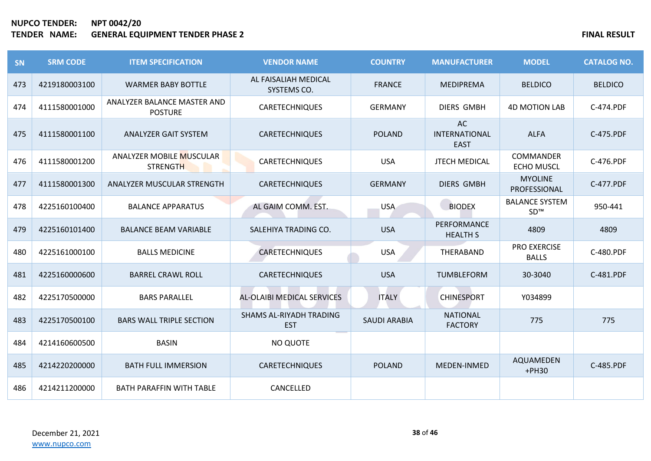| SN  | <b>SRM CODE</b> | <b>ITEM SPECIFICATION</b>                          | <b>VENDOR NAME</b>                    | <b>COUNTRY</b>      | <b>MANUFACTURER</b>                       | <b>MODEL</b>                        | <b>CATALOG NO.</b> |
|-----|-----------------|----------------------------------------------------|---------------------------------------|---------------------|-------------------------------------------|-------------------------------------|--------------------|
| 473 | 4219180003100   | <b>WARMER BABY BOTTLE</b>                          | AL FAISALIAH MEDICAL<br>SYSTEMS CO.   | <b>FRANCE</b>       | <b>MEDIPREMA</b>                          | <b>BELDICO</b>                      | <b>BELDICO</b>     |
| 474 | 4111580001000   | ANALYZER BALANCE MASTER AND<br><b>POSTURE</b>      | <b>CARETECHNIQUES</b>                 | <b>GERMANY</b>      | <b>DIERS GMBH</b>                         | <b>4D MOTION LAB</b>                | C-474.PDF          |
| 475 | 4111580001100   | <b>ANALYZER GAIT SYSTEM</b>                        | <b>CARETECHNIQUES</b>                 | <b>POLAND</b>       | AC<br><b>INTERNATIONAL</b><br><b>EAST</b> | <b>ALFA</b>                         | C-475.PDF          |
| 476 | 4111580001200   | <b>ANALYZER MOBILE MUSCULAR</b><br><b>STRENGTH</b> | <b>CARETECHNIQUES</b>                 | <b>USA</b>          | <b>JTECH MEDICAL</b>                      | COMMANDER<br><b>ECHO MUSCL</b>      | C-476.PDF          |
| 477 | 4111580001300   | ANALYZER MUSCULAR STRENGTH                         | <b>CARETECHNIQUES</b>                 | <b>GERMANY</b>      | <b>DIERS GMBH</b>                         | <b>MYOLINE</b><br>PROFESSIONAL      | C-477.PDF          |
| 478 | 4225160100400   | <b>BALANCE APPARATUS</b>                           | AL GAIM COMM. EST.                    | <b>USA</b>          | <b>BIODEX</b>                             | <b>BALANCE SYSTEM</b><br>SD™        | 950-441            |
| 479 | 4225160101400   | <b>BALANCE BEAM VARIABLE</b>                       | SALEHIYA TRADING CO.                  | <b>USA</b>          | <b>PERFORMANCE</b><br><b>HEALTH S</b>     | 4809                                | 4809               |
| 480 | 4225161000100   | <b>BALLS MEDICINE</b>                              | <b>CARETECHNIQUES</b>                 | <b>USA</b>          | THERABAND                                 | <b>PRO EXERCISE</b><br><b>BALLS</b> | C-480.PDF          |
| 481 | 4225160000600   | <b>BARREL CRAWL ROLL</b>                           | <b>CARETECHNIQUES</b>                 | <b>USA</b>          | <b>TUMBLEFORM</b>                         | 30-3040                             | C-481.PDF          |
| 482 | 4225170500000   | <b>BARS PARALLEL</b>                               | AL-OLAIBI MEDICAL SERVICES            | <b>ITALY</b>        | <b>CHINESPORT</b>                         | Y034899                             |                    |
| 483 | 4225170500100   | <b>BARS WALL TRIPLE SECTION</b>                    | SHAMS AL-RIYADH TRADING<br><b>EST</b> | <b>SAUDI ARABIA</b> | <b>NATIONAL</b><br><b>FACTORY</b>         | 775                                 | 775                |
| 484 | 4214160600500   | <b>BASIN</b>                                       | NO QUOTE                              |                     |                                           |                                     |                    |
| 485 | 4214220200000   | <b>BATH FULL IMMERSION</b>                         | <b>CARETECHNIQUES</b>                 | <b>POLAND</b>       | MEDEN-INMED                               | AQUAMEDEN<br>+PH30                  | C-485.PDF          |
| 486 | 4214211200000   | <b>BATH PARAFFIN WITH TABLE</b>                    | CANCELLED                             |                     |                                           |                                     |                    |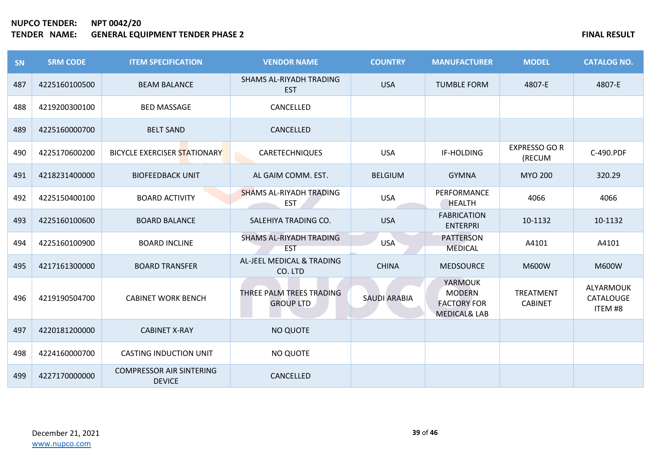| SN  | <b>SRM CODE</b> | <b>ITEM SPECIFICATION</b>                        | <b>VENDOR NAME</b>                           | <b>COUNTRY</b>      | <b>MANUFACTURER</b>                                                       | <b>MODEL</b>                   | <b>CATALOG NO.</b>                |
|-----|-----------------|--------------------------------------------------|----------------------------------------------|---------------------|---------------------------------------------------------------------------|--------------------------------|-----------------------------------|
| 487 | 4225160100500   | <b>BEAM BALANCE</b>                              | SHAMS AL-RIYADH TRADING<br><b>EST</b>        | <b>USA</b>          | <b>TUMBLE FORM</b>                                                        | 4807-E                         | 4807-E                            |
| 488 | 4219200300100   | <b>BED MASSAGE</b>                               | CANCELLED                                    |                     |                                                                           |                                |                                   |
| 489 | 4225160000700   | <b>BELT SAND</b>                                 | CANCELLED                                    |                     |                                                                           |                                |                                   |
| 490 | 4225170600200   | <b>BICYCLE EXERCISER STATIONARY</b>              | <b>CARETECHNIQUES</b>                        | <b>USA</b>          | IF-HOLDING                                                                | <b>EXPRESSO GO R</b><br>(RECUM | C-490.PDF                         |
| 491 | 4218231400000   | <b>BIOFEEDBACK UNIT</b>                          | AL GAIM COMM. EST.                           | <b>BELGIUM</b>      | <b>GYMNA</b>                                                              | <b>MYO 200</b>                 | 320.29                            |
| 492 | 4225150400100   | <b>BOARD ACTIVITY</b>                            | <b>SHAMS AL-RIYADH TRADING</b><br><b>EST</b> | <b>USA</b>          | PERFORMANCE<br><b>HEALTH</b>                                              | 4066                           | 4066                              |
| 493 | 4225160100600   | <b>BOARD BALANCE</b>                             | SALEHIYA TRADING CO.                         | <b>USA</b>          | <b>FABRICATION</b><br><b>ENTERPRI</b>                                     | 10-1132                        | 10-1132                           |
| 494 | 4225160100900   | <b>BOARD INCLINE</b>                             | <b>SHAMS AL-RIYADH TRADING</b><br><b>EST</b> | <b>USA</b>          | <b>PATTERSON</b><br><b>MEDICAL</b>                                        | A4101                          | A4101                             |
| 495 | 4217161300000   | <b>BOARD TRANSFER</b>                            | AL-JEEL MEDICAL & TRADING<br>CO. LTD         | <b>CHINA</b>        | <b>MEDSOURCE</b>                                                          | M600W                          | M600W                             |
| 496 | 4219190504700   | <b>CABINET WORK BENCH</b>                        | THREE PALM TREES TRADING<br><b>GROUP LTD</b> | <b>SAUDI ARABIA</b> | YARMOUK<br><b>MODERN</b><br><b>FACTORY FOR</b><br><b>MEDICAL&amp; LAB</b> | TREATMENT<br><b>CABINET</b>    | ALYARMOUK<br>CATALOUGE<br>ITEM #8 |
| 497 | 4220181200000   | <b>CABINET X-RAY</b>                             | NO QUOTE                                     |                     |                                                                           |                                |                                   |
| 498 | 4224160000700   | <b>CASTING INDUCTION UNIT</b>                    | NO QUOTE                                     |                     |                                                                           |                                |                                   |
| 499 | 4227170000000   | <b>COMPRESSOR AIR SINTERING</b><br><b>DEVICE</b> | CANCELLED                                    |                     |                                                                           |                                |                                   |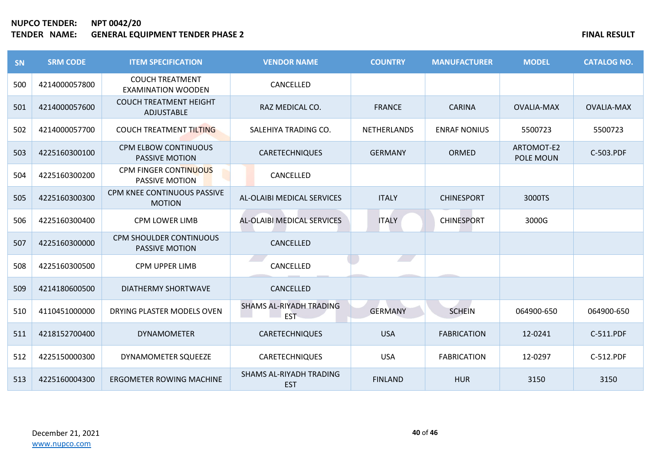# **NUPCO TENDER: NPT 0042/20 TENDER NAMES ARE SUIT ASSESSED ASSESSED ASSESSED ASSESSED ASSESSED FINAL RESULT**

| SN  | <b>SRM CODE</b> | <b>ITEM SPECIFICATION</b>                               | <b>VENDOR NAME</b>                           | <b>COUNTRY</b>     | <b>MANUFACTURER</b> | <b>MODEL</b>            | <b>CATALOG NO.</b> |
|-----|-----------------|---------------------------------------------------------|----------------------------------------------|--------------------|---------------------|-------------------------|--------------------|
| 500 | 4214000057800   | <b>COUCH TREATMENT</b><br><b>EXAMINATION WOODEN</b>     | CANCELLED                                    |                    |                     |                         |                    |
| 501 | 4214000057600   | <b>COUCH TREATMENT HEIGHT</b><br>ADJUSTABLE             | RAZ MEDICAL CO.                              | <b>FRANCE</b>      | <b>CARINA</b>       | <b>OVALIA-MAX</b>       | <b>OVALIA-MAX</b>  |
| 502 | 4214000057700   | <b>COUCH TREATMENT TILTING</b>                          | SALEHIYA TRADING CO.                         | <b>NETHERLANDS</b> | <b>ENRAF NONIUS</b> | 5500723                 | 5500723            |
| 503 | 4225160300100   | <b>CPM ELBOW CONTINUOUS</b><br><b>PASSIVE MOTION</b>    | <b>CARETECHNIQUES</b>                        | <b>GERMANY</b>     | <b>ORMED</b>        | ARTOMOT-E2<br>POLE MOUN | C-503.PDF          |
| 504 | 4225160300200   | CPM FINGER CONTINUOUS<br><b>PASSIVE MOTION</b>          | CANCELLED                                    |                    |                     |                         |                    |
| 505 | 4225160300300   | CPM KNEE CONTINUOUS PASSIVE<br><b>MOTION</b>            | AL-OLAIBI MEDICAL SERVICES                   | <b>ITALY</b>       | <b>CHINESPORT</b>   | 3000TS                  |                    |
| 506 | 4225160300400   | <b>CPM LOWER LIMB</b>                                   | AL-OLAIBI MEDICAL SERVICES                   | <b>ITALY</b>       | <b>CHINESPORT</b>   | 3000G                   |                    |
| 507 | 4225160300000   | <b>CPM SHOULDER CONTINUOUS</b><br><b>PASSIVE MOTION</b> | CANCELLED                                    |                    |                     |                         |                    |
| 508 | 4225160300500   | <b>CPM UPPER LIMB</b>                                   | CANCELLED                                    |                    |                     |                         |                    |
| 509 | 4214180600500   | DIATHERMY SHORTWAVE                                     | CANCELLED                                    |                    |                     |                         |                    |
| 510 | 4110451000000   | DRYING PLASTER MODELS OVEN                              | <b>SHAMS AL-RIYADH TRADING</b><br><b>EST</b> | <b>GERMANY</b>     | <b>SCHEIN</b>       | 064900-650              | 064900-650         |
| 511 | 4218152700400   | <b>DYNAMOMETER</b>                                      | <b>CARETECHNIQUES</b>                        | <b>USA</b>         | <b>FABRICATION</b>  | 12-0241                 | C-511.PDF          |
| 512 | 4225150000300   | DYNAMOMETER SQUEEZE                                     | <b>CARETECHNIQUES</b>                        | <b>USA</b>         | <b>FABRICATION</b>  | 12-0297                 | C-512.PDF          |
| 513 | 4225160004300   | ERGOMETER ROWING MACHINE                                | SHAMS AL-RIYADH TRADING<br><b>EST</b>        | <b>FINLAND</b>     | <b>HUR</b>          | 3150                    | 3150               |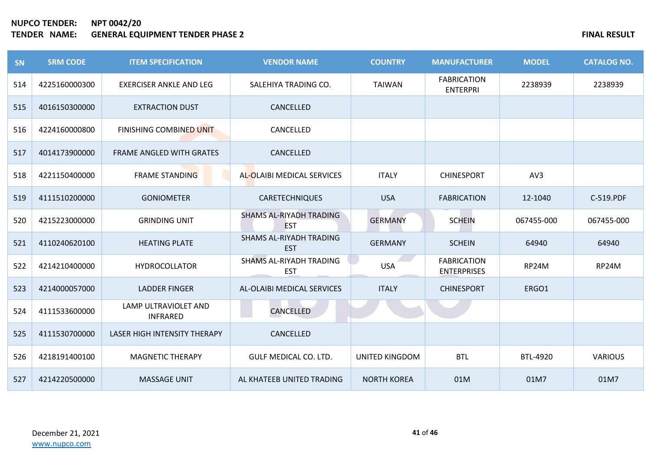| SN  | <b>SRM CODE</b> | <b>ITEM SPECIFICATION</b>               | <b>VENDOR NAME</b>                           | <b>COUNTRY</b>     | <b>MANUFACTURER</b>                      | <b>MODEL</b> | <b>CATALOG NO.</b> |
|-----|-----------------|-----------------------------------------|----------------------------------------------|--------------------|------------------------------------------|--------------|--------------------|
| 514 | 4225160000300   | <b>EXERCISER ANKLE AND LEG</b>          | SALEHIYA TRADING CO.                         | <b>TAIWAN</b>      | <b>FABRICATION</b><br><b>ENTERPRI</b>    | 2238939      | 2238939            |
| 515 | 4016150300000   | <b>EXTRACTION DUST</b>                  | CANCELLED                                    |                    |                                          |              |                    |
| 516 | 4224160000800   | FINISHING COMBINED UNIT                 | CANCELLED                                    |                    |                                          |              |                    |
| 517 | 4014173900000   | <b>FRAME ANGLED WITH GRATES</b>         | CANCELLED                                    |                    |                                          |              |                    |
| 518 | 4221150400000   | <b>FRAME STANDING</b>                   | AL-OLAIBI MEDICAL SERVICES                   | <b>ITALY</b>       | <b>CHINESPORT</b>                        | AV3          |                    |
| 519 | 4111510200000   | <b>GONIOMETER</b>                       | <b>CARETECHNIQUES</b>                        | <b>USA</b>         | <b>FABRICATION</b>                       | 12-1040      | C-519.PDF          |
| 520 | 4215223000000   | <b>GRINDING UNIT</b>                    | <b>SHAMS AL-RIYADH TRADING</b><br><b>EST</b> | <b>GERMANY</b>     | <b>SCHEIN</b>                            | 067455-000   | 067455-000         |
| 521 | 4110240620100   | <b>HEATING PLATE</b>                    | <b>SHAMS AL-RIYADH TRADING</b><br><b>EST</b> | <b>GERMANY</b>     | <b>SCHEIN</b>                            | 64940        | 64940              |
| 522 | 4214210400000   | <b>HYDROCOLLATOR</b>                    | SHAMS AL-RIYADH TRADING<br><b>EST</b>        | <b>USA</b>         | <b>FABRICATION</b><br><b>ENTERPRISES</b> | RP24M        | RP24M              |
| 523 | 4214000057000   | <b>LADDER FINGER</b>                    | AL-OLAIBI MEDICAL SERVICES                   | <b>ITALY</b>       | <b>CHINESPORT</b>                        | ERGO1        |                    |
| 524 | 4111533600000   | LAMP ULTRAVIOLET AND<br><b>INFRARED</b> | CANCELLED                                    |                    |                                          |              |                    |
| 525 | 4111530700000   | LASER HIGH INTENSITY THERAPY            | CANCELLED                                    |                    |                                          |              |                    |
| 526 | 4218191400100   | <b>MAGNETIC THERAPY</b>                 | GULF MEDICAL CO. LTD.                        | UNITED KINGDOM     | <b>BTL</b>                               | BTL-4920     | <b>VARIOUS</b>     |
| 527 | 4214220500000   | <b>MASSAGE UNIT</b>                     | AL KHATEEB UNITED TRADING                    | <b>NORTH KOREA</b> | 01M                                      | 01M7         | 01M7               |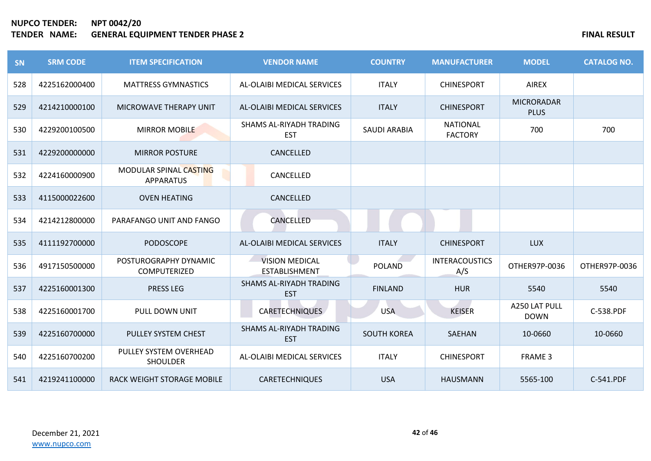| <b>SN</b> | <b>SRM CODE</b> | <b>ITEM SPECIFICATION</b>                    | <b>VENDOR NAME</b>                            | <b>COUNTRY</b>     | <b>MANUFACTURER</b>               | <b>MODEL</b>                     | <b>CATALOG NO.</b> |
|-----------|-----------------|----------------------------------------------|-----------------------------------------------|--------------------|-----------------------------------|----------------------------------|--------------------|
| 528       | 4225162000400   | <b>MATTRESS GYMNASTICS</b>                   | AL-OLAIBI MEDICAL SERVICES                    | <b>ITALY</b>       | <b>CHINESPORT</b>                 | <b>AIREX</b>                     |                    |
| 529       | 4214210000100   | MICROWAVE THERAPY UNIT                       | AL-OLAIBI MEDICAL SERVICES                    | <b>ITALY</b>       | <b>CHINESPORT</b>                 | <b>MICRORADAR</b><br><b>PLUS</b> |                    |
| 530       | 4229200100500   | <b>MIRROR MOBILE</b>                         | SHAMS AL-RIYADH TRADING<br><b>EST</b>         | SAUDI ARABIA       | <b>NATIONAL</b><br><b>FACTORY</b> | 700                              | 700                |
| 531       | 4229200000000   | <b>MIRROR POSTURE</b>                        | CANCELLED                                     |                    |                                   |                                  |                    |
| 532       | 4224160000900   | MODULAR SPINAL CASTING<br><b>APPARATUS</b>   | CANCELLED                                     |                    |                                   |                                  |                    |
| 533       | 4115000022600   | <b>OVEN HEATING</b>                          | CANCELLED                                     |                    |                                   |                                  |                    |
| 534       | 4214212800000   | PARAFANGO UNIT AND FANGO                     | CANCELLED                                     |                    |                                   |                                  |                    |
| 535       | 4111192700000   | <b>PODOSCOPE</b>                             | AL-OLAIBI MEDICAL SERVICES                    | <b>ITALY</b>       | <b>CHINESPORT</b>                 | <b>LUX</b>                       |                    |
| 536       | 4917150500000   | POSTUROGRAPHY DYNAMIC<br><b>COMPUTERIZED</b> | <b>VISION MEDICAL</b><br><b>ESTABLISHMENT</b> | <b>POLAND</b>      | <b>INTERACOUSTICS</b><br>A/S      | OTHER97P-0036                    | OTHER97P-0036      |
| 537       | 4225160001300   | <b>PRESS LEG</b>                             | SHAMS AL-RIYADH TRADING<br><b>EST</b>         | <b>FINLAND</b>     | <b>HUR</b>                        | 5540                             | 5540               |
| 538       | 4225160001700   | <b>PULL DOWN UNIT</b>                        | <b>CARETECHNIQUES</b>                         | <b>USA</b>         | <b>KEISER</b>                     | A250 LAT PULL<br><b>DOWN</b>     | C-538.PDF          |
| 539       | 4225160700000   | PULLEY SYSTEM CHEST                          | SHAMS AL-RIYADH TRADING<br><b>EST</b>         | <b>SOUTH KOREA</b> | SAEHAN                            | 10-0660                          | 10-0660            |
| 540       | 4225160700200   | PULLEY SYSTEM OVERHEAD<br><b>SHOULDER</b>    | AL-OLAIBI MEDICAL SERVICES                    | <b>ITALY</b>       | <b>CHINESPORT</b>                 | FRAME 3                          |                    |
| 541       | 4219241100000   | <b>RACK WEIGHT STORAGE MOBILE</b>            | <b>CARETECHNIQUES</b>                         | <b>USA</b>         | <b>HAUSMANN</b>                   | 5565-100                         | C-541.PDF          |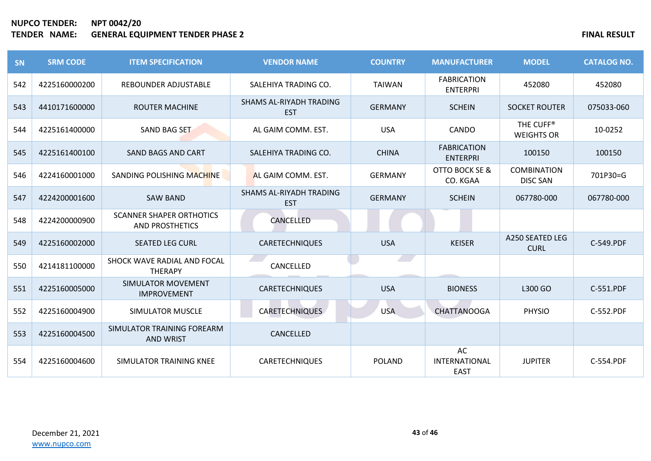| SN  | <b>SRM CODE</b> | <b>ITEM SPECIFICATION</b>                                 | <b>VENDOR NAME</b>                           | <b>COUNTRY</b> | <b>MANUFACTURER</b>                       | <b>MODEL</b>                               | <b>CATALOG NO.</b> |
|-----|-----------------|-----------------------------------------------------------|----------------------------------------------|----------------|-------------------------------------------|--------------------------------------------|--------------------|
| 542 | 4225160000200   | REBOUNDER ADJUSTABLE                                      | SALEHIYA TRADING CO.                         | <b>TAIWAN</b>  | <b>FABRICATION</b><br><b>ENTERPRI</b>     | 452080                                     | 452080             |
| 543 | 4410171600000   | <b>ROUTER MACHINE</b>                                     | <b>SHAMS AL-RIYADH TRADING</b><br><b>EST</b> | <b>GERMANY</b> | <b>SCHEIN</b>                             | <b>SOCKET ROUTER</b>                       | 075033-060         |
| 544 | 4225161400000   | <b>SAND BAG SET</b>                                       | AL GAIM COMM. EST.                           | <b>USA</b>     | CANDO                                     | THE CUFF <sup>®</sup><br><b>WEIGHTS OR</b> | 10-0252            |
| 545 | 4225161400100   | <b>SAND BAGS AND CART</b>                                 | SALEHIYA TRADING CO.                         | <b>CHINA</b>   | <b>FABRICATION</b><br><b>ENTERPRI</b>     | 100150                                     | 100150             |
| 546 | 4224160001000   | SANDING POLISHING MACHINE                                 | AL GAIM COMM. EST.                           | <b>GERMANY</b> | OTTO BOCK SE &<br>CO. KGAA                | <b>COMBINATION</b><br><b>DISC SAN</b>      | 701P30=G           |
| 547 | 4224200001600   | <b>SAW BAND</b>                                           | SHAMS AL-RIYADH TRADING<br><b>EST</b>        | <b>GERMANY</b> | <b>SCHEIN</b>                             | 067780-000                                 | 067780-000         |
| 548 | 4224200000900   | <b>SCANNER SHAPER ORTHOTICS</b><br><b>AND PROSTHETICS</b> | CANCELLED                                    |                |                                           |                                            |                    |
| 549 | 4225160002000   | <b>SEATED LEG CURL</b>                                    | <b>CARETECHNIQUES</b>                        | <b>USA</b>     | <b>KEISER</b>                             | A250 SEATED LEG<br><b>CURL</b>             | C-549.PDF          |
| 550 | 4214181100000   | SHOCK WAVE RADIAL AND FOCAL<br><b>THERAPY</b>             | CANCELLED                                    |                |                                           |                                            |                    |
| 551 | 4225160005000   | <b>SIMULATOR MOVEMENT</b><br><b>IMPROVEMENT</b>           | <b>CARETECHNIQUES</b>                        | <b>USA</b>     | <b>BIONESS</b>                            | <b>L300 GO</b>                             | C-551.PDF          |
| 552 | 4225160004900   | <b>SIMULATOR MUSCLE</b>                                   | <b>CARETECHNIQUES</b>                        | <b>USA</b>     | <b>CHATTANOOGA</b>                        | <b>PHYSIO</b>                              | C-552.PDF          |
| 553 | 4225160004500   | SIMULATOR TRAINING FOREARM<br><b>AND WRIST</b>            | CANCELLED                                    |                |                                           |                                            |                    |
| 554 | 4225160004600   | SIMULATOR TRAINING KNEE                                   | <b>CARETECHNIQUES</b>                        | <b>POLAND</b>  | AC<br><b>INTERNATIONAL</b><br><b>EAST</b> | <b>JUPITER</b>                             | C-554.PDF          |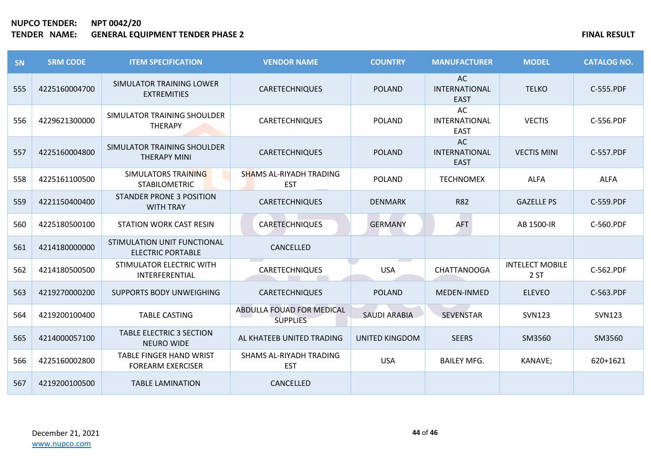| SN  | <b>SRM CODE</b> | <b>ITEM SPECIFICATION</b>                                  | <b>VENDOR NAME</b>                           | <b>COUNTRY</b>      | <b>MANUFACTURER</b>                       | <b>MODEL</b>                   | <b>CATALOG NO.</b> |
|-----|-----------------|------------------------------------------------------------|----------------------------------------------|---------------------|-------------------------------------------|--------------------------------|--------------------|
| 555 | 4225160004700   | SIMULATOR TRAINING LOWER<br><b>EXTREMITIES</b>             | <b>CARETECHNIQUES</b>                        | <b>POLAND</b>       | AC<br><b>INTERNATIONAL</b><br><b>EAST</b> | <b>TELKO</b>                   | C-555.PDF          |
| 556 | 4229621300000   | SIMULATOR TRAINING SHOULDER<br><b>THERAPY</b>              | <b>CARETECHNIQUES</b>                        | <b>POLAND</b>       | AC<br><b>INTERNATIONAL</b><br><b>EAST</b> | <b>VECTIS</b>                  | C-556.PDF          |
| 557 | 4225160004800   | SIMULATOR TRAINING SHOULDER<br><b>THERAPY MINI</b>         | <b>CARETECHNIQUES</b>                        | <b>POLAND</b>       | AC<br><b>INTERNATIONAL</b><br><b>EAST</b> | <b>VECTIS MINI</b>             | C-557.PDF          |
| 558 | 4225161100500   | SIMULATORS TRAINING<br><b>STABILOMETRIC</b>                | SHAMS AL-RIYADH TRADING<br><b>EST</b>        | <b>POLAND</b>       | <b>TECHNOMEX</b>                          | <b>ALFA</b>                    | <b>ALFA</b>        |
| 559 | 4221150400400   | STANDER PRONE 3 POSITION<br><b>WITH TRAY</b>               | <b>CARETECHNIQUES</b>                        | <b>DENMARK</b>      | <b>R82</b>                                | <b>GAZELLE PS</b>              | C-559.PDF          |
| 560 | 4225180500100   | <b>STATION WORK CAST RESIN</b>                             | CARETECHNIQUES                               | <b>GERMANY</b>      | <b>AFT</b>                                | AB 1500-IR                     | C-560.PDF          |
| 561 | 4214180000000   | STIMULATION UNIT FUNCTIONAL<br><b>ELECTRIC PORTABLE</b>    | <b>CANCELLED</b>                             |                     |                                           |                                |                    |
| 562 | 4214180500500   | STIMULATOR ELECTRIC WITH<br>INTERFERENTIAL                 | <b>CARETECHNIQUES</b>                        | <b>USA</b>          | <b>CHATTANOOGA</b>                        | <b>INTELECT MOBILE</b><br>2 ST | C-562.PDF          |
| 563 | 4219270000200   | <b>SUPPORTS BODY UNWEIGHING</b>                            | <b>CARETECHNIQUES</b>                        | <b>POLAND</b>       | MEDEN-INMED                               | <b>ELEVEO</b>                  | C-563.PDF          |
| 564 | 4219200100400   | <b>TABLE CASTING</b>                                       | ABDULLA FOUAD FOR MEDICAL<br><b>SUPPLIES</b> | <b>SAUDI ARABIA</b> | SEVENSTAR                                 | <b>SVN123</b>                  | <b>SVN123</b>      |
| 565 | 4214000057100   | <b>TABLE ELECTRIC 3 SECTION</b><br><b>NEURO WIDE</b>       | AL KHATEEB UNITED TRADING                    | UNITED KINGDOM      | <b>SEERS</b>                              | SM3560                         | SM3560             |
| 566 | 4225160002800   | <b>TABLE FINGER HAND WRIST</b><br><b>FOREARM EXERCISER</b> | SHAMS AL-RIYADH TRADING<br><b>EST</b>        | <b>USA</b>          | <b>BAILEY MFG.</b>                        | KANAVE;                        | 620+1621           |
| 567 | 4219200100500   | <b>TABLE LAMINATION</b>                                    | CANCELLED                                    |                     |                                           |                                |                    |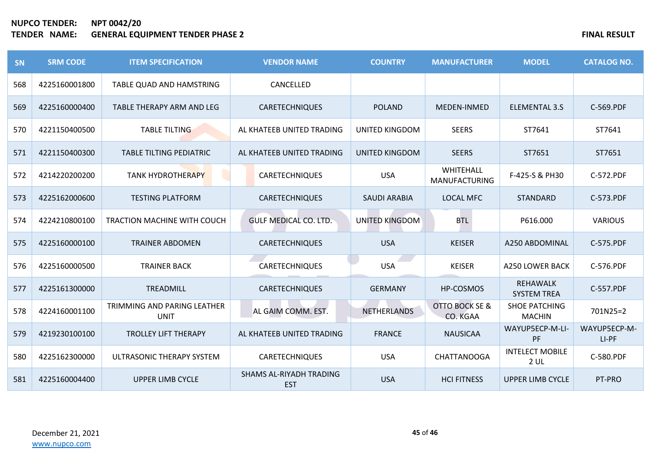| SN  | <b>SRM CODE</b> | <b>ITEM SPECIFICATION</b>                  | <b>VENDOR NAME</b>                    | <b>COUNTRY</b>        | <b>MANUFACTURER</b>               | <b>MODEL</b>                              | <b>CATALOG NO.</b>    |
|-----|-----------------|--------------------------------------------|---------------------------------------|-----------------------|-----------------------------------|-------------------------------------------|-----------------------|
| 568 | 4225160001800   | TABLE QUAD AND HAMSTRING                   | CANCELLED                             |                       |                                   |                                           |                       |
| 569 | 4225160000400   | <b>TABLE THERAPY ARM AND LEG</b>           | <b>CARETECHNIQUES</b>                 | <b>POLAND</b>         | <b>MEDEN-INMED</b>                | <b>ELEMENTAL 3.S</b>                      | C-569.PDF             |
| 570 | 4221150400500   | <b>TABLE TILTING</b>                       | AL KHATEEB UNITED TRADING             | UNITED KINGDOM        | <b>SEERS</b>                      | ST7641                                    | ST7641                |
| 571 | 4221150400300   | <b>TABLE TILTING PEDIATRIC</b>             | AL KHATEEB UNITED TRADING             | UNITED KINGDOM        | <b>SEERS</b>                      | ST7651                                    | ST7651                |
| 572 | 4214220200200   | <b>TANK HYDROTHERAPY</b>                   | <b>CARETECHNIQUES</b>                 | <b>USA</b>            | WHITEHALL<br><b>MANUFACTURING</b> | F-425-S & PH30                            | C-572.PDF             |
| 573 | 4225162000600   | <b>TESTING PLATFORM</b>                    | CARETECHNIQUES                        | <b>SAUDI ARABIA</b>   | <b>LOCAL MFC</b>                  | <b>STANDARD</b>                           | C-573.PDF             |
| 574 | 4224210800100   | TRACTION MACHINE WITH COUCH                | <b>GULF MEDICAL CO. LTD.</b>          | <b>UNITED KINGDOM</b> | <b>BTL</b>                        | P616.000                                  | <b>VARIOUS</b>        |
| 575 | 4225160000100   | <b>TRAINER ABDOMEN</b>                     | <b>CARETECHNIQUES</b>                 | <b>USA</b>            | <b>KEISER</b>                     | A250 ABDOMINAL                            | C-575.PDF             |
| 576 | 4225160000500   | <b>TRAINER BACK</b>                        | CARETECHNIQUES                        | <b>USA</b>            | <b>KEISER</b>                     | A250 LOWER BACK                           | C-576.PDF             |
| 577 | 4225161300000   | TREADMILL                                  | <b>CARETECHNIQUES</b>                 | <b>GERMANY</b>        | HP-COSMOS                         | <b>REHAWALK</b><br><b>SYSTEM TREA</b>     | C-557.PDF             |
| 578 | 4224160001100   | TRIMMING AND PARING LEATHER<br><b>UNIT</b> | AL GAIM COMM. EST.                    | <b>NETHERLANDS</b>    | OTTO BOCK SE &<br>CO. KGAA        | <b>SHOE PATCHING</b><br><b>MACHIN</b>     | 701N25=2              |
| 579 | 4219230100100   | <b>TROLLEY LIFT THERAPY</b>                | AL KHATEEB UNITED TRADING             | <b>FRANCE</b>         | <b>NAUSICAA</b>                   | WAYUP5ECP-M-LI-<br>PF                     | WAYUP5ECP-M-<br>LI-PF |
| 580 | 4225162300000   | ULTRASONIC THERAPY SYSTEM                  | <b>CARETECHNIQUES</b>                 | <b>USA</b>            | <b>CHATTANOOGA</b>                | <b>INTELECT MOBILE</b><br>2 <sub>UL</sub> | C-580.PDF             |
| 581 | 4225160004400   | <b>UPPER LIMB CYCLE</b>                    | SHAMS AL-RIYADH TRADING<br><b>EST</b> | <b>USA</b>            | <b>HCI FITNESS</b>                | <b>UPPER LIMB CYCLE</b>                   | PT-PRO                |